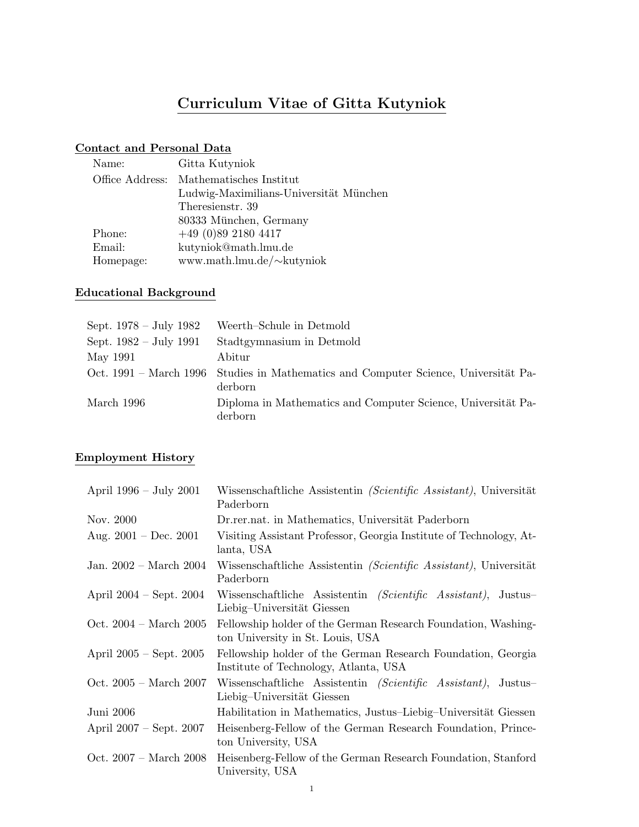# Curriculum Vitae of Gitta Kutyniok

# Contact and Personal Data

| Gitta Kutyniok                          |
|-----------------------------------------|
| Office Address: Mathematisches Institut |
| Ludwig-Maximilians-Universität München  |
| Theresienstr. 39                        |
| 80333 München, Germany                  |
| $+49(0)8921804417$                      |
| kutyniok@math.lmu.de                    |
| www.math.lmu.de/~kutyniok               |
|                                         |

### Educational Background

| Sept. $1978 - July 1982$ | Weerth-Schule in Detmold                                                                       |
|--------------------------|------------------------------------------------------------------------------------------------|
| Sept. $1982 - July 1991$ | Stadtgymnasium in Detmold                                                                      |
| May 1991                 | Abitur                                                                                         |
|                          | Oct. 1991 – March 1996 Studies in Mathematics and Computer Science, Universität Pa-<br>derborn |
| March 1996               | Diploma in Mathematics and Computer Science, Universität Pa-<br>derborn                        |

# Employment History

| April $1996 - July 2001$         | Wissenschaftliche Assistentin (Scientific Assistant), Universität<br>Paderborn                         |
|----------------------------------|--------------------------------------------------------------------------------------------------------|
| Nov. 2000                        | Dr.rer.nat. in Mathematics, Universität Paderborn                                                      |
| Aug. $2001 - Dec. 2001$          | Visiting Assistant Professor, Georgia Institute of Technology, At-<br>lanta, USA                       |
| Jan. $2002 - March\ 2004$        | Wissenschaftliche Assistentin (Scientific Assistant), Universität<br>Paderborn                         |
| April 2004 – Sept. 2004          | Wissenschaftliche Assistentin <i>(Scientific Assistant)</i> ,<br>Justus-<br>Liebig-Universität Giessen |
| Oct. $2004 - March\ 2005$        | Fellowship holder of the German Research Foundation, Washing-<br>ton University in St. Louis, USA      |
| April $2005 - Sept. 2005$        | Fellowship holder of the German Research Foundation, Georgia<br>Institute of Technology, Atlanta, USA  |
| Oct. $2005 - \text{March } 2007$ | Wissenschaftliche Assistentin (Scientific Assistant),<br>Justus–<br>Liebig-Universität Giessen         |
| Juni 2006                        | Habilitation in Mathematics, Justus–Liebig–Universität Giessen                                         |
| April $2007 - Sept. 2007$        | Heisenberg-Fellow of the German Research Foundation, Prince-<br>ton University, USA                    |
| Oct. $2007 - March 2008$         | Heisenberg-Fellow of the German Research Foundation, Stanford<br>University, USA                       |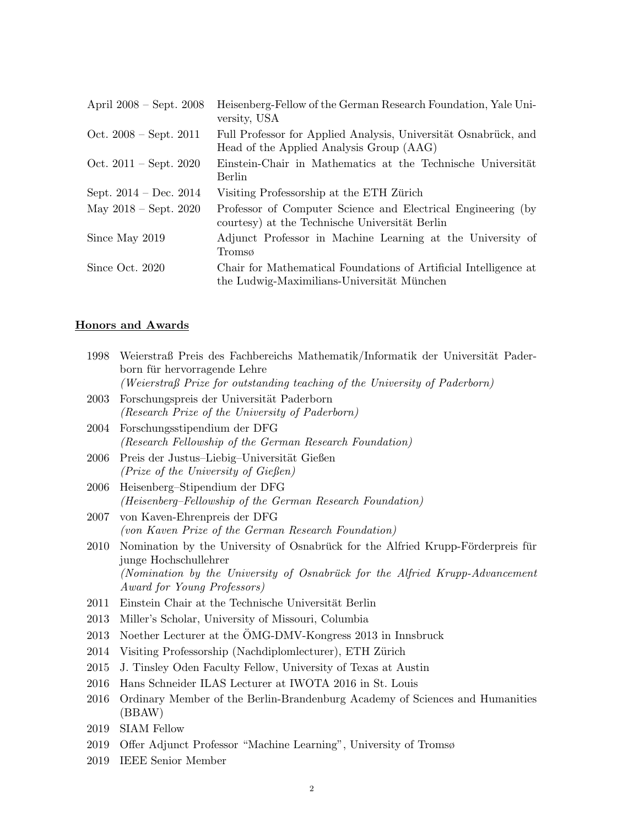| April $2008 - Sept. 2008$        | Heisenberg-Fellow of the German Research Foundation, Yale Uni-<br>versity, USA                                 |
|----------------------------------|----------------------------------------------------------------------------------------------------------------|
| Oct. $2008 - Sept. 2011$         | Full Professor for Applied Analysis, Universität Osnabrück, and<br>Head of the Applied Analysis Group (AAG)    |
| Oct. $2011 - \text{Sept. } 2020$ | Einstein-Chair in Mathematics at the Technische Universität<br>Berlin                                          |
| Sept. $2014 - Dec. 2014$         | Visiting Professorship at the ETH Zürich                                                                       |
| May $2018 - Sept. 2020$          | Professor of Computer Science and Electrical Engineering (by<br>courtesy) at the Technische Universität Berlin |
| Since May 2019                   | Adjunct Professor in Machine Learning at the University of<br>Tromsø                                           |
| Since Oct. 2020                  | Chair for Mathematical Foundations of Artificial Intelligence at<br>the Ludwig-Maximilians-Universität München |

# Honors and Awards

| 1998        | Weierstraß Preis des Fachbereichs Mathematik/Informatik der Universität Pader-<br>born für hervorragende Lehre                                                                           |
|-------------|------------------------------------------------------------------------------------------------------------------------------------------------------------------------------------------|
|             | (Weierstraß Prize for outstanding teaching of the University of Paderborn)                                                                                                               |
| 2003        | Forschungspreis der Universität Paderborn<br>(Research Prize of the University of Paderborn)                                                                                             |
| 2004        | Forschungsstipendium der DFG<br>(Research Fellowship of the German Research Foundation)                                                                                                  |
| <b>2006</b> | Preis der Justus-Liebig-Universität Gießen<br>(Prize of the University of Gießen)                                                                                                        |
| 2006        | Heisenberg-Stipendium der DFG<br>(Heisenberg-Fellowship of the German Research Foundation)                                                                                               |
| 2007        | von Kaven-Ehrenpreis der DFG<br>(von Kaven Prize of the German Research Foundation)                                                                                                      |
| 2010        | Nomination by the University of Osnabrück for the Alfried Krupp-Förderpreis für<br>junge Hochschullehrer<br>(Nomination by the University of Osnabrück for the Alfried Krupp-Advancement |
|             | Award for Young Professors)                                                                                                                                                              |
| 2011        | Einstein Chair at the Technische Universität Berlin                                                                                                                                      |
| 2013        | Miller's Scholar, University of Missouri, Columbia                                                                                                                                       |
| 2013        | Noether Lecturer at the ÖMG-DMV-Kongress 2013 in Innsbruck                                                                                                                               |
| 2014        | Visiting Professorship (Nachdiplomlecturer), ETH Zürich                                                                                                                                  |
| 2015        | J. Tinsley Oden Faculty Fellow, University of Texas at Austin                                                                                                                            |
| 2016        | Hans Schneider ILAS Lecturer at IWOTA 2016 in St. Louis                                                                                                                                  |
| 2016        | Ordinary Member of the Berlin-Brandenburg Academy of Sciences and Humanities<br>(BBAW)                                                                                                   |
| 2019        | <b>SIAM Fellow</b>                                                                                                                                                                       |
| 2019        | Offer Adjunct Professor "Machine Learning", University of Tromsø                                                                                                                         |
| 2019        | <b>IEEE</b> Senior Member                                                                                                                                                                |
|             |                                                                                                                                                                                          |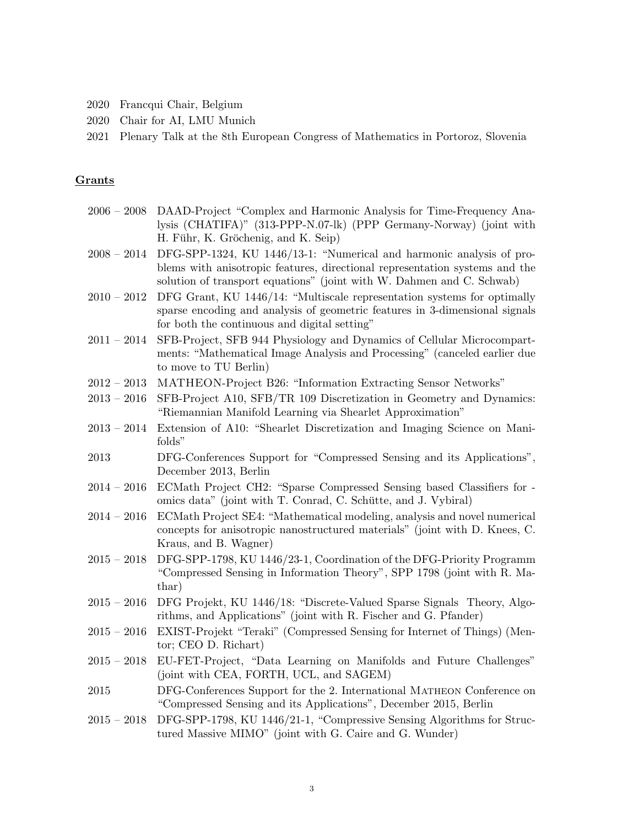- 2020 Francqui Chair, Belgium
- 2020 Chair for AI, LMU Munich
- 2021 Plenary Talk at the 8th European Congress of Mathematics in Portoroz, Slovenia

#### Grants

- 2006 2008 DAAD-Project "Complex and Harmonic Analysis for Time-Frequency Analysis (CHATIFA)" (313-PPP-N.07-lk) (PPP Germany-Norway) (joint with H. Führ, K. Gröchenig, and K. Seip)
- 2008 2014 DFG-SPP-1324, KU 1446/13-1: "Numerical and harmonic analysis of problems with anisotropic features, directional representation systems and the solution of transport equations" (joint with W. Dahmen and C. Schwab)
- 2010 2012 DFG Grant, KU 1446/14: "Multiscale representation systems for optimally sparse encoding and analysis of geometric features in 3-dimensional signals for both the continuous and digital setting"
- 2011 2014 SFB-Project, SFB 944 Physiology and Dynamics of Cellular Microcompartments: "Mathematical Image Analysis and Processing" (canceled earlier due to move to TU Berlin)
- 2012 2013 MATHEON-Project B26: "Information Extracting Sensor Networks"
- 2013 2016 SFB-Project A10, SFB/TR 109 Discretization in Geometry and Dynamics: "Riemannian Manifold Learning via Shearlet Approximation"
- 2013 2014 Extension of A10: "Shearlet Discretization and Imaging Science on Manifolds"
- 2013 DFG-Conferences Support for "Compressed Sensing and its Applications", December 2013, Berlin
- 2014 2016 ECMath Project CH2: "Sparse Compressed Sensing based Classifiers for omics data" (joint with T. Conrad, C. Schütte, and J. Vybiral)
- 2014 2016 ECMath Project SE4: "Mathematical modeling, analysis and novel numerical concepts for anisotropic nanostructured materials" (joint with D. Knees, C. Kraus, and B. Wagner)
- 2015 2018 DFG-SPP-1798, KU 1446/23-1, Coordination of the DFG-Priority Programm "Compressed Sensing in Information Theory", SPP 1798 (joint with R. Mathar)
- 2015 2016 DFG Projekt, KU 1446/18: "Discrete-Valued Sparse Signals Theory, Algorithms, and Applications" (joint with R. Fischer and G. Pfander)
- 2015 2016 EXIST-Projekt "Teraki" (Compressed Sensing for Internet of Things) (Mentor; CEO D. Richart)
- 2015 2018 EU-FET-Project, "Data Learning on Manifolds and Future Challenges" (joint with CEA, FORTH, UCL, and SAGEM)
- 2015 DFG-Conferences Support for the 2. International Matheon Conference on "Compressed Sensing and its Applications", December 2015, Berlin
- 2015 2018 DFG-SPP-1798, KU 1446/21-1, "Compressive Sensing Algorithms for Structured Massive MIMO" (joint with G. Caire and G. Wunder)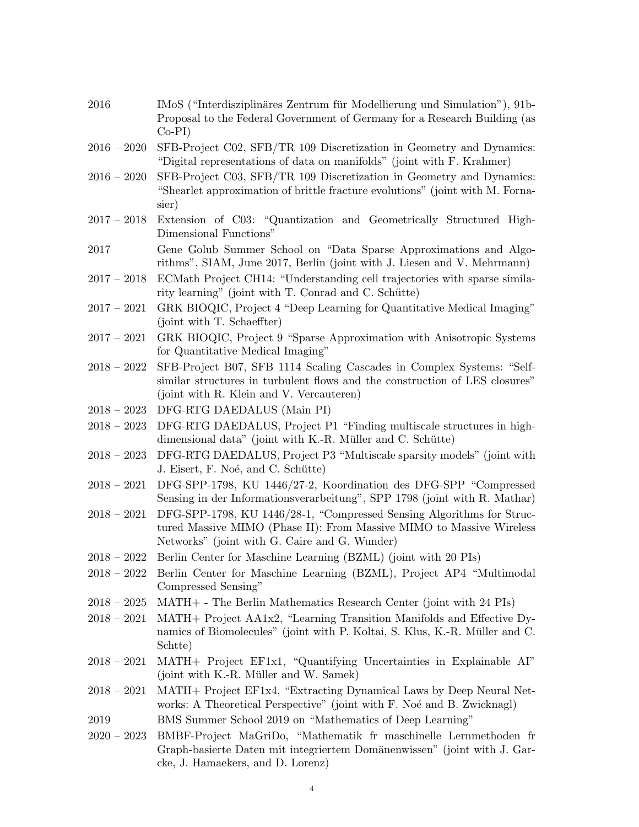| 2016          | IMoS ("Interdisziplinäres Zentrum für Modellierung und Simulation"), 91b-<br>Proposal to the Federal Government of Germany for a Research Building (as<br>$Co-PI)$                               |
|---------------|--------------------------------------------------------------------------------------------------------------------------------------------------------------------------------------------------|
| $2016 - 2020$ | SFB-Project C02, SFB/TR 109 Discretization in Geometry and Dynamics:<br>"Digital representations of data on manifolds" (joint with F. Krahmer)                                                   |
| $2016 - 2020$ | SFB-Project C03, SFB/TR 109 Discretization in Geometry and Dynamics:<br>"Shearlet approximation of brittle fracture evolutions" (joint with M. Forna-<br>sier)                                   |
| $2017 - 2018$ | Extension of C03: "Quantization and Geometrically Structured High-<br>Dimensional Functions"                                                                                                     |
| 2017          | Gene Golub Summer School on "Data Sparse Approximations and Algo-<br>rithms", SIAM, June 2017, Berlin (joint with J. Liesen and V. Mehrmann)                                                     |
| $2017 - 2018$ | ECMath Project CH14: "Understanding cell trajectories with sparse simila-<br>rity learning" (joint with T. Conrad and C. Schütte)                                                                |
| $2017 - 2021$ | GRK BIOQIC, Project 4 "Deep Learning for Quantitative Medical Imaging"<br>(joint with T. Schaeffter)                                                                                             |
| $2017 - 2021$ | GRK BIOQIC, Project 9 "Sparse Approximation with Anisotropic Systems<br>for Quantitative Medical Imaging"                                                                                        |
| $2018 - 2022$ | SFB-Project B07, SFB 1114 Scaling Cascades in Complex Systems: "Self-<br>similar structures in turbulent flows and the construction of LES closures"<br>(joint with R. Klein and V. Vercauteren) |
| $2018-2023$   | DFG-RTG DAEDALUS (Main PI)                                                                                                                                                                       |
| $2018 - 2023$ | DFG-RTG DAEDALUS, Project P1 "Finding multiscale structures in high-<br>dimensional data" (joint with K.-R. Müller and C. Schütte)                                                               |
| $2018 - 2023$ | DFG-RTG DAEDALUS, Project P3 "Multiscale sparsity models" (joint with<br>J. Eisert, F. Noé, and C. Schütte)                                                                                      |
| $2018-2021$   | DFG-SPP-1798, KU 1446/27-2, Koordination des DFG-SPP "Compressed<br>Sensing in der Informationsverarbeitung", SPP 1798 (joint with R. Mathar)                                                    |
| $2018 - 2021$ | DFG-SPP-1798, KU 1446/28-1, "Compressed Sensing Algorithms for Struc-<br>tured Massive MIMO (Phase II): From Massive MIMO to Massive Wireless<br>Networks" (joint with G. Caire and G. Wunder)   |
| $2018-2022$   | Berlin Center for Maschine Learning (BZML) (joint with 20 PIs)                                                                                                                                   |
|               | 2018 – 2022 Berlin Center for Maschine Learning (BZML), Project AP4 "Multimodal<br>Compressed Sensing"                                                                                           |
| $2018 - 2025$ | MATH+ - The Berlin Mathematics Research Center (joint with 24 PIs)                                                                                                                               |
| $2018 - 2021$ | MATH + Project AA1x2, "Learning Transition Manifolds and Effective Dy-<br>namics of Biomolecules" (joint with P. Koltai, S. Klus, K.-R. Müller and C.<br>Schtte)                                 |
| $2018 - 2021$ | MATH+ Project EF1x1, "Quantifying Uncertainties in Explainable AI"<br>(joint with K.-R. Müller and W. Samek)                                                                                     |
| $2018 - 2021$ | MATH+ Project EF1x4, "Extracting Dynamical Laws by Deep Neural Net-<br>works: A Theoretical Perspective" (joint with F. Noé and B. Zwicknagl)                                                    |
| 2019          | BMS Summer School 2019 on "Mathematics of Deep Learning"                                                                                                                                         |
| $2020-2023$   | BMBF-Project MaGriDo, "Mathematik fr maschinelle Lernmethoden fr<br>Graph-basierte Daten mit integriertem Domänenwissen" (joint with J. Gar-<br>cke, J. Hamaekers, and D. Lorenz)                |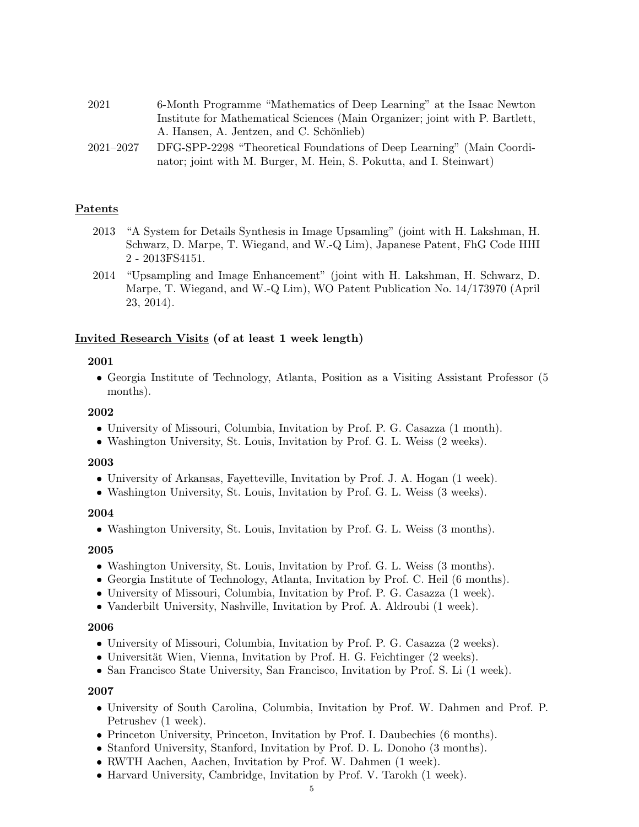| 2021 | 6-Month Programme "Mathematics of Deep Learning" at the Isaac Newton         |
|------|------------------------------------------------------------------------------|
|      | Institute for Mathematical Sciences (Main Organizer; joint with P. Bartlett, |
|      | A. Hansen, A. Jentzen, and C. Schönlieb)                                     |

2021–2027 DFG-SPP-2298 "Theoretical Foundations of Deep Learning" (Main Coordinator; joint with M. Burger, M. Hein, S. Pokutta, and I. Steinwart)

#### Patents

- 2013 "A System for Details Synthesis in Image Upsamling" (joint with H. Lakshman, H. Schwarz, D. Marpe, T. Wiegand, and W.-Q Lim), Japanese Patent, FhG Code HHI 2 - 2013FS4151.
- 2014 "Upsampling and Image Enhancement" (joint with H. Lakshman, H. Schwarz, D. Marpe, T. Wiegand, and W.-Q Lim), WO Patent Publication No. 14/173970 (April 23, 2014).

#### Invited Research Visits (of at least 1 week length)

#### 2001

• Georgia Institute of Technology, Atlanta, Position as a Visiting Assistant Professor (5 months).

#### 2002

- University of Missouri, Columbia, Invitation by Prof. P. G. Casazza (1 month).
- Washington University, St. Louis, Invitation by Prof. G. L. Weiss (2 weeks).

#### 2003

- University of Arkansas, Fayetteville, Invitation by Prof. J. A. Hogan (1 week).
- Washington University, St. Louis, Invitation by Prof. G. L. Weiss (3 weeks).

#### 2004

• Washington University, St. Louis, Invitation by Prof. G. L. Weiss (3 months).

#### 2005

- Washington University, St. Louis, Invitation by Prof. G. L. Weiss (3 months).
- Georgia Institute of Technology, Atlanta, Invitation by Prof. C. Heil (6 months).
- University of Missouri, Columbia, Invitation by Prof. P. G. Casazza (1 week).
- Vanderbilt University, Nashville, Invitation by Prof. A. Aldroubi (1 week).

#### 2006

- University of Missouri, Columbia, Invitation by Prof. P. G. Casazza (2 weeks).
- Universität Wien, Vienna, Invitation by Prof. H. G. Feichtinger  $(2 \text{ weeks})$ .
- San Francisco State University, San Francisco, Invitation by Prof. S. Li (1 week).

- University of South Carolina, Columbia, Invitation by Prof. W. Dahmen and Prof. P. Petrushev (1 week).
- Princeton University, Princeton, Invitation by Prof. I. Daubechies (6 months).
- Stanford University, Stanford, Invitation by Prof. D. L. Donoho (3 months).
- RWTH Aachen, Aachen, Invitation by Prof. W. Dahmen (1 week).
- Harvard University, Cambridge, Invitation by Prof. V. Tarokh (1 week).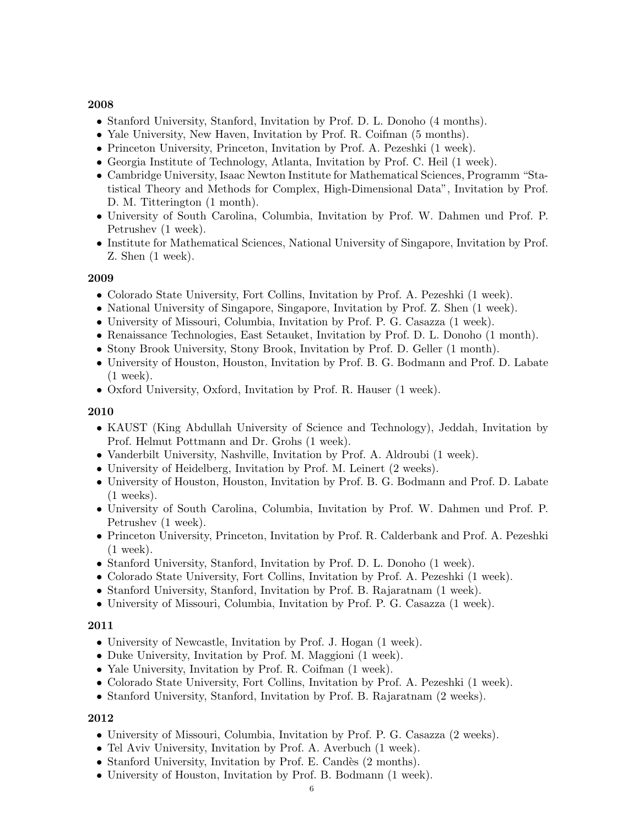- Stanford University, Stanford, Invitation by Prof. D. L. Donoho (4 months).
- Yale University, New Haven, Invitation by Prof. R. Coifman (5 months).
- Princeton University, Princeton, Invitation by Prof. A. Pezeshki (1 week).
- Georgia Institute of Technology, Atlanta, Invitation by Prof. C. Heil (1 week).
- Cambridge University, Isaac Newton Institute for Mathematical Sciences, Programm "Statistical Theory and Methods for Complex, High-Dimensional Data", Invitation by Prof. D. M. Titterington (1 month).
- University of South Carolina, Columbia, Invitation by Prof. W. Dahmen und Prof. P. Petrushev (1 week).
- Institute for Mathematical Sciences, National University of Singapore, Invitation by Prof. Z. Shen (1 week).

### 2009

- Colorado State University, Fort Collins, Invitation by Prof. A. Pezeshki (1 week).
- National University of Singapore, Singapore, Invitation by Prof. Z. Shen (1 week).
- University of Missouri, Columbia, Invitation by Prof. P. G. Casazza (1 week).
- Renaissance Technologies, East Setauket, Invitation by Prof. D. L. Donoho (1 month).
- Stony Brook University, Stony Brook, Invitation by Prof. D. Geller (1 month).
- University of Houston, Houston, Invitation by Prof. B. G. Bodmann and Prof. D. Labate (1 week).
- Oxford University, Oxford, Invitation by Prof. R. Hauser (1 week).

### 2010

- KAUST (King Abdullah University of Science and Technology), Jeddah, Invitation by Prof. Helmut Pottmann and Dr. Grohs (1 week).
- Vanderbilt University, Nashville, Invitation by Prof. A. Aldroubi (1 week).
- University of Heidelberg, Invitation by Prof. M. Leinert (2 weeks).
- University of Houston, Houston, Invitation by Prof. B. G. Bodmann and Prof. D. Labate (1 weeks).
- University of South Carolina, Columbia, Invitation by Prof. W. Dahmen und Prof. P. Petrushev (1 week).
- Princeton University, Princeton, Invitation by Prof. R. Calderbank and Prof. A. Pezeshki (1 week).
- Stanford University, Stanford, Invitation by Prof. D. L. Donoho (1 week).
- Colorado State University, Fort Collins, Invitation by Prof. A. Pezeshki (1 week).
- Stanford University, Stanford, Invitation by Prof. B. Rajaratnam (1 week).
- University of Missouri, Columbia, Invitation by Prof. P. G. Casazza (1 week).

#### 2011

- University of Newcastle, Invitation by Prof. J. Hogan (1 week).
- Duke University, Invitation by Prof. M. Maggioni (1 week).
- Yale University, Invitation by Prof. R. Coifman (1 week).
- Colorado State University, Fort Collins, Invitation by Prof. A. Pezeshki (1 week).
- Stanford University, Stanford, Invitation by Prof. B. Rajaratnam (2 weeks).

- University of Missouri, Columbia, Invitation by Prof. P. G. Casazza (2 weeks).
- Tel Aviv University, Invitation by Prof. A. Averbuch  $(1 \text{ week})$ .
- Stanford University, Invitation by Prof. E. Candès (2 months).
- University of Houston, Invitation by Prof. B. Bodmann (1 week).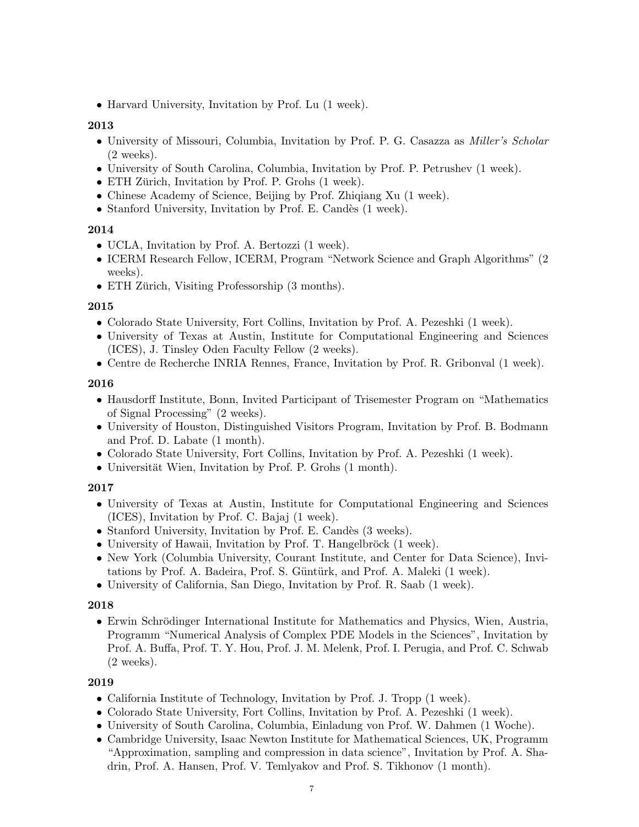• Harvard University, Invitation by Prof. Lu  $(1 \text{ week})$ .

### 2013

- University of Missouri, Columbia, Invitation by Prof. P. G. Casazza as Miller's Scholar (2 weeks).
- University of South Carolina, Columbia, Invitation by Prof. P. Petrushev (1 week).
- ETH Zürich, Invitation by Prof. P. Grohs  $(1 \text{ week})$ .
- Chinese Academy of Science, Beijing by Prof. Zhiqiang Xu (1 week).
- Stanford University, Invitation by Prof. E. Candès  $(1 \text{ week})$ .

#### 2014

- UCLA, Invitation by Prof. A. Bertozzi (1 week).
- ICERM Research Fellow, ICERM, Program "Network Science and Graph Algorithms" (2 weeks).
- ETH Zürich, Visiting Professorship (3 months).

### 2015

- Colorado State University, Fort Collins, Invitation by Prof. A. Pezeshki (1 week).
- University of Texas at Austin, Institute for Computational Engineering and Sciences (ICES), J. Tinsley Oden Faculty Fellow (2 weeks).
- Centre de Recherche INRIA Rennes, France, Invitation by Prof. R. Gribonval (1 week).

### 2016

- Hausdorff Institute, Bonn, Invited Participant of Trisemester Program on "Mathematics of Signal Processing" (2 weeks).
- University of Houston, Distinguished Visitors Program, Invitation by Prof. B. Bodmann and Prof. D. Labate (1 month).
- Colorado State University, Fort Collins, Invitation by Prof. A. Pezeshki (1 week).
- Universität Wien, Invitation by Prof. P. Grohs  $(1 \text{ month})$ .

### 2017

- University of Texas at Austin, Institute for Computational Engineering and Sciences (ICES), Invitation by Prof. C. Bajaj (1 week).
- Stanford University, Invitation by Prof. E. Candès  $(3 \text{ weeks})$ .
- University of Hawaii, Invitation by Prof. T. Hangelbröck  $(1 \text{ week})$ .
- New York (Columbia University, Courant Institute, and Center for Data Science), Invitations by Prof. A. Badeira, Prof. S. Güntürk, and Prof. A. Maleki  $(1 \text{ week})$ .
- University of California, San Diego, Invitation by Prof. R. Saab (1 week).

#### 2018

• Erwin Schrödinger International Institute for Mathematics and Physics, Wien, Austria, Programm "Numerical Analysis of Complex PDE Models in the Sciences", Invitation by Prof. A. Buffa, Prof. T. Y. Hou, Prof. J. M. Melenk, Prof. I. Perugia, and Prof. C. Schwab (2 weeks).

- California Institute of Technology, Invitation by Prof. J. Tropp (1 week).
- Colorado State University, Fort Collins, Invitation by Prof. A. Pezeshki (1 week).
- University of South Carolina, Columbia, Einladung von Prof. W. Dahmen (1 Woche).
- Cambridge University, Isaac Newton Institute for Mathematical Sciences, UK, Programm "Approximation, sampling and compression in data science", Invitation by Prof. A. Shadrin, Prof. A. Hansen, Prof. V. Temlyakov and Prof. S. Tikhonov (1 month).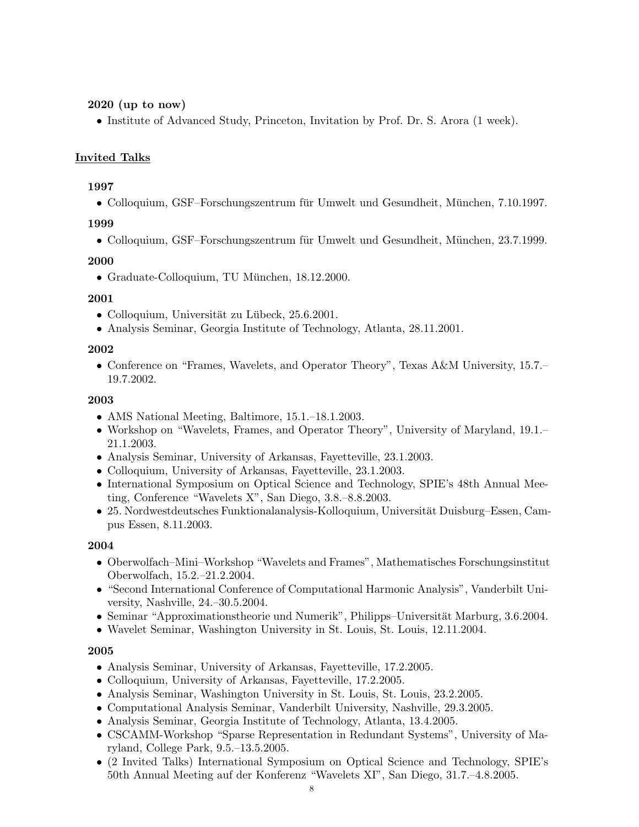### 2020 (up to now)

• Institute of Advanced Study, Princeton, Invitation by Prof. Dr. S. Arora (1 week).

### Invited Talks

### 1997

• Colloquium, GSF–Forschungszentrum für Umwelt und Gesundheit, München, 7.10.1997.

### 1999

• Colloquium, GSF–Forschungszentrum für Umwelt und Gesundheit, München, 23.7.1999.

### 2000

 $\bullet$  Graduate-Colloquium, TU München, 18.12.2000.

### 2001

- Colloquium, Universität zu Lübeck, 25.6.2001.
- Analysis Seminar, Georgia Institute of Technology, Atlanta, 28.11.2001.

### 2002

• Conference on "Frames, Wavelets, and Operator Theory", Texas A&M University, 15.7.– 19.7.2002.

### 2003

- AMS National Meeting, Baltimore, 15.1.–18.1.2003.
- Workshop on "Wavelets, Frames, and Operator Theory", University of Maryland, 19.1.– 21.1.2003.
- Analysis Seminar, University of Arkansas, Fayetteville, 23.1.2003.
- Colloquium, University of Arkansas, Fayetteville, 23.1.2003.
- International Symposium on Optical Science and Technology, SPIE's 48th Annual Meeting, Conference "Wavelets X", San Diego, 3.8.–8.8.2003.
- 25. Nordwestdeutsches Funktionalanalysis-Kolloquium, Universität Duisburg–Essen, Campus Essen, 8.11.2003.

### 2004

- Oberwolfach–Mini–Workshop "Wavelets and Frames", Mathematisches Forschungsinstitut Oberwolfach, 15.2.–21.2.2004.
- "Second International Conference of Computational Harmonic Analysis", Vanderbilt University, Nashville, 24.–30.5.2004.
- Seminar "Approximationstheorie und Numerik", Philipps–Universität Marburg, 3.6.2004.
- Wavelet Seminar, Washington University in St. Louis, St. Louis, 12.11.2004.

- Analysis Seminar, University of Arkansas, Fayetteville, 17.2.2005.
- Colloquium, University of Arkansas, Fayetteville, 17.2.2005.
- Analysis Seminar, Washington University in St. Louis, St. Louis, 23.2.2005.
- Computational Analysis Seminar, Vanderbilt University, Nashville, 29.3.2005.
- Analysis Seminar, Georgia Institute of Technology, Atlanta, 13.4.2005.
- CSCAMM-Workshop "Sparse Representation in Redundant Systems", University of Maryland, College Park, 9.5.–13.5.2005.
- (2 Invited Talks) International Symposium on Optical Science and Technology, SPIE's 50th Annual Meeting auf der Konferenz "Wavelets XI", San Diego, 31.7.–4.8.2005.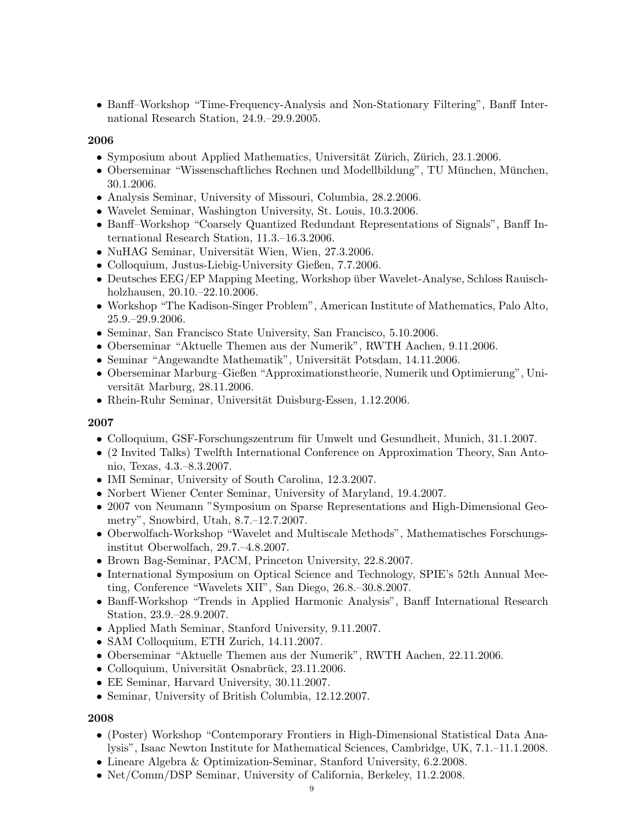• Banff–Workshop "Time-Frequency-Analysis and Non-Stationary Filtering", Banff International Research Station, 24.9.–29.9.2005.

#### 2006

- Symposium about Applied Mathematics, Universität Zürich, Zürich, 23.1.2006.
- Oberseminar "Wissenschaftliches Rechnen und Modellbildung", TU München, München, 30.1.2006.
- Analysis Seminar, University of Missouri, Columbia, 28.2.2006.
- Wavelet Seminar, Washington University, St. Louis, 10.3.2006.
- Banff–Workshop "Coarsely Quantized Redundant Representations of Signals", Banff International Research Station, 11.3.–16.3.2006.
- NuHAG Seminar, Universität Wien, Wien, 27.3.2006.
- Colloquium, Justus-Liebig-University Gießen, 7.7.2006.
- Deutsches EEG/EP Mapping Meeting, Workshop über Wavelet-Analyse, Schloss Rauischholzhausen, 20.10.–22.10.2006.
- Workshop "The Kadison-Singer Problem", American Institute of Mathematics, Palo Alto, 25.9.–29.9.2006.
- Seminar, San Francisco State University, San Francisco, 5.10.2006.
- Oberseminar "Aktuelle Themen aus der Numerik", RWTH Aachen, 9.11.2006.
- Seminar "Angewandte Mathematik", Universität Potsdam, 14.11.2006.
- Oberseminar Marburg–Gießen "Approximationstheorie, Numerik und Optimierung", Universität Marburg, 28.11.2006.
- Rhein-Ruhr Seminar, Universität Duisburg-Essen, 1.12.2006.

#### 2007

- Colloquium, GSF-Forschungszentrum für Umwelt und Gesundheit, Munich, 31.1.2007.
- (2 Invited Talks) Twelfth International Conference on Approximation Theory, San Antonio, Texas, 4.3.–8.3.2007.
- IMI Seminar, University of South Carolina, 12.3.2007.
- Norbert Wiener Center Seminar, University of Maryland, 19.4.2007.
- 2007 von Neumann "Symposium on Sparse Representations and High-Dimensional Geometry", Snowbird, Utah, 8.7.–12.7.2007.
- Oberwolfach-Workshop "Wavelet and Multiscale Methods", Mathematisches Forschungsinstitut Oberwolfach, 29.7.–4.8.2007.
- Brown Bag-Seminar, PACM, Princeton University, 22.8.2007.
- International Symposium on Optical Science and Technology, SPIE's 52th Annual Meeting, Conference "Wavelets XII", San Diego, 26.8.–30.8.2007.
- Banff-Workshop "Trends in Applied Harmonic Analysis", Banff International Research Station, 23.9.–28.9.2007.
- Applied Math Seminar, Stanford University, 9.11.2007.
- SAM Colloquium, ETH Zurich, 14.11.2007.
- Oberseminar "Aktuelle Themen aus der Numerik", RWTH Aachen, 22.11.2006.
- Colloquium, Universität Osnabrück,  $23.11.2006$ .
- EE Seminar, Harvard University, 30.11.2007.
- Seminar, University of British Columbia, 12.12.2007.

- (Poster) Workshop "Contemporary Frontiers in High-Dimensional Statistical Data Analysis", Isaac Newton Institute for Mathematical Sciences, Cambridge, UK, 7.1.–11.1.2008.
- Lineare Algebra & Optimization-Seminar, Stanford University, 6.2.2008.
- Net/Comm/DSP Seminar, University of California, Berkeley, 11.2.2008.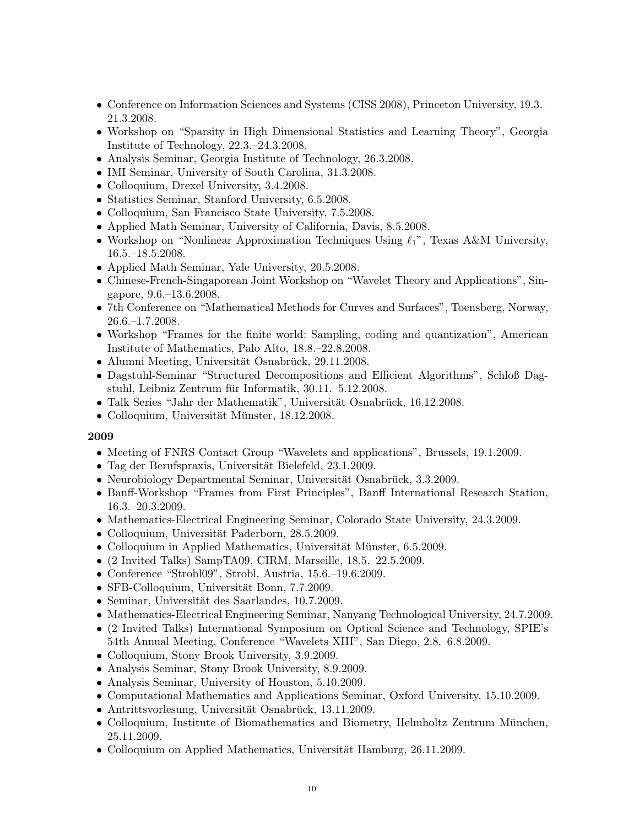- Conference on Information Sciences and Systems (CISS 2008), Princeton University, 19.3.– 21.3.2008.
- Workshop on "Sparsity in High Dimensional Statistics and Learning Theory", Georgia Institute of Technology, 22.3.–24.3.2008.
- Analysis Seminar, Georgia Institute of Technology, 26.3.2008.
- IMI Seminar, University of South Carolina, 31.3.2008.
- Colloquium, Drexel University, 3.4.2008.
- Statistics Seminar, Stanford University, 6.5.2008.
- Colloquium, San Francisco State University, 7.5.2008.
- Applied Math Seminar, University of California, Davis, 8.5.2008.
- Workshop on "Nonlinear Approximation Techniques Using  $\ell_1$ ", Texas A&M University, 16.5.–18.5.2008.
- Applied Math Seminar, Yale University, 20.5.2008.
- Chinese-French-Singaporean Joint Workshop on "Wavelet Theory and Applications", Singapore, 9.6.–13.6.2008.
- 7th Conference on "Mathematical Methods for Curves and Surfaces", Toensberg, Norway, 26.6.–1.7.2008.
- Workshop "Frames for the finite world: Sampling, coding and quantization", American Institute of Mathematics, Palo Alto, 18.8.–22.8.2008.
- Alumni Meeting, Universität Osnabrück, 29.11.2008.
- Dagstuhl-Seminar "Structured Decompositions and Efficient Algorithms", Schloß Dagstuhl, Leibniz Zentrum für Informatik, 30.11.–5.12.2008.
- $\bullet$  Talk Series "Jahr der Mathematik", Universität Osnabrück, 16.12.2008.
- Colloquium, Universität Münster, 18.12.2008.

- Meeting of FNRS Contact Group "Wavelets and applications", Brussels, 19.1.2009.
- Tag der Berufspraxis, Universität Bielefeld, 23.1.2009.
- Neurobiology Departmental Seminar, Universität Osnabrück,  $3.3.2009$ .
- Banff-Workshop "Frames from First Principles", Banff International Research Station, 16.3.–20.3.2009.
- Mathematics-Electrical Engineering Seminar, Colorado State University, 24.3.2009.
- Colloquium, Universität Paderborn, 28.5.2009.
- Colloquium in Applied Mathematics, Universität Münster, 6.5.2009.
- (2 Invited Talks) SampTA09, CIRM, Marseille, 18.5.–22.5.2009.
- Conference "Strobl09", Strobl, Austria, 15.6.–19.6.2009.
- SFB-Colloquium, Universität Bonn, 7.7.2009.
- Seminar, Universität des Saarlandes, 10.7.2009.
- Mathematics-Electrical Engineering Seminar, Nanyang Technological University, 24.7.2009.
- (2 Invited Talks) International Symposium on Optical Science and Technology, SPIE's 54th Annual Meeting, Conference "Wavelets XIII", San Diego, 2.8.–6.8.2009.
- Colloquium, Stony Brook University, 3.9.2009.
- Analysis Seminar, Stony Brook University, 8.9.2009.
- Analysis Seminar, University of Houston, 5.10.2009.
- Computational Mathematics and Applications Seminar, Oxford University, 15.10.2009.
- Antrittsvorlesung, Universität Osnabrück, 13.11.2009.
- Colloquium, Institute of Biomathematics and Biometry, Helmholtz Zentrum München, 25.11.2009.
- Colloquium on Applied Mathematics, Universität Hamburg,  $26.11.2009$ .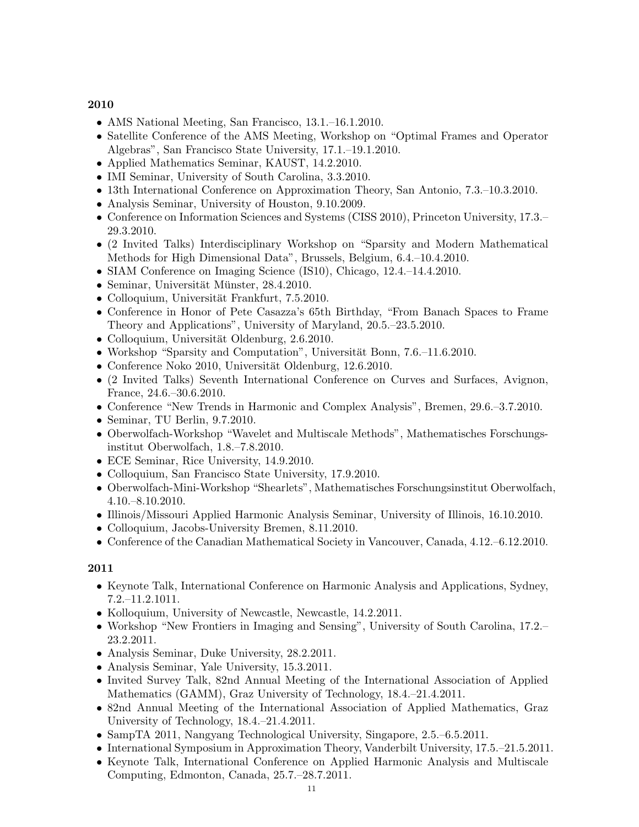- AMS National Meeting, San Francisco, 13.1.–16.1.2010.
- Satellite Conference of the AMS Meeting, Workshop on "Optimal Frames and Operator" Algebras", San Francisco State University, 17.1.–19.1.2010.
- Applied Mathematics Seminar, KAUST, 14.2.2010.
- IMI Seminar, University of South Carolina, 3.3.2010.
- 13th International Conference on Approximation Theory, San Antonio, 7.3.–10.3.2010.
- Analysis Seminar, University of Houston, 9.10.2009.
- Conference on Information Sciences and Systems (CISS 2010), Princeton University, 17.3.– 29.3.2010.
- (2 Invited Talks) Interdisciplinary Workshop on "Sparsity and Modern Mathematical Methods for High Dimensional Data", Brussels, Belgium, 6.4.–10.4.2010.
- SIAM Conference on Imaging Science (IS10), Chicago, 12.4.–14.4.2010.
- Seminar, Universität Münster, 28.4.2010.
- Colloquium, Universität Frankfurt, 7.5.2010.
- Conference in Honor of Pete Casazza's 65th Birthday, "From Banach Spaces to Frame Theory and Applications", University of Maryland, 20.5.–23.5.2010.
- Colloquium, Universität Oldenburg, 2.6.2010.
- Workshop "Sparsity and Computation", Universität Bonn,  $7.6-11.6.2010$ .
- Conference Noko 2010, Universität Oldenburg,  $12.6.2010$ .
- (2 Invited Talks) Seventh International Conference on Curves and Surfaces, Avignon, France, 24.6.–30.6.2010.
- Conference "New Trends in Harmonic and Complex Analysis", Bremen, 29.6.–3.7.2010.
- Seminar, TU Berlin, 9.7.2010.
- Oberwolfach-Workshop "Wavelet and Multiscale Methods", Mathematisches Forschungsinstitut Oberwolfach, 1.8.–7.8.2010.
- ECE Seminar, Rice University, 14.9.2010.
- Colloquium, San Francisco State University, 17.9.2010.
- Oberwolfach-Mini-Workshop "Shearlets", Mathematisches Forschungsinstitut Oberwolfach, 4.10.–8.10.2010.
- Illinois/Missouri Applied Harmonic Analysis Seminar, University of Illinois, 16.10.2010.
- Colloquium, Jacobs-University Bremen, 8.11.2010.
- Conference of the Canadian Mathematical Society in Vancouver, Canada, 4.12.–6.12.2010.

- Keynote Talk, International Conference on Harmonic Analysis and Applications, Sydney, 7.2.–11.2.1011.
- Kolloquium, University of Newcastle, Newcastle, 14.2.2011.
- Workshop "New Frontiers in Imaging and Sensing", University of South Carolina, 17.2.– 23.2.2011.
- Analysis Seminar, Duke University, 28.2.2011.
- Analysis Seminar, Yale University, 15.3.2011.
- Invited Survey Talk, 82nd Annual Meeting of the International Association of Applied Mathematics (GAMM), Graz University of Technology, 18.4.–21.4.2011.
- 82nd Annual Meeting of the International Association of Applied Mathematics, Graz University of Technology, 18.4.–21.4.2011.
- SampTA 2011, Nangyang Technological University, Singapore, 2.5.–6.5.2011.
- International Symposium in Approximation Theory, Vanderbilt University, 17.5.–21.5.2011.
- Keynote Talk, International Conference on Applied Harmonic Analysis and Multiscale Computing, Edmonton, Canada, 25.7.–28.7.2011.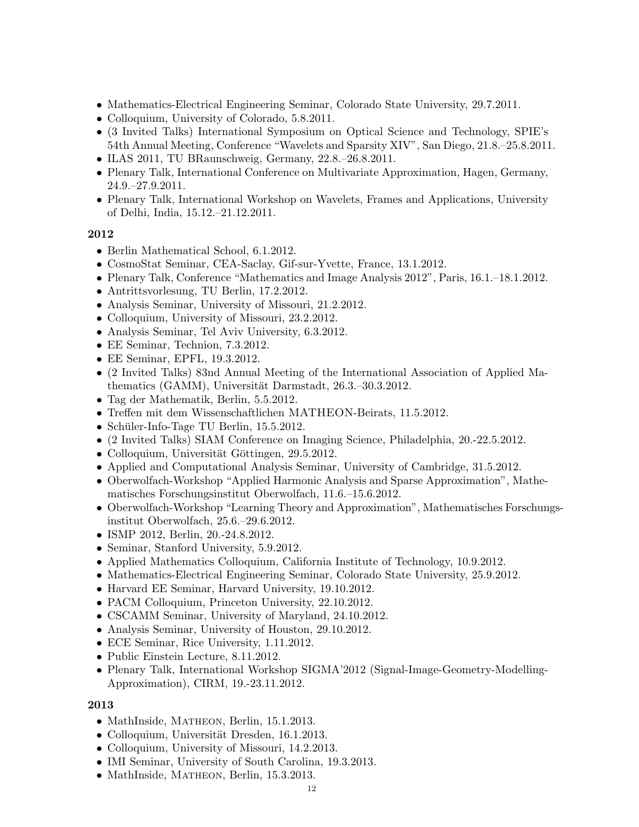- Mathematics-Electrical Engineering Seminar, Colorado State University, 29.7.2011.
- Colloquium, University of Colorado, 5.8.2011.
- (3 Invited Talks) International Symposium on Optical Science and Technology, SPIE's 54th Annual Meeting, Conference "Wavelets and Sparsity XIV", San Diego, 21.8.–25.8.2011.
- ILAS 2011, TU BRaunschweig, Germany, 22.8.–26.8.2011.
- Plenary Talk, International Conference on Multivariate Approximation, Hagen, Germany, 24.9.–27.9.2011.
- Plenary Talk, International Workshop on Wavelets, Frames and Applications, University of Delhi, India, 15.12.–21.12.2011.

- Berlin Mathematical School, 6.1.2012.
- CosmoStat Seminar, CEA-Saclay, Gif-sur-Yvette, France, 13.1.2012.
- Plenary Talk, Conference "Mathematics and Image Analysis 2012", Paris, 16.1.–18.1.2012.
- Antrittsvorlesung, TU Berlin, 17.2.2012.
- Analysis Seminar, University of Missouri, 21.2.2012.
- Colloquium, University of Missouri, 23.2.2012.
- Analysis Seminar, Tel Aviv University, 6.3.2012.
- EE Seminar, Technion, 7.3.2012.
- EE Seminar, EPFL, 19.3.2012.
- (2 Invited Talks) 83nd Annual Meeting of the International Association of Applied Mathematics (GAMM), Universität Darmstadt, 26.3.–30.3.2012.
- Tag der Mathematik, Berlin, 5.5.2012.
- Treffen mit dem Wissenschaftlichen MATHEON-Beirats, 11.5.2012.
- Schüler-Info-Tage TU Berlin,  $15.5.2012$ .
- (2 Invited Talks) SIAM Conference on Imaging Science, Philadelphia, 20.-22.5.2012.
- Colloquium, Universität Göttingen, 29.5.2012.
- Applied and Computational Analysis Seminar, University of Cambridge, 31.5.2012.
- Oberwolfach-Workshop "Applied Harmonic Analysis and Sparse Approximation", Mathematisches Forschungsinstitut Oberwolfach, 11.6.–15.6.2012.
- Oberwolfach-Workshop "Learning Theory and Approximation", Mathematisches Forschungsinstitut Oberwolfach, 25.6.–29.6.2012.
- ISMP 2012, Berlin, 20.-24.8.2012.
- Seminar, Stanford University, 5.9.2012.
- Applied Mathematics Colloquium, California Institute of Technology, 10.9.2012.
- Mathematics-Electrical Engineering Seminar, Colorado State University, 25.9.2012.
- Harvard EE Seminar, Harvard University, 19.10.2012.
- PACM Colloquium, Princeton University, 22.10.2012.
- CSCAMM Seminar, University of Maryland, 24.10.2012.
- Analysis Seminar, University of Houston, 29.10.2012.
- ECE Seminar, Rice University, 1.11.2012.
- Public Einstein Lecture, 8.11.2012.
- Plenary Talk, International Workshop SIGMA'2012 (Signal-Image-Geometry-Modelling-Approximation), CIRM, 19.-23.11.2012.

- MathInside, MATHEON, Berlin, 15.1.2013.
- Colloquium, Universität Dresden, 16.1.2013.
- Colloquium, University of Missouri, 14.2.2013.
- IMI Seminar, University of South Carolina, 19.3.2013.
- MathInside, MATHEON, Berlin, 15.3.2013.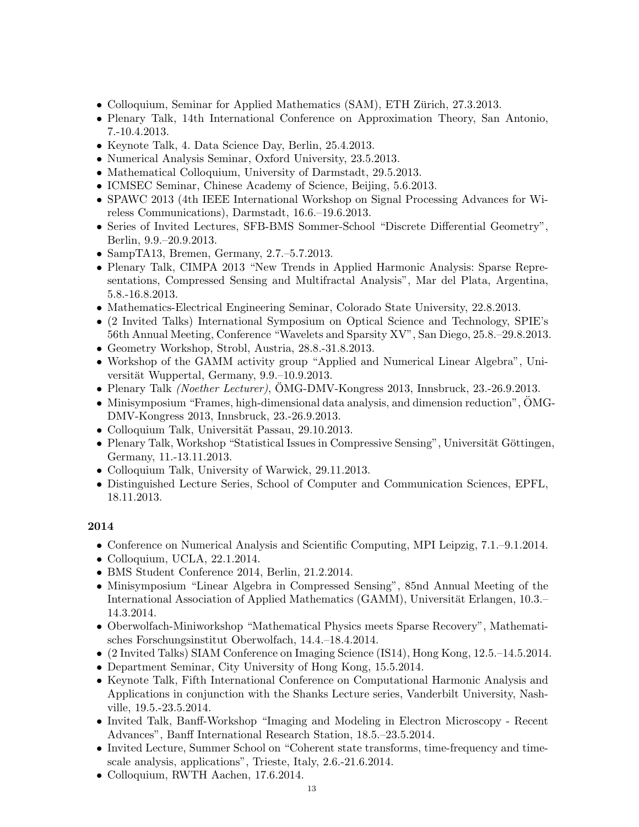- Colloquium, Seminar for Applied Mathematics (SAM), ETH Zürich, 27.3.2013.
- Plenary Talk, 14th International Conference on Approximation Theory, San Antonio, 7.-10.4.2013.
- Keynote Talk, 4. Data Science Day, Berlin, 25.4.2013.
- Numerical Analysis Seminar, Oxford University, 23.5.2013.
- Mathematical Colloquium, University of Darmstadt, 29.5.2013.
- ICMSEC Seminar, Chinese Academy of Science, Beijing, 5.6.2013.
- SPAWC 2013 (4th IEEE International Workshop on Signal Processing Advances for Wireless Communications), Darmstadt, 16.6.–19.6.2013.
- Series of Invited Lectures, SFB-BMS Sommer-School "Discrete Differential Geometry", Berlin, 9.9.–20.9.2013.
- SampTA13, Bremen, Germany, 2.7.–5.7.2013.
- Plenary Talk, CIMPA 2013 "New Trends in Applied Harmonic Analysis: Sparse Representations, Compressed Sensing and Multifractal Analysis", Mar del Plata, Argentina, 5.8.-16.8.2013.
- Mathematics-Electrical Engineering Seminar, Colorado State University, 22.8.2013.
- (2 Invited Talks) International Symposium on Optical Science and Technology, SPIE's 56th Annual Meeting, Conference "Wavelets and Sparsity XV", San Diego, 25.8.–29.8.2013.
- Geometry Workshop, Strobl, Austria, 28.8.-31.8.2013.
- Workshop of the GAMM activity group "Applied and Numerical Linear Algebra", Universität Wuppertal, Germany, 9.9.–10.9.2013.
- Plenary Talk *(Noether Lecturer)*, OMG-DMV-Kongress 2013, Innsbruck, 23.-26.9.2013.
- Minisymposium "Frames, high-dimensional data analysis, and dimension reduction",  $\ddot{\text{O}}\text{MG}$ -DMV-Kongress 2013, Innsbruck, 23.-26.9.2013.
- Colloquium Talk, Universität Passau,  $29.10.2013$ .
- Plenary Talk, Workshop "Statistical Issues in Compressive Sensing", Universität Göttingen, Germany, 11.-13.11.2013.
- Colloquium Talk, University of Warwick, 29.11.2013.
- Distinguished Lecture Series, School of Computer and Communication Sciences, EPFL, 18.11.2013.

- Conference on Numerical Analysis and Scientific Computing, MPI Leipzig, 7.1.–9.1.2014.
- Colloquium, UCLA, 22.1.2014.
- BMS Student Conference 2014, Berlin, 21.2.2014.
- Minisymposium "Linear Algebra in Compressed Sensing", 85nd Annual Meeting of the International Association of Applied Mathematics (GAMM), Universität Erlangen, 10.3.– 14.3.2014.
- Oberwolfach-Miniworkshop "Mathematical Physics meets Sparse Recovery", Mathematisches Forschungsinstitut Oberwolfach, 14.4.–18.4.2014.
- (2 Invited Talks) SIAM Conference on Imaging Science (IS14), Hong Kong, 12.5.–14.5.2014.
- Department Seminar, City University of Hong Kong, 15.5.2014.
- Keynote Talk, Fifth International Conference on Computational Harmonic Analysis and Applications in conjunction with the Shanks Lecture series, Vanderbilt University, Nashville, 19.5.-23.5.2014.
- Invited Talk, Banff-Workshop "Imaging and Modeling in Electron Microscopy Recent Advances", Banff International Research Station, 18.5.–23.5.2014.
- Invited Lecture, Summer School on "Coherent state transforms, time-frequency and timescale analysis, applications", Trieste, Italy, 2.6.-21.6.2014.
- Colloquium, RWTH Aachen, 17.6.2014.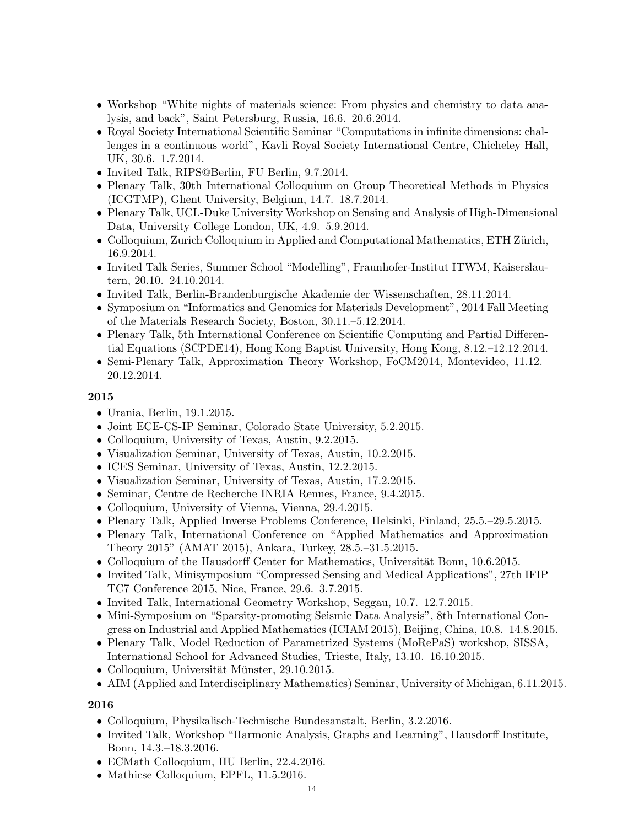- Workshop "White nights of materials science: From physics and chemistry to data analysis, and back", Saint Petersburg, Russia, 16.6.–20.6.2014.
- Royal Society International Scientific Seminar "Computations in infinite dimensions: challenges in a continuous world", Kavli Royal Society International Centre, Chicheley Hall, UK, 30.6.–1.7.2014.
- Invited Talk, RIPS@Berlin, FU Berlin, 9.7.2014.
- Plenary Talk, 30th International Colloquium on Group Theoretical Methods in Physics (ICGTMP), Ghent University, Belgium, 14.7.–18.7.2014.
- Plenary Talk, UCL-Duke University Workshop on Sensing and Analysis of High-Dimensional Data, University College London, UK, 4.9.–5.9.2014.
- Colloquium, Zurich Colloquium in Applied and Computational Mathematics, ETH Zürich, 16.9.2014.
- Invited Talk Series, Summer School "Modelling", Fraunhofer-Institut ITWM, Kaiserslautern, 20.10.–24.10.2014.
- Invited Talk, Berlin-Brandenburgische Akademie der Wissenschaften, 28.11.2014.
- Symposium on "Informatics and Genomics for Materials Development", 2014 Fall Meeting of the Materials Research Society, Boston, 30.11.–5.12.2014.
- Plenary Talk, 5th International Conference on Scientific Computing and Partial Differential Equations (SCPDE14), Hong Kong Baptist University, Hong Kong, 8.12.–12.12.2014.
- Semi-Plenary Talk, Approximation Theory Workshop, FoCM2014, Montevideo, 11.12.– 20.12.2014.

- Urania, Berlin, 19.1.2015.
- Joint ECE-CS-IP Seminar, Colorado State University, 5.2.2015.
- Colloquium, University of Texas, Austin, 9.2.2015.
- Visualization Seminar, University of Texas, Austin, 10.2.2015.
- ICES Seminar, University of Texas, Austin, 12.2.2015.
- Visualization Seminar, University of Texas, Austin, 17.2.2015.
- Seminar, Centre de Recherche INRIA Rennes, France, 9.4.2015.
- Colloquium, University of Vienna, Vienna, 29.4.2015.
- Plenary Talk, Applied Inverse Problems Conference, Helsinki, Finland, 25.5.–29.5.2015.
- Plenary Talk, International Conference on "Applied Mathematics and Approximation Theory 2015" (AMAT 2015), Ankara, Turkey, 28.5.–31.5.2015.
- Colloquium of the Hausdorff Center for Mathematics, Universität Bonn, 10.6.2015.
- Invited Talk, Minisymposium "Compressed Sensing and Medical Applications", 27th IFIP TC7 Conference 2015, Nice, France, 29.6.–3.7.2015.
- Invited Talk, International Geometry Workshop, Seggau, 10.7.–12.7.2015.
- Mini-Symposium on "Sparsity-promoting Seismic Data Analysis", 8th International Congress on Industrial and Applied Mathematics (ICIAM 2015), Beijing, China, 10.8.–14.8.2015.
- Plenary Talk, Model Reduction of Parametrized Systems (MoRePaS) workshop, SISSA, International School for Advanced Studies, Trieste, Italy, 13.10.–16.10.2015.
- Colloquium, Universität Münster,  $29.10.2015$ .
- AIM (Applied and Interdisciplinary Mathematics) Seminar, University of Michigan, 6.11.2015.

- Colloquium, Physikalisch-Technische Bundesanstalt, Berlin, 3.2.2016.
- Invited Talk, Workshop "Harmonic Analysis, Graphs and Learning", Hausdorff Institute, Bonn, 14.3.–18.3.2016.
- ECMath Colloquium, HU Berlin, 22.4.2016.
- Mathicse Colloquium, EPFL, 11.5.2016.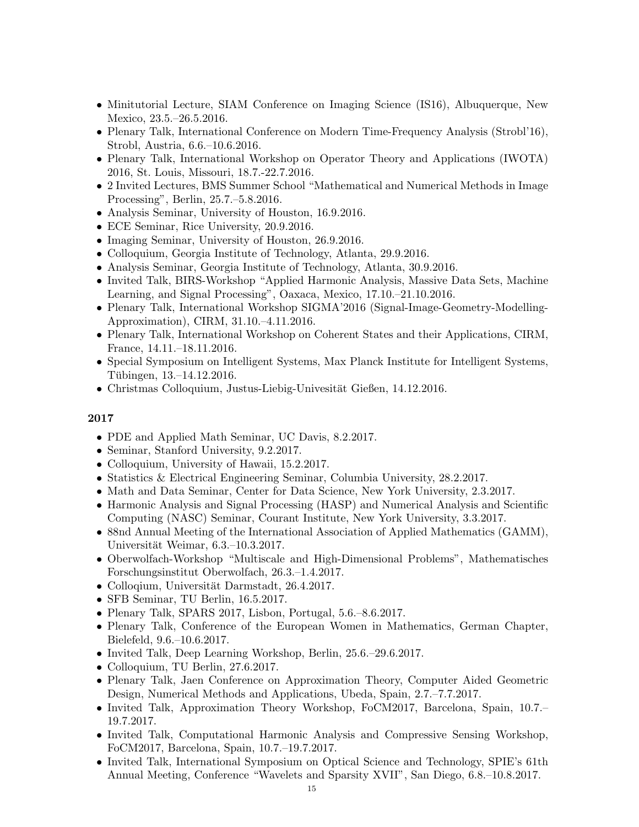- Minitutorial Lecture, SIAM Conference on Imaging Science (IS16), Albuquerque, New Mexico, 23.5.–26.5.2016.
- Plenary Talk, International Conference on Modern Time-Frequency Analysis (Strobl'16), Strobl, Austria, 6.6.–10.6.2016.
- Plenary Talk, International Workshop on Operator Theory and Applications (IWOTA) 2016, St. Louis, Missouri, 18.7.-22.7.2016.
- 2 Invited Lectures, BMS Summer School "Mathematical and Numerical Methods in Image Processing", Berlin, 25.7.–5.8.2016.
- Analysis Seminar, University of Houston, 16.9.2016.
- ECE Seminar, Rice University, 20.9.2016.
- Imaging Seminar, University of Houston, 26.9.2016.
- Colloquium, Georgia Institute of Technology, Atlanta, 29.9.2016.
- Analysis Seminar, Georgia Institute of Technology, Atlanta, 30.9.2016.
- Invited Talk, BIRS-Workshop "Applied Harmonic Analysis, Massive Data Sets, Machine Learning, and Signal Processing", Oaxaca, Mexico, 17.10.–21.10.2016.
- Plenary Talk, International Workshop SIGMA'2016 (Signal-Image-Geometry-Modelling-Approximation), CIRM, 31.10.–4.11.2016.
- Plenary Talk, International Workshop on Coherent States and their Applications, CIRM, France, 14.11.–18.11.2016.
- Special Symposium on Intelligent Systems, Max Planck Institute for Intelligent Systems, Tübingen, 13.–14.12.2016.
- Christmas Colloquium, Justus-Liebig-Univesität Gießen, 14.12.2016.

- PDE and Applied Math Seminar, UC Davis, 8.2.2017.
- Seminar, Stanford University, 9.2.2017.
- Colloquium, University of Hawaii, 15.2.2017.
- Statistics & Electrical Engineering Seminar, Columbia University, 28.2.2017.
- Math and Data Seminar, Center for Data Science, New York University, 2.3.2017.
- Harmonic Analysis and Signal Processing (HASP) and Numerical Analysis and Scientific Computing (NASC) Seminar, Courant Institute, New York University, 3.3.2017.
- 88nd Annual Meeting of the International Association of Applied Mathematics (GAMM), Universität Weimar, 6.3.–10.3.2017.
- Oberwolfach-Workshop "Multiscale and High-Dimensional Problems", Mathematisches Forschungsinstitut Oberwolfach, 26.3.–1.4.2017.
- Colloqium, Universität Darmstadt, 26.4.2017.
- SFB Seminar, TU Berlin, 16.5.2017.
- Plenary Talk, SPARS 2017, Lisbon, Portugal, 5.6.–8.6.2017.
- Plenary Talk, Conference of the European Women in Mathematics, German Chapter, Bielefeld, 9.6.–10.6.2017.
- Invited Talk, Deep Learning Workshop, Berlin, 25.6.–29.6.2017.
- Colloquium, TU Berlin, 27.6.2017.
- Plenary Talk, Jaen Conference on Approximation Theory, Computer Aided Geometric Design, Numerical Methods and Applications, Ubeda, Spain, 2.7.–7.7.2017.
- Invited Talk, Approximation Theory Workshop, FoCM2017, Barcelona, Spain, 10.7.– 19.7.2017.
- Invited Talk, Computational Harmonic Analysis and Compressive Sensing Workshop, FoCM2017, Barcelona, Spain, 10.7.–19.7.2017.
- Invited Talk, International Symposium on Optical Science and Technology, SPIE's 61th Annual Meeting, Conference "Wavelets and Sparsity XVII", San Diego, 6.8.–10.8.2017.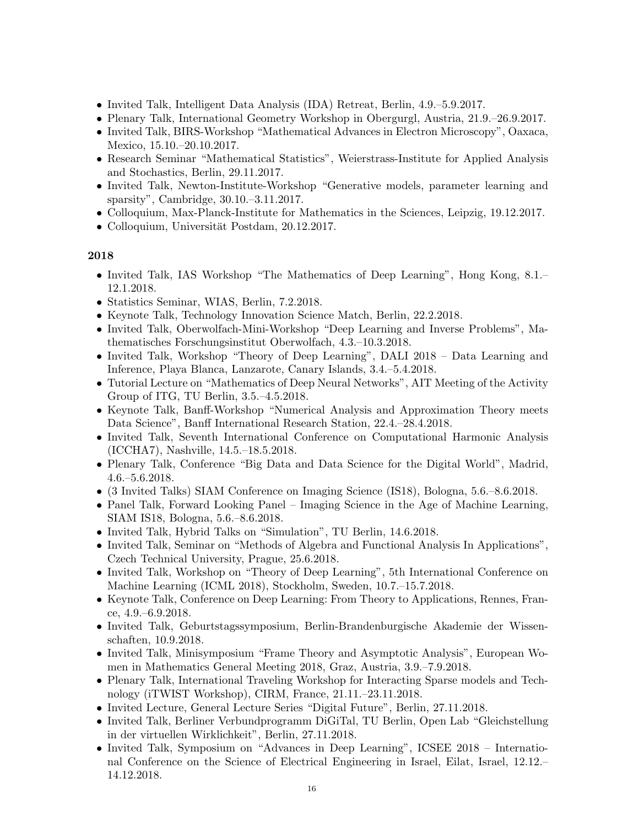- Invited Talk, Intelligent Data Analysis (IDA) Retreat, Berlin, 4.9.–5.9.2017.
- Plenary Talk, International Geometry Workshop in Obergurgl, Austria, 21.9.–26.9.2017.
- Invited Talk, BIRS-Workshop "Mathematical Advances in Electron Microscopy", Oaxaca, Mexico, 15.10.–20.10.2017.
- Research Seminar "Mathematical Statistics", Weierstrass-Institute for Applied Analysis and Stochastics, Berlin, 29.11.2017.
- Invited Talk, Newton-Institute-Workshop "Generative models, parameter learning and sparsity", Cambridge, 30.10.–3.11.2017.
- Colloquium, Max-Planck-Institute for Mathematics in the Sciences, Leipzig, 19.12.2017.
- Colloquium, Universität Postdam, 20.12.2017.

- Invited Talk, IAS Workshop "The Mathematics of Deep Learning", Hong Kong, 8.1.– 12.1.2018.
- Statistics Seminar, WIAS, Berlin, 7.2.2018.
- Keynote Talk, Technology Innovation Science Match, Berlin, 22.2.2018.
- Invited Talk, Oberwolfach-Mini-Workshop "Deep Learning and Inverse Problems", Mathematisches Forschungsinstitut Oberwolfach, 4.3.–10.3.2018.
- Invited Talk, Workshop "Theory of Deep Learning", DALI 2018 Data Learning and Inference, Playa Blanca, Lanzarote, Canary Islands, 3.4.–5.4.2018.
- Tutorial Lecture on "Mathematics of Deep Neural Networks", AIT Meeting of the Activity Group of ITG, TU Berlin, 3.5.–4.5.2018.
- Keynote Talk, Banff-Workshop "Numerical Analysis and Approximation Theory meets Data Science", Banff International Research Station, 22.4.–28.4.2018.
- Invited Talk, Seventh International Conference on Computational Harmonic Analysis (ICCHA7), Nashville, 14.5.–18.5.2018.
- Plenary Talk, Conference "Big Data and Data Science for the Digital World", Madrid, 4.6.–5.6.2018.
- (3 Invited Talks) SIAM Conference on Imaging Science (IS18), Bologna, 5.6.–8.6.2018.
- Panel Talk, Forward Looking Panel Imaging Science in the Age of Machine Learning, SIAM IS18, Bologna, 5.6.–8.6.2018.
- Invited Talk, Hybrid Talks on "Simulation", TU Berlin, 14.6.2018.
- Invited Talk, Seminar on "Methods of Algebra and Functional Analysis In Applications", Czech Technical University, Prague, 25.6.2018.
- Invited Talk, Workshop on "Theory of Deep Learning", 5th International Conference on Machine Learning (ICML 2018), Stockholm, Sweden, 10.7.–15.7.2018.
- Keynote Talk, Conference on Deep Learning: From Theory to Applications, Rennes, France, 4.9.–6.9.2018.
- Invited Talk, Geburtstagssymposium, Berlin-Brandenburgische Akademie der Wissenschaften, 10.9.2018.
- Invited Talk, Minisymposium "Frame Theory and Asymptotic Analysis", European Women in Mathematics General Meeting 2018, Graz, Austria, 3.9.–7.9.2018.
- Plenary Talk, International Traveling Workshop for Interacting Sparse models and Technology (iTWIST Workshop), CIRM, France, 21.11.–23.11.2018.
- Invited Lecture, General Lecture Series "Digital Future", Berlin, 27.11.2018.
- Invited Talk, Berliner Verbundprogramm DiGiTal, TU Berlin, Open Lab "Gleichstellung in der virtuellen Wirklichkeit", Berlin, 27.11.2018.
- Invited Talk, Symposium on "Advances in Deep Learning", ICSEE 2018 International Conference on the Science of Electrical Engineering in Israel, Eilat, Israel, 12.12.– 14.12.2018.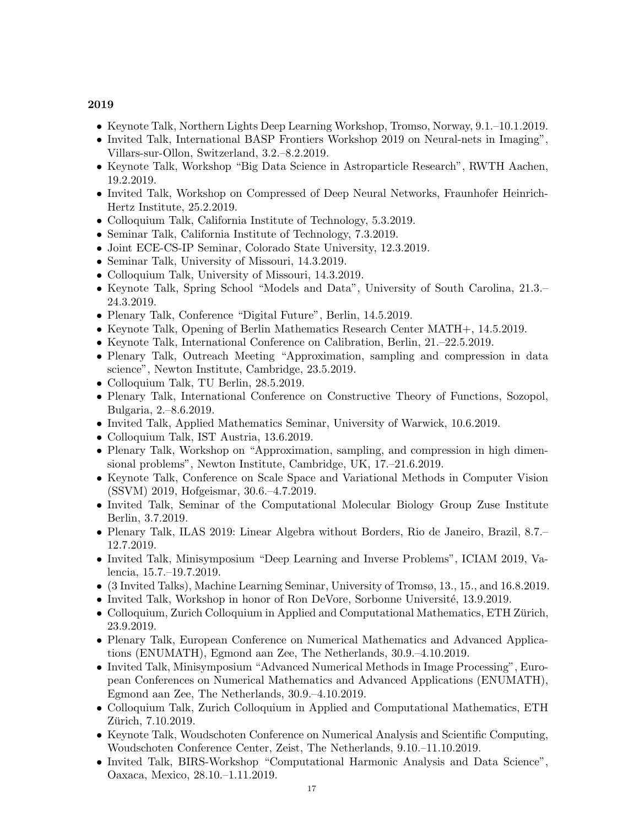- Keynote Talk, Northern Lights Deep Learning Workshop, Tromso, Norway, 9.1.–10.1.2019.
- Invited Talk, International BASP Frontiers Workshop 2019 on Neural-nets in Imaging", Villars-sur-Ollon, Switzerland, 3.2.–8.2.2019.
- Keynote Talk, Workshop "Big Data Science in Astroparticle Research", RWTH Aachen, 19.2.2019.
- Invited Talk, Workshop on Compressed of Deep Neural Networks, Fraunhofer Heinrich-Hertz Institute, 25.2.2019.
- Colloquium Talk, California Institute of Technology, 5.3.2019.
- Seminar Talk, California Institute of Technology, 7.3.2019.
- Joint ECE-CS-IP Seminar, Colorado State University, 12.3.2019.
- Seminar Talk, University of Missouri, 14.3.2019.
- Colloquium Talk, University of Missouri, 14.3.2019.
- Keynote Talk, Spring School "Models and Data", University of South Carolina, 21.3.– 24.3.2019.
- Plenary Talk, Conference "Digital Future", Berlin, 14.5.2019.
- Keynote Talk, Opening of Berlin Mathematics Research Center MATH+, 14.5.2019.
- Keynote Talk, International Conference on Calibration, Berlin, 21.–22.5.2019.
- Plenary Talk, Outreach Meeting "Approximation, sampling and compression in data science", Newton Institute, Cambridge, 23.5.2019.
- Colloquium Talk, TU Berlin, 28.5.2019.
- Plenary Talk, International Conference on Constructive Theory of Functions, Sozopol, Bulgaria, 2.–8.6.2019.
- Invited Talk, Applied Mathematics Seminar, University of Warwick, 10.6.2019.
- Colloquium Talk, IST Austria, 13.6.2019.
- Plenary Talk, Workshop on "Approximation, sampling, and compression in high dimensional problems", Newton Institute, Cambridge, UK, 17.–21.6.2019.
- Keynote Talk, Conference on Scale Space and Variational Methods in Computer Vision (SSVM) 2019, Hofgeismar, 30.6.–4.7.2019.
- Invited Talk, Seminar of the Computational Molecular Biology Group Zuse Institute Berlin, 3.7.2019.
- Plenary Talk, ILAS 2019: Linear Algebra without Borders, Rio de Janeiro, Brazil, 8.7.– 12.7.2019.
- Invited Talk, Minisymposium "Deep Learning and Inverse Problems", ICIAM 2019, Valencia, 15.7.–19.7.2019.
- (3 Invited Talks), Machine Learning Seminar, University of Tromsø, 13., 15., and 16.8.2019.
- Invited Talk, Workshop in honor of Ron DeVore, Sorbonne Université, 13.9.2019.
- Colloquium, Zurich Colloquium in Applied and Computational Mathematics, ETH Zürich, 23.9.2019.
- Plenary Talk, European Conference on Numerical Mathematics and Advanced Applications (ENUMATH), Egmond aan Zee, The Netherlands, 30.9.–4.10.2019.
- Invited Talk, Minisymposium "Advanced Numerical Methods in Image Processing", European Conferences on Numerical Mathematics and Advanced Applications (ENUMATH), Egmond aan Zee, The Netherlands, 30.9.–4.10.2019.
- Colloquium Talk, Zurich Colloquium in Applied and Computational Mathematics, ETH Zürich, 7.10.2019.
- Keynote Talk, Woudschoten Conference on Numerical Analysis and Scientific Computing, Woudschoten Conference Center, Zeist, The Netherlands, 9.10.–11.10.2019.
- Invited Talk, BIRS-Workshop "Computational Harmonic Analysis and Data Science", Oaxaca, Mexico, 28.10.–1.11.2019.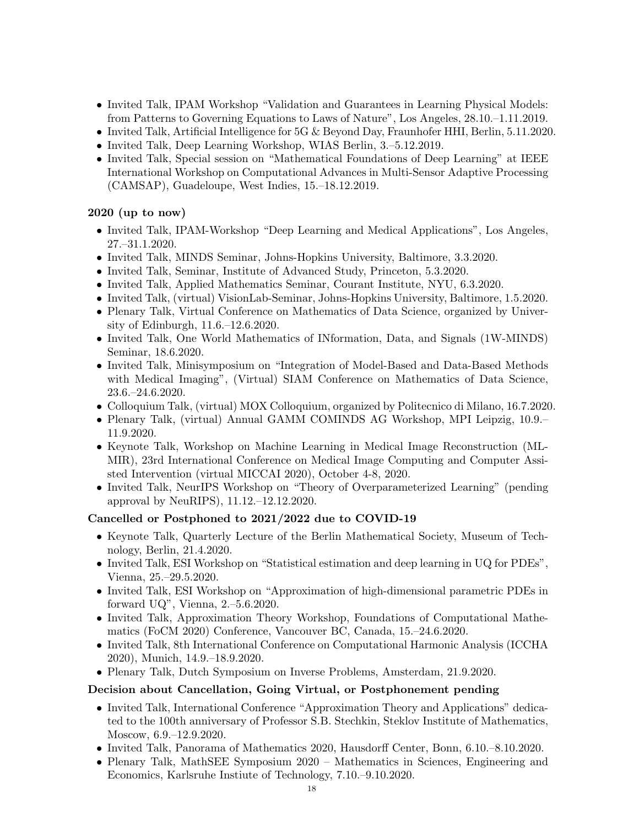- Invited Talk, IPAM Workshop "Validation and Guarantees in Learning Physical Models: from Patterns to Governing Equations to Laws of Nature", Los Angeles, 28.10.–1.11.2019.
- Invited Talk, Artificial Intelligence for 5G & Beyond Day, Fraunhofer HHI, Berlin, 5.11.2020.
- Invited Talk, Deep Learning Workshop, WIAS Berlin, 3.–5.12.2019.
- Invited Talk, Special session on "Mathematical Foundations of Deep Learning" at IEEE International Workshop on Computational Advances in Multi-Sensor Adaptive Processing (CAMSAP), Guadeloupe, West Indies, 15.–18.12.2019.

### 2020 (up to now)

- Invited Talk, IPAM-Workshop "Deep Learning and Medical Applications", Los Angeles, 27.–31.1.2020.
- Invited Talk, MINDS Seminar, Johns-Hopkins University, Baltimore, 3.3.2020.
- Invited Talk, Seminar, Institute of Advanced Study, Princeton, 5.3.2020.
- Invited Talk, Applied Mathematics Seminar, Courant Institute, NYU, 6.3.2020.
- Invited Talk, (virtual) VisionLab-Seminar, Johns-Hopkins University, Baltimore, 1.5.2020.
- Plenary Talk, Virtual Conference on Mathematics of Data Science, organized by University of Edinburgh, 11.6.–12.6.2020.
- Invited Talk, One World Mathematics of INformation, Data, and Signals (1W-MINDS) Seminar, 18.6.2020.
- Invited Talk, Minisymposium on "Integration of Model-Based and Data-Based Methods with Medical Imaging", (Virtual) SIAM Conference on Mathematics of Data Science, 23.6.–24.6.2020.
- Colloquium Talk, (virtual) MOX Colloquium, organized by Politecnico di Milano, 16.7.2020.
- Plenary Talk, (virtual) Annual GAMM COMINDS AG Workshop, MPI Leipzig, 10.9.– 11.9.2020.
- Keynote Talk, Workshop on Machine Learning in Medical Image Reconstruction (ML-MIR), 23rd International Conference on Medical Image Computing and Computer Assisted Intervention (virtual MICCAI 2020), October 4-8, 2020.
- Invited Talk, NeurIPS Workshop on "Theory of Overparameterized Learning" (pending approval by NeuRIPS), 11.12.–12.12.2020.

#### Cancelled or Postphoned to 2021/2022 due to COVID-19

- Keynote Talk, Quarterly Lecture of the Berlin Mathematical Society, Museum of Technology, Berlin, 21.4.2020.
- Invited Talk, ESI Workshop on "Statistical estimation and deep learning in UQ for PDEs", Vienna, 25.–29.5.2020.
- Invited Talk, ESI Workshop on "Approximation of high-dimensional parametric PDEs in forward UQ", Vienna, 2.–5.6.2020.
- Invited Talk, Approximation Theory Workshop, Foundations of Computational Mathematics (FoCM 2020) Conference, Vancouver BC, Canada, 15.–24.6.2020.
- Invited Talk, 8th International Conference on Computational Harmonic Analysis (ICCHA 2020), Munich, 14.9.–18.9.2020.
- Plenary Talk, Dutch Symposium on Inverse Problems, Amsterdam, 21.9.2020.

#### Decision about Cancellation, Going Virtual, or Postphonement pending

- Invited Talk, International Conference "Approximation Theory and Applications" dedicated to the 100th anniversary of Professor S.B. Stechkin, Steklov Institute of Mathematics, Moscow, 6.9.–12.9.2020.
- Invited Talk, Panorama of Mathematics 2020, Hausdorff Center, Bonn, 6.10.–8.10.2020.
- Plenary Talk, MathSEE Symposium 2020 Mathematics in Sciences, Engineering and Economics, Karlsruhe Instiute of Technology, 7.10.–9.10.2020.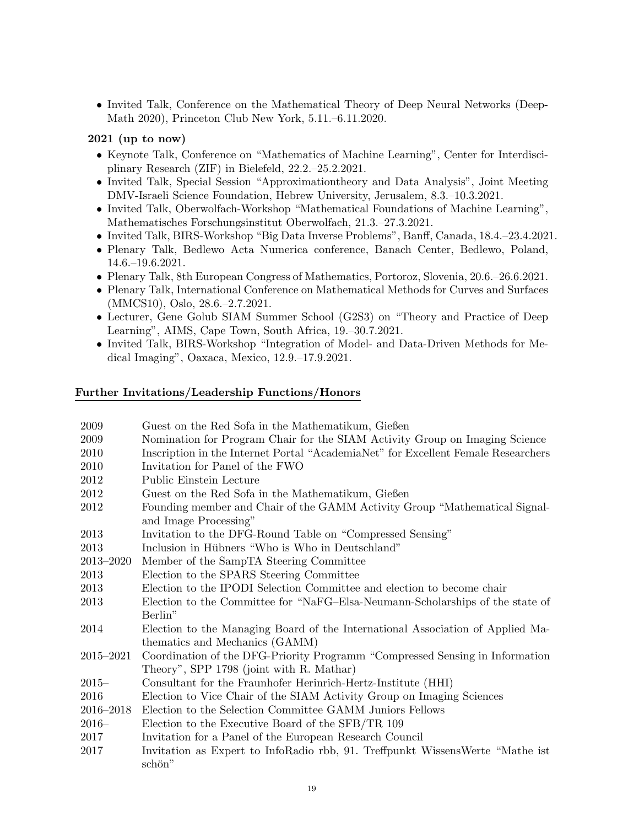• Invited Talk, Conference on the Mathematical Theory of Deep Neural Networks (Deep-Math 2020), Princeton Club New York, 5.11.–6.11.2020.

#### 2021 (up to now)

- Keynote Talk, Conference on "Mathematics of Machine Learning", Center for Interdisciplinary Research (ZIF) in Bielefeld, 22.2.–25.2.2021.
- Invited Talk, Special Session "Approximationtheory and Data Analysis", Joint Meeting DMV-Israeli Science Foundation, Hebrew University, Jerusalem, 8.3.–10.3.2021.
- Invited Talk, Oberwolfach-Workshop "Mathematical Foundations of Machine Learning", Mathematisches Forschungsinstitut Oberwolfach, 21.3.–27.3.2021.
- Invited Talk, BIRS-Workshop "Big Data Inverse Problems", Banff, Canada, 18.4.–23.4.2021.
- Plenary Talk, Bedlewo Acta Numerica conference, Banach Center, Bedlewo, Poland, 14.6.–19.6.2021.
- Plenary Talk, 8th European Congress of Mathematics, Portoroz, Slovenia, 20.6.–26.6.2021.
- Plenary Talk, International Conference on Mathematical Methods for Curves and Surfaces (MMCS10), Oslo, 28.6.–2.7.2021.
- Lecturer, Gene Golub SIAM Summer School (G2S3) on "Theory and Practice of Deep Learning", AIMS, Cape Town, South Africa, 19.–30.7.2021.
- Invited Talk, BIRS-Workshop "Integration of Model- and Data-Driven Methods for Medical Imaging", Oaxaca, Mexico, 12.9.–17.9.2021.

#### Further Invitations/Leadership Functions/Honors

| 2009      | Guest on the Red Sofa in the Mathematikum, Gießen                                 |
|-----------|-----------------------------------------------------------------------------------|
| 2009      | Nomination for Program Chair for the SIAM Activity Group on Imaging Science       |
| 2010      | Inscription in the Internet Portal "AcademiaNet" for Excellent Female Researchers |
| 2010      | Invitation for Panel of the FWO                                                   |
| 2012      | Public Einstein Lecture                                                           |
| 2012      | Guest on the Red Sofa in the Mathematikum, Gießen                                 |
| 2012      | Founding member and Chair of the GAMM Activity Group "Mathematical Signal-        |
|           | and Image Processing"                                                             |
| 2013      | Invitation to the DFG-Round Table on "Compressed Sensing"                         |
| 2013      | Inclusion in Hübners "Who is Who in Deutschland"                                  |
| 2013-2020 | Member of the SampTA Steering Committee                                           |
| 2013      | Election to the SPARS Steering Committee                                          |
| 2013      | Election to the IPODI Selection Committee and election to become chair            |
| 2013      | Election to the Committee for "NaFG-Elsa-Neumann-Scholarships of the state of     |
|           | Berlin"                                                                           |
| 2014      | Election to the Managing Board of the International Association of Applied Ma-    |
|           | thematics and Mechanics (GAMM)                                                    |
| 2015-2021 | Coordination of the DFG-Priority Programm "Compressed Sensing in Information      |
|           | Theory", SPP 1798 (joint with R. Mathar)                                          |
| $2015 -$  | Consultant for the Fraunhofer Herinrich-Hertz-Institute (HHI)                     |
| 2016      | Election to Vice Chair of the SIAM Activity Group on Imaging Sciences             |
| 2016-2018 | Election to the Selection Committee GAMM Juniors Fellows                          |
| $2016-$   | Election to the Executive Board of the SFB/TR 109                                 |
| 2017      | Invitation for a Panel of the European Research Council                           |
| 2017      | Invitation as Expert to InfoRadio rbb, 91. Treffpunkt WissensWerte "Mathe ist"    |
|           | schön"                                                                            |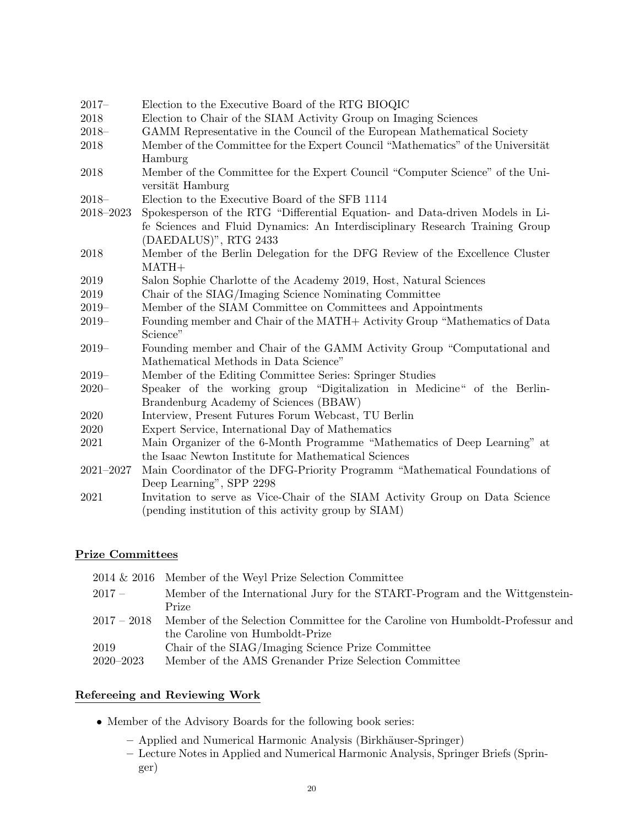| $2017 -$      | Election to the Executive Board of the RTG BIOQIC                               |
|---------------|---------------------------------------------------------------------------------|
| 2018          | Election to Chair of the SIAM Activity Group on Imaging Sciences                |
| $2018 -$      | GAMM Representative in the Council of the European Mathematical Society         |
| 2018          | Member of the Committee for the Expert Council "Mathematics" of the Universität |
|               | Hamburg                                                                         |
| 2018          | Member of the Committee for the Expert Council "Computer Science" of the Uni-   |
|               | versität Hamburg                                                                |
| $2018-$       | Election to the Executive Board of the SFB 1114                                 |
| 2018-2023     | Spokesperson of the RTG "Differential Equation- and Data-driven Models in Li-   |
|               | fe Sciences and Fluid Dynamics: An Interdisciplinary Research Training Group    |
|               | (DAEDALUS)", RTG 2433                                                           |
| 2018          | Member of the Berlin Delegation for the DFG Review of the Excellence Cluster    |
|               | $\text{MATH+}$                                                                  |
| 2019          | Salon Sophie Charlotte of the Academy 2019, Host, Natural Sciences              |
| 2019          | Chair of the SIAG/Imaging Science Nominating Committee                          |
| $2019-$       | Member of the SIAM Committee on Committees and Appointments                     |
| $2019-$       | Founding member and Chair of the MATH+ Activity Group "Mathematics of Data      |
|               | Science"                                                                        |
| $2019-$       | Founding member and Chair of the GAMM Activity Group "Computational and         |
|               | Mathematical Methods in Data Science"                                           |
| $2019-$       | Member of the Editing Committee Series: Springer Studies                        |
| $2020 -$      | Speaker of the working group "Digitalization in Medicine" of the Berlin-        |
|               | Brandenburg Academy of Sciences (BBAW)                                          |
| 2020          | Interview, Present Futures Forum Webcast, TU Berlin                             |
| 2020          | Expert Service, International Day of Mathematics                                |
| 2021          | Main Organizer of the 6-Month Programme "Mathematics of Deep Learning" at       |
|               | the Isaac Newton Institute for Mathematical Sciences                            |
| $2021 - 2027$ | Main Coordinator of the DFG-Priority Programm "Mathematical Foundations of      |
|               | Deep Learning", SPP 2298                                                        |
| 2021          | Invitation to serve as Vice-Chair of the SIAM Activity Group on Data Science    |
|               | (pending institution of this activity group by SIAM)                            |

#### Prize Committees

|               | $2014 \& 2016$ Member of the Weyl Prize Selection Committee                   |
|---------------|-------------------------------------------------------------------------------|
| $2017-$       | Member of the International Jury for the START-Program and the Wittgenstein-  |
|               | Prize                                                                         |
| $2017 - 2018$ | Member of the Selection Committee for the Caroline von Humboldt-Professur and |
|               | the Caroline von Humboldt-Prize                                               |
| 2019          | Chair of the SIAG/Imaging Science Prize Committee                             |
| $2020 - 2023$ | Member of the AMS Grenander Prize Selection Committee                         |
|               |                                                                               |

### Refereeing and Reviewing Work

- $\bullet$  Member of the Advisory Boards for the following book series:
	- $-$  Applied and Numerical Harmonic Analysis (Birkhäuser-Springer)
	- Lecture Notes in Applied and Numerical Harmonic Analysis, Springer Briefs (Springer)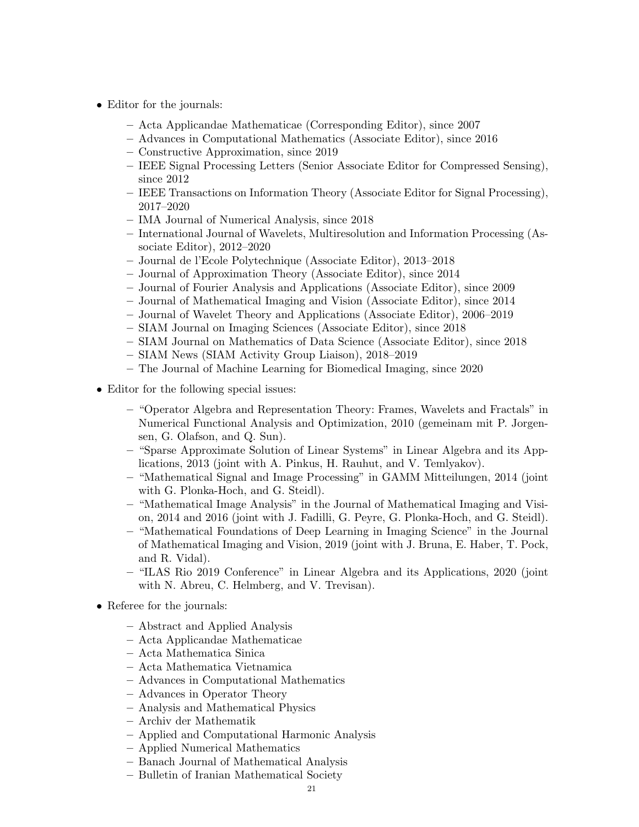- Editor for the journals:
	- Acta Applicandae Mathematicae (Corresponding Editor), since 2007
	- Advances in Computational Mathematics (Associate Editor), since 2016
	- Constructive Approximation, since 2019
	- IEEE Signal Processing Letters (Senior Associate Editor for Compressed Sensing), since 2012
	- IEEE Transactions on Information Theory (Associate Editor for Signal Processing), 2017–2020
	- IMA Journal of Numerical Analysis, since 2018
	- International Journal of Wavelets, Multiresolution and Information Processing (Associate Editor), 2012–2020
	- Journal de l'Ecole Polytechnique (Associate Editor), 2013–2018
	- Journal of Approximation Theory (Associate Editor), since 2014
	- Journal of Fourier Analysis and Applications (Associate Editor), since 2009
	- Journal of Mathematical Imaging and Vision (Associate Editor), since 2014
	- Journal of Wavelet Theory and Applications (Associate Editor), 2006–2019
	- SIAM Journal on Imaging Sciences (Associate Editor), since 2018
	- SIAM Journal on Mathematics of Data Science (Associate Editor), since 2018
	- SIAM News (SIAM Activity Group Liaison), 2018–2019
	- The Journal of Machine Learning for Biomedical Imaging, since 2020
- Editor for the following special issues:
	- "Operator Algebra and Representation Theory: Frames, Wavelets and Fractals" in Numerical Functional Analysis and Optimization, 2010 (gemeinam mit P. Jorgensen, G. Olafson, and Q. Sun).
	- "Sparse Approximate Solution of Linear Systems" in Linear Algebra and its Applications, 2013 (joint with A. Pinkus, H. Rauhut, and V. Temlyakov).
	- "Mathematical Signal and Image Processing" in GAMM Mitteilungen, 2014 (joint with G. Plonka-Hoch, and G. Steidl).
	- "Mathematical Image Analysis" in the Journal of Mathematical Imaging and Vision, 2014 and 2016 (joint with J. Fadilli, G. Peyre, G. Plonka-Hoch, and G. Steidl).
	- "Mathematical Foundations of Deep Learning in Imaging Science" in the Journal of Mathematical Imaging and Vision, 2019 (joint with J. Bruna, E. Haber, T. Pock, and R. Vidal).
	- "ILAS Rio 2019 Conference" in Linear Algebra and its Applications, 2020 (joint with N. Abreu, C. Helmberg, and V. Trevisan).
- Referee for the journals:
	- Abstract and Applied Analysis
	- Acta Applicandae Mathematicae
	- Acta Mathematica Sinica
	- Acta Mathematica Vietnamica
	- Advances in Computational Mathematics
	- Advances in Operator Theory
	- Analysis and Mathematical Physics
	- Archiv der Mathematik
	- Applied and Computational Harmonic Analysis
	- Applied Numerical Mathematics
	- Banach Journal of Mathematical Analysis
	- Bulletin of Iranian Mathematical Society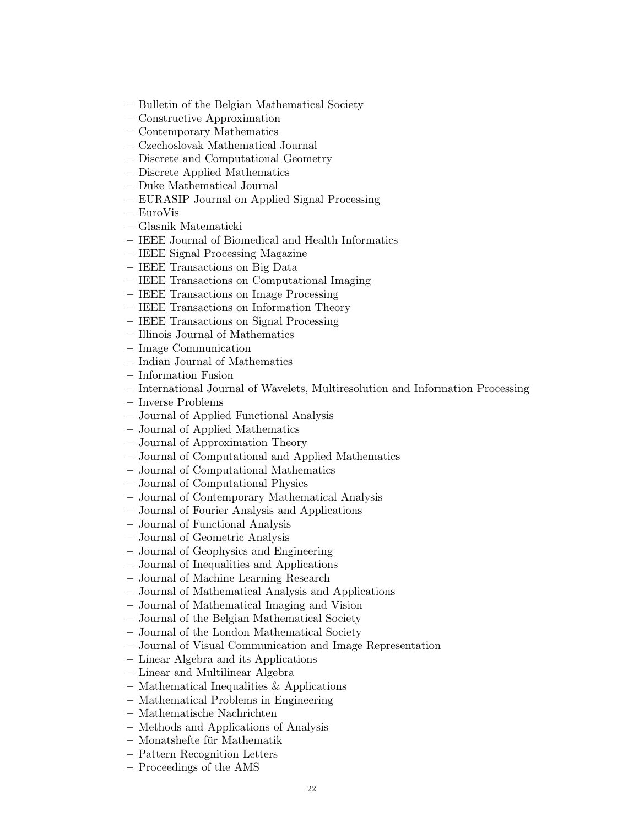- Bulletin of the Belgian Mathematical Society
- Constructive Approximation
- Contemporary Mathematics
- Czechoslovak Mathematical Journal
- Discrete and Computational Geometry
- Discrete Applied Mathematics
- Duke Mathematical Journal
- EURASIP Journal on Applied Signal Processing
- EuroVis
- Glasnik Matematicki
- IEEE Journal of Biomedical and Health Informatics
- IEEE Signal Processing Magazine
- IEEE Transactions on Big Data
- IEEE Transactions on Computational Imaging
- IEEE Transactions on Image Processing
- IEEE Transactions on Information Theory
- IEEE Transactions on Signal Processing
- Illinois Journal of Mathematics
- Image Communication
- Indian Journal of Mathematics
- Information Fusion
- International Journal of Wavelets, Multiresolution and Information Processing
- Inverse Problems
- Journal of Applied Functional Analysis
- Journal of Applied Mathematics
- Journal of Approximation Theory
- Journal of Computational and Applied Mathematics
- Journal of Computational Mathematics
- Journal of Computational Physics
- Journal of Contemporary Mathematical Analysis
- Journal of Fourier Analysis and Applications
- Journal of Functional Analysis
- Journal of Geometric Analysis
- Journal of Geophysics and Engineering
- Journal of Inequalities and Applications
- Journal of Machine Learning Research
- Journal of Mathematical Analysis and Applications
- Journal of Mathematical Imaging and Vision
- Journal of the Belgian Mathematical Society
- Journal of the London Mathematical Society
- Journal of Visual Communication and Image Representation
- Linear Algebra and its Applications
- Linear and Multilinear Algebra
- Mathematical Inequalities & Applications
- Mathematical Problems in Engineering
- Mathematische Nachrichten
- Methods and Applications of Analysis
- $-$ Monatshefte für Mathematik
- Pattern Recognition Letters
- Proceedings of the AMS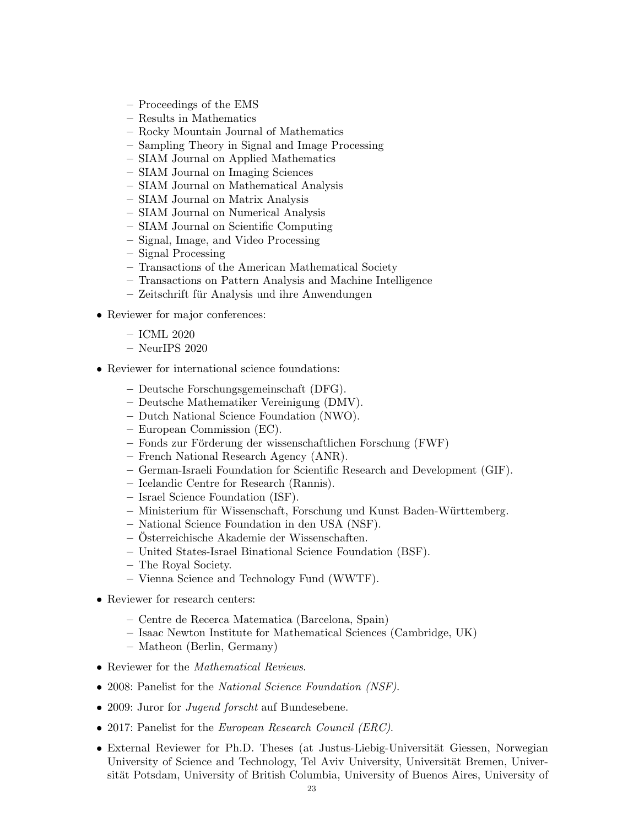- Proceedings of the EMS
- Results in Mathematics
- Rocky Mountain Journal of Mathematics
- Sampling Theory in Signal and Image Processing
- SIAM Journal on Applied Mathematics
- SIAM Journal on Imaging Sciences
- SIAM Journal on Mathematical Analysis
- SIAM Journal on Matrix Analysis
- SIAM Journal on Numerical Analysis
- SIAM Journal on Scientific Computing
- Signal, Image, and Video Processing
- Signal Processing
- Transactions of the American Mathematical Society
- Transactions on Pattern Analysis and Machine Intelligence
- $-$  Zeitschrift für Analysis und ihre Anwendungen
- Reviewer for major conferences:
	- ICML 2020
	- NeurIPS 2020
- Reviewer for international science foundations:
	- Deutsche Forschungsgemeinschaft (DFG).
	- Deutsche Mathematiker Vereinigung (DMV).
	- Dutch National Science Foundation (NWO).
	- European Commission (EC).
	- $-$  Fonds zur Förderung der wissenschaftlichen Forschung (FWF)
	- French National Research Agency (ANR).
	- German-Israeli Foundation for Scientific Research and Development (GIF).
	- Icelandic Centre for Research (Rannis).
	- Israel Science Foundation (ISF).
	- $-$  Ministerium für Wissenschaft, Forschung und Kunst Baden-Württemberg.
	- National Science Foundation in den USA (NSF).
	- $-$  Österreichische Akademie der Wissenschaften.
	- United States-Israel Binational Science Foundation (BSF).
	- The Royal Society.
	- Vienna Science and Technology Fund (WWTF).
- Reviewer for research centers:
	- Centre de Recerca Matematica (Barcelona, Spain)
	- Isaac Newton Institute for Mathematical Sciences (Cambridge, UK)
	- Matheon (Berlin, Germany)
- Reviewer for the Mathematical Reviews.
- 2008: Panelist for the *National Science Foundation (NSF)*.
- 2009: Juror for Jugend forscht auf Bundesebene.
- 2017: Panelist for the *European Research Council (ERC)*.
- External Reviewer for Ph.D. Theses (at Justus-Liebig-Universität Giessen, Norwegian University of Science and Technology, Tel Aviv University, Universität Bremen, Universität Potsdam, University of British Columbia, University of Buenos Aires, University of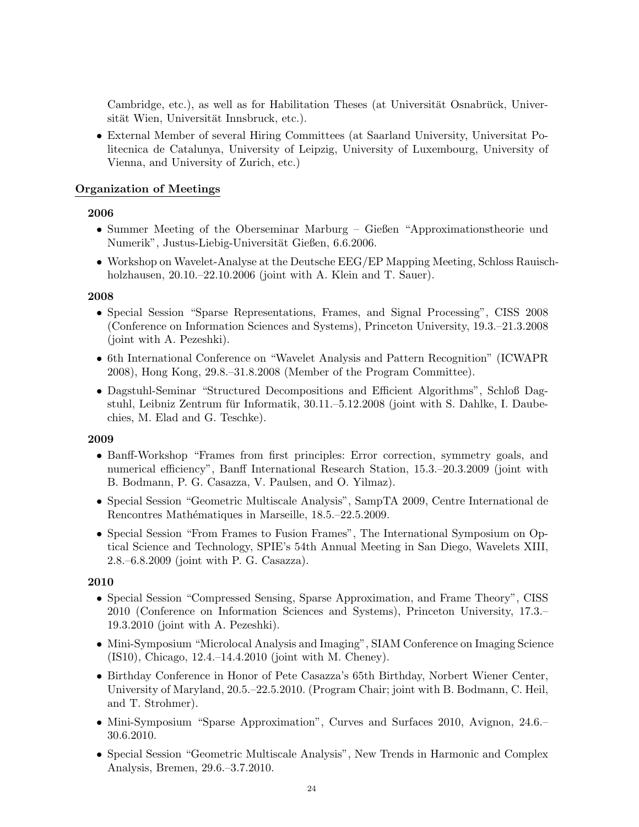Cambridge, etc.), as well as for Habilitation Theses (at Universität Osnabrück, Universität Wien, Universität Innsbruck, etc.).

• External Member of several Hiring Committees (at Saarland University, Universitat Politecnica de Catalunya, University of Leipzig, University of Luxembourg, University of Vienna, and University of Zurich, etc.)

#### Organization of Meetings

#### 2006

- Summer Meeting of the Oberseminar Marburg Gießen "Approximationstheorie und Numerik", Justus-Liebig-Universität Gießen, 6.6.2006.
- Workshop on Wavelet-Analyse at the Deutsche EEG/EP Mapping Meeting, Schloss Rauischholzhausen, 20.10.–22.10.2006 (joint with A. Klein and T. Sauer).

#### 2008

- Special Session "Sparse Representations, Frames, and Signal Processing", CISS 2008 (Conference on Information Sciences and Systems), Princeton University, 19.3.–21.3.2008 (joint with A. Pezeshki).
- 6th International Conference on "Wavelet Analysis and Pattern Recognition" (ICWAPR 2008), Hong Kong, 29.8.–31.8.2008 (Member of the Program Committee).
- Dagstuhl-Seminar "Structured Decompositions and Efficient Algorithms", Schloß Dagstuhl, Leibniz Zentrum für Informatik,  $30.11 - 5.12.2008$  (joint with S. Dahlke, I. Daubechies, M. Elad and G. Teschke).

#### 2009

- Banff-Workshop "Frames from first principles: Error correction, symmetry goals, and numerical efficiency", Banff International Research Station, 15.3.–20.3.2009 (joint with B. Bodmann, P. G. Casazza, V. Paulsen, and O. Yilmaz).
- Special Session "Geometric Multiscale Analysis", SampTA 2009, Centre International de Rencontres Mathématiques in Marseille, 18.5.–22.5.2009.
- Special Session "From Frames to Fusion Frames", The International Symposium on Optical Science and Technology, SPIE's 54th Annual Meeting in San Diego, Wavelets XIII, 2.8.–6.8.2009 (joint with P. G. Casazza).

- Special Session "Compressed Sensing, Sparse Approximation, and Frame Theory", CISS 2010 (Conference on Information Sciences and Systems), Princeton University, 17.3.– 19.3.2010 (joint with A. Pezeshki).
- Mini-Symposium "Microlocal Analysis and Imaging", SIAM Conference on Imaging Science (IS10), Chicago, 12.4.–14.4.2010 (joint with M. Cheney).
- Birthday Conference in Honor of Pete Casazza's 65th Birthday, Norbert Wiener Center, University of Maryland, 20.5.–22.5.2010. (Program Chair; joint with B. Bodmann, C. Heil, and T. Strohmer).
- Mini-Symposium "Sparse Approximation", Curves and Surfaces 2010, Avignon, 24.6.– 30.6.2010.
- Special Session "Geometric Multiscale Analysis", New Trends in Harmonic and Complex Analysis, Bremen, 29.6.–3.7.2010.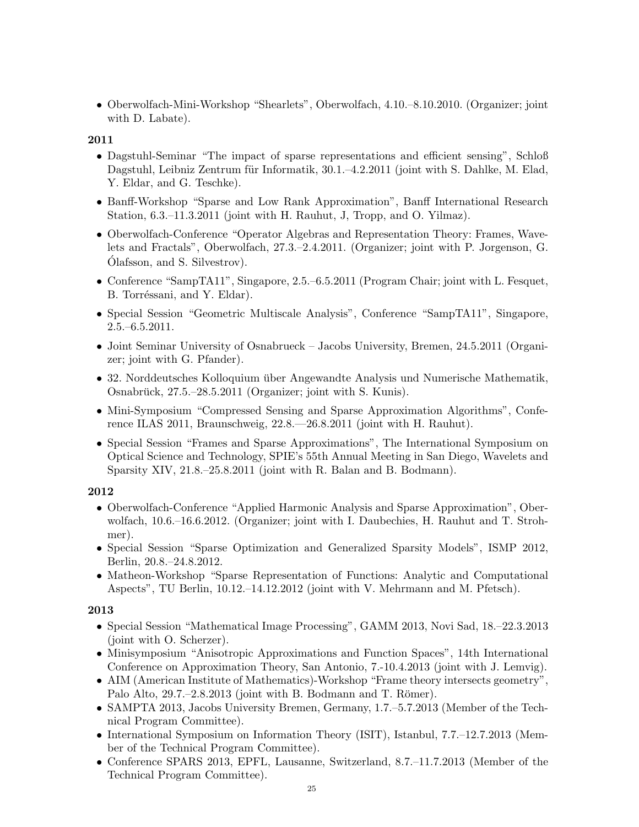• Oberwolfach-Mini-Workshop "Shearlets", Oberwolfach, 4.10.–8.10.2010. (Organizer; joint with D. Labate).

2011

- Dagstuhl-Seminar "The impact of sparse representations and efficient sensing", Schloß Dagstuhl, Leibniz Zentrum für Informatik, 30.1.–4.2.2011 (joint with S. Dahlke, M. Elad, Y. Eldar, and G. Teschke).
- Banff-Workshop "Sparse and Low Rank Approximation", Banff International Research Station, 6.3.–11.3.2011 (joint with H. Rauhut, J, Tropp, and O. Yilmaz).
- Oberwolfach-Conference "Operator Algebras and Representation Theory: Frames, Wavelets and Fractals", Oberwolfach, 27.3.–2.4.2011. (Organizer; joint with P. Jorgenson, G. Olafsson, and S. Silvestrov). ´
- Conference "SampTA11", Singapore, 2.5.–6.5.2011 (Program Chair; joint with L. Fesquet, B. Torréssani, and Y. Eldar).
- Special Session "Geometric Multiscale Analysis", Conference "SampTA11", Singapore, 2.5.–6.5.2011.
- Joint Seminar University of Osnabrueck Jacobs University, Bremen, 24.5.2011 (Organizer; joint with G. Pfander).
- 32. Norddeutsches Kolloquium über Angewandte Analysis und Numerische Mathematik, Osnabrück,  $27.5-28.5.2011$  (Organizer; joint with S. Kunis).
- Mini-Symposium "Compressed Sensing and Sparse Approximation Algorithms", Conference ILAS 2011, Braunschweig, 22.8.—26.8.2011 (joint with H. Rauhut).
- Special Session "Frames and Sparse Approximations", The International Symposium on Optical Science and Technology, SPIE's 55th Annual Meeting in San Diego, Wavelets and Sparsity XIV, 21.8.–25.8.2011 (joint with R. Balan and B. Bodmann).

### 2012

- Oberwolfach-Conference "Applied Harmonic Analysis and Sparse Approximation", Oberwolfach, 10.6.–16.6.2012. (Organizer; joint with I. Daubechies, H. Rauhut and T. Strohmer).
- Special Session "Sparse Optimization and Generalized Sparsity Models", ISMP 2012, Berlin, 20.8.–24.8.2012.
- Matheon-Workshop "Sparse Representation of Functions: Analytic and Computational Aspects", TU Berlin, 10.12.–14.12.2012 (joint with V. Mehrmann and M. Pfetsch).

- Special Session "Mathematical Image Processing", GAMM 2013, Novi Sad, 18.–22.3.2013 (joint with O. Scherzer).
- Minisymposium "Anisotropic Approximations and Function Spaces", 14th International Conference on Approximation Theory, San Antonio, 7.-10.4.2013 (joint with J. Lemvig).
- AIM (American Institute of Mathematics)-Workshop "Frame theory intersects geometry", Palo Alto,  $29.7.-2.8.2013$  (joint with B. Bodmann and T. Römer).
- SAMPTA 2013, Jacobs University Bremen, Germany, 1.7.–5.7.2013 (Member of the Technical Program Committee).
- International Symposium on Information Theory (ISIT), Istanbul, 7.7.–12.7.2013 (Member of the Technical Program Committee).
- Conference SPARS 2013, EPFL, Lausanne, Switzerland, 8.7.–11.7.2013 (Member of the Technical Program Committee).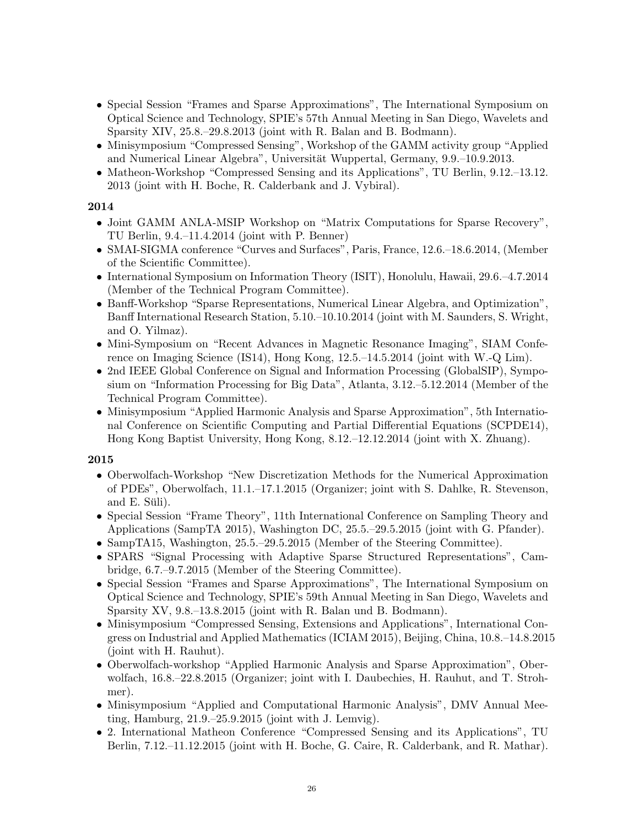- Special Session "Frames and Sparse Approximations", The International Symposium on Optical Science and Technology, SPIE's 57th Annual Meeting in San Diego, Wavelets and Sparsity XIV, 25.8.–29.8.2013 (joint with R. Balan and B. Bodmann).
- Minisymposium "Compressed Sensing", Workshop of the GAMM activity group "Applied and Numerical Linear Algebra", Universität Wuppertal, Germany, 9.9.–10.9.2013.
- Matheon-Workshop "Compressed Sensing and its Applications", TU Berlin, 9.12.–13.12. 2013 (joint with H. Boche, R. Calderbank and J. Vybiral).

- Joint GAMM ANLA-MSIP Workshop on "Matrix Computations for Sparse Recovery", TU Berlin, 9.4.–11.4.2014 (joint with P. Benner)
- SMAI-SIGMA conference "Curves and Surfaces", Paris, France, 12.6.–18.6.2014, (Member of the Scientific Committee).
- International Symposium on Information Theory (ISIT), Honolulu, Hawaii, 29.6.–4.7.2014 (Member of the Technical Program Committee).
- Banff-Workshop "Sparse Representations, Numerical Linear Algebra, and Optimization", Banff International Research Station, 5.10.–10.10.2014 (joint with M. Saunders, S. Wright, and O. Yilmaz).
- Mini-Symposium on "Recent Advances in Magnetic Resonance Imaging", SIAM Conference on Imaging Science (IS14), Hong Kong, 12.5.–14.5.2014 (joint with W.-Q Lim).
- 2nd IEEE Global Conference on Signal and Information Processing (GlobalSIP), Symposium on "Information Processing for Big Data", Atlanta, 3.12.–5.12.2014 (Member of the Technical Program Committee).
- Minisymposium "Applied Harmonic Analysis and Sparse Approximation", 5th International Conference on Scientific Computing and Partial Differential Equations (SCPDE14), Hong Kong Baptist University, Hong Kong, 8.12.–12.12.2014 (joint with X. Zhuang).

- Oberwolfach-Workshop "New Discretization Methods for the Numerical Approximation of PDEs", Oberwolfach, 11.1.–17.1.2015 (Organizer; joint with S. Dahlke, R. Stevenson, and E. Süli).
- Special Session "Frame Theory", 11th International Conference on Sampling Theory and Applications (SampTA 2015), Washington DC, 25.5.–29.5.2015 (joint with G. Pfander).
- SampTA15, Washington, 25.5.–29.5.2015 (Member of the Steering Committee).
- SPARS "Signal Processing with Adaptive Sparse Structured Representations", Cambridge, 6.7.–9.7.2015 (Member of the Steering Committee).
- Special Session "Frames and Sparse Approximations", The International Symposium on Optical Science and Technology, SPIE's 59th Annual Meeting in San Diego, Wavelets and Sparsity XV, 9.8.–13.8.2015 (joint with R. Balan und B. Bodmann).
- Minisymposium "Compressed Sensing, Extensions and Applications", International Congress on Industrial and Applied Mathematics (ICIAM 2015), Beijing, China, 10.8.–14.8.2015 (joint with H. Rauhut).
- Oberwolfach-workshop "Applied Harmonic Analysis and Sparse Approximation", Oberwolfach, 16.8.–22.8.2015 (Organizer; joint with I. Daubechies, H. Rauhut, and T. Strohmer).
- Minisymposium "Applied and Computational Harmonic Analysis", DMV Annual Meeting, Hamburg, 21.9.–25.9.2015 (joint with J. Lemvig).
- 2. International Matheon Conference "Compressed Sensing and its Applications", TU Berlin, 7.12.–11.12.2015 (joint with H. Boche, G. Caire, R. Calderbank, and R. Mathar).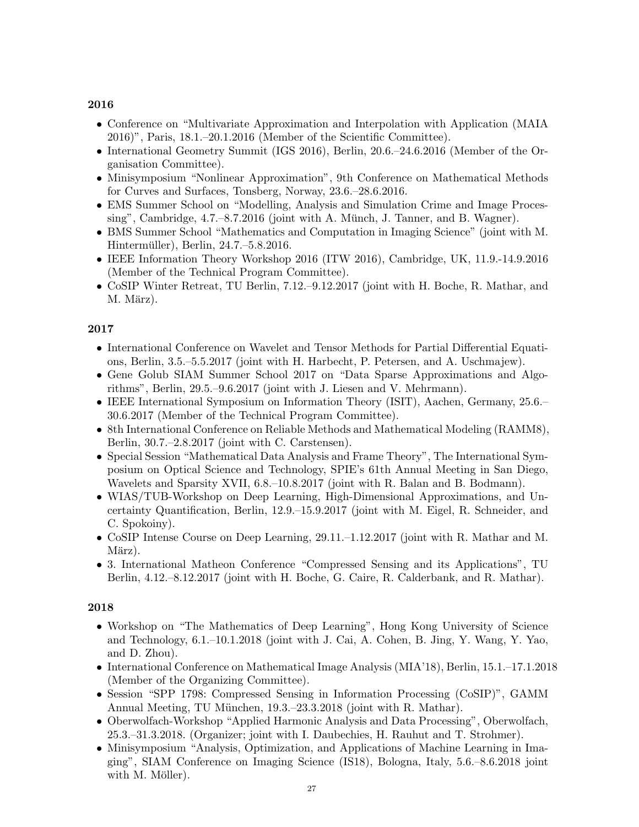- Conference on "Multivariate Approximation and Interpolation with Application (MAIA 2016)", Paris, 18.1.–20.1.2016 (Member of the Scientific Committee).
- International Geometry Summit (IGS 2016), Berlin, 20.6.–24.6.2016 (Member of the Organisation Committee).
- Minisymposium "Nonlinear Approximation", 9th Conference on Mathematical Methods for Curves and Surfaces, Tonsberg, Norway, 23.6.–28.6.2016.
- EMS Summer School on "Modelling, Analysis and Simulation Crime and Image Processing", Cambridge,  $4.7.-8.7.2016$  (joint with A. Münch, J. Tanner, and B. Wagner).
- BMS Summer School "Mathematics and Computation in Imaging Science" (joint with M. Hintermüller), Berlin, 24.7.–5.8.2016.
- IEEE Information Theory Workshop 2016 (ITW 2016), Cambridge, UK, 11.9.-14.9.2016 (Member of the Technical Program Committee).
- CoSIP Winter Retreat, TU Berlin, 7.12.–9.12.2017 (joint with H. Boche, R. Mathar, and M. März).

### 2017

- International Conference on Wavelet and Tensor Methods for Partial Differential Equations, Berlin, 3.5.–5.5.2017 (joint with H. Harbecht, P. Petersen, and A. Uschmajew).
- Gene Golub SIAM Summer School 2017 on "Data Sparse Approximations and Algorithms", Berlin, 29.5.–9.6.2017 (joint with J. Liesen and V. Mehrmann).
- IEEE International Symposium on Information Theory (ISIT), Aachen, Germany, 25.6.– 30.6.2017 (Member of the Technical Program Committee).
- 8th International Conference on Reliable Methods and Mathematical Modeling (RAMM8), Berlin, 30.7.–2.8.2017 (joint with C. Carstensen).
- Special Session "Mathematical Data Analysis and Frame Theory", The International Symposium on Optical Science and Technology, SPIE's 61th Annual Meeting in San Diego, Wavelets and Sparsity XVII, 6.8.–10.8.2017 (joint with R. Balan and B. Bodmann).
- WIAS/TUB-Workshop on Deep Learning, High-Dimensional Approximations, and Uncertainty Quantification, Berlin, 12.9.–15.9.2017 (joint with M. Eigel, R. Schneider, and C. Spokoiny).
- CoSIP Intense Course on Deep Learning, 29.11.–1.12.2017 (joint with R. Mathar and M. März).
- 3. International Matheon Conference "Compressed Sensing and its Applications", TU Berlin, 4.12.–8.12.2017 (joint with H. Boche, G. Caire, R. Calderbank, and R. Mathar).

- Workshop on "The Mathematics of Deep Learning", Hong Kong University of Science and Technology, 6.1.–10.1.2018 (joint with J. Cai, A. Cohen, B. Jing, Y. Wang, Y. Yao, and D. Zhou).
- International Conference on Mathematical Image Analysis (MIA'18), Berlin, 15.1.–17.1.2018 (Member of the Organizing Committee).
- Session "SPP 1798: Compressed Sensing in Information Processing (CoSIP)", GAMM Annual Meeting, TU München, 19.3.–23.3.2018 (joint with R. Mathar).
- Oberwolfach-Workshop "Applied Harmonic Analysis and Data Processing", Oberwolfach, 25.3.–31.3.2018. (Organizer; joint with I. Daubechies, H. Rauhut and T. Strohmer).
- Minisymposium "Analysis, Optimization, and Applications of Machine Learning in Imaging", SIAM Conference on Imaging Science (IS18), Bologna, Italy, 5.6.–8.6.2018 joint with M. Möller).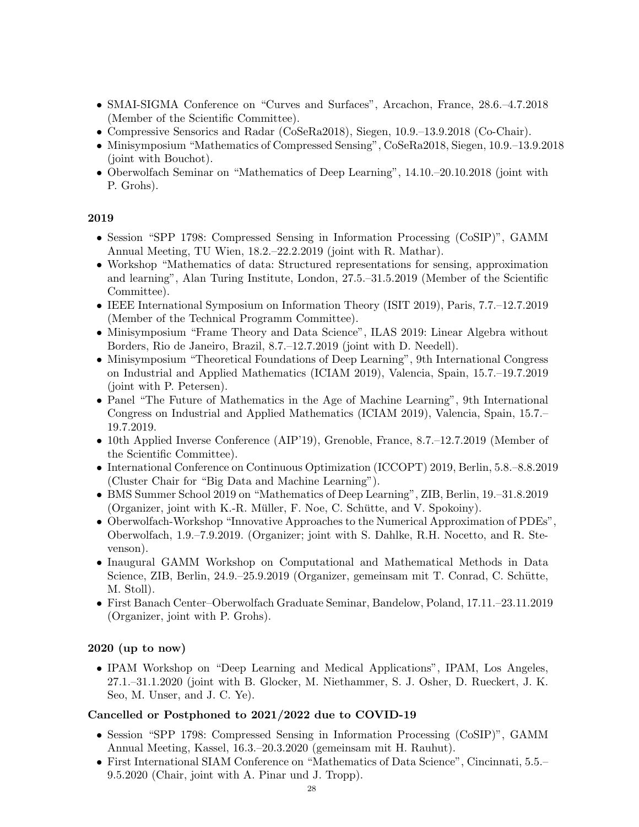- SMAI-SIGMA Conference on "Curves and Surfaces", Arcachon, France, 28.6.–4.7.2018 (Member of the Scientific Committee).
- Compressive Sensorics and Radar (CoSeRa2018), Siegen, 10.9.–13.9.2018 (Co-Chair).
- Minisymposium "Mathematics of Compressed Sensing", CoSeRa2018, Siegen, 10.9.–13.9.2018 (joint with Bouchot).
- Oberwolfach Seminar on "Mathematics of Deep Learning", 14.10.–20.10.2018 (joint with P. Grohs).

- Session "SPP 1798: Compressed Sensing in Information Processing (CoSIP)", GAMM Annual Meeting, TU Wien, 18.2.–22.2.2019 (joint with R. Mathar).
- Workshop "Mathematics of data: Structured representations for sensing, approximation and learning", Alan Turing Institute, London, 27.5.–31.5.2019 (Member of the Scientific Committee).
- IEEE International Symposium on Information Theory (ISIT 2019), Paris, 7.7.–12.7.2019 (Member of the Technical Programm Committee).
- Minisymposium "Frame Theory and Data Science", ILAS 2019: Linear Algebra without Borders, Rio de Janeiro, Brazil, 8.7.–12.7.2019 (joint with D. Needell).
- Minisymposium "Theoretical Foundations of Deep Learning", 9th International Congress on Industrial and Applied Mathematics (ICIAM 2019), Valencia, Spain, 15.7.–19.7.2019 (joint with P. Petersen).
- Panel "The Future of Mathematics in the Age of Machine Learning", 9th International Congress on Industrial and Applied Mathematics (ICIAM 2019), Valencia, Spain, 15.7.– 19.7.2019.
- 10th Applied Inverse Conference (AIP'19), Grenoble, France, 8.7.–12.7.2019 (Member of the Scientific Committee).
- International Conference on Continuous Optimization (ICCOPT) 2019, Berlin, 5.8.–8.8.2019 (Cluster Chair for "Big Data and Machine Learning").
- BMS Summer School 2019 on "Mathematics of Deep Learning", ZIB, Berlin, 19.–31.8.2019 (Organizer, joint with K.-R. Müller, F. Noe, C. Schütte, and V. Spokoiny).
- Oberwolfach-Workshop "Innovative Approaches to the Numerical Approximation of PDEs", Oberwolfach, 1.9.–7.9.2019. (Organizer; joint with S. Dahlke, R.H. Nocetto, and R. Stevenson).
- Inaugural GAMM Workshop on Computational and Mathematical Methods in Data Science, ZIB, Berlin, 24.9.–25.9.2019 (Organizer, gemeinsam mit T. Conrad, C. Schutte, ¨ M. Stoll).
- First Banach Center–Oberwolfach Graduate Seminar, Bandelow, Poland, 17.11.–23.11.2019 (Organizer, joint with P. Grohs).

#### 2020 (up to now)

• IPAM Workshop on "Deep Learning and Medical Applications", IPAM, Los Angeles, 27.1.–31.1.2020 (joint with B. Glocker, M. Niethammer, S. J. Osher, D. Rueckert, J. K. Seo, M. Unser, and J. C. Ye).

#### Cancelled or Postphoned to 2021/2022 due to COVID-19

- Session "SPP 1798: Compressed Sensing in Information Processing (CoSIP)", GAMM Annual Meeting, Kassel, 16.3.–20.3.2020 (gemeinsam mit H. Rauhut).
- First International SIAM Conference on "Mathematics of Data Science", Cincinnati, 5.5.– 9.5.2020 (Chair, joint with A. Pinar und J. Tropp).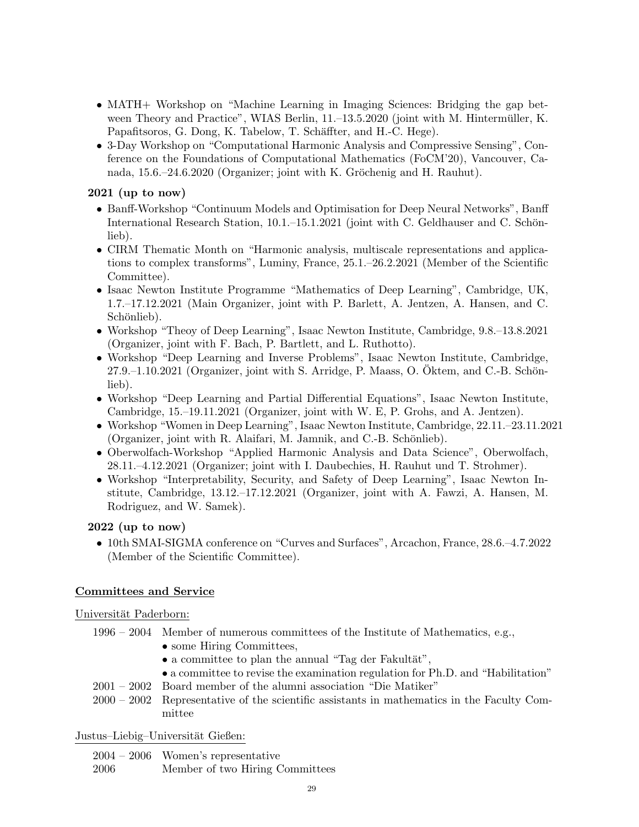- MATH+ Workshop on "Machine Learning in Imaging Sciences: Bridging the gap between Theory and Practice", WIAS Berlin,  $11.-13.5.2020$  (joint with M. Hintermüller, K. Papafitsoros, G. Dong, K. Tabelow, T. Schäffter, and H.-C. Hege).
- 3-Day Workshop on "Computational Harmonic Analysis and Compressive Sensing", Conference on the Foundations of Computational Mathematics (FoCM'20), Vancouver, Canada, 15.6.–24.6.2020 (Organizer; joint with K. Gröchenig and H. Rauhut).

### 2021 (up to now)

- Banff-Workshop "Continuum Models and Optimisation for Deep Neural Networks", Banff International Research Station,  $10.1 - 15.1.2021$  (joint with C. Geldhauser and C. Schönlieb).
- CIRM Thematic Month on "Harmonic analysis, multiscale representations and applications to complex transforms", Luminy, France, 25.1.–26.2.2021 (Member of the Scientific Committee).
- Isaac Newton Institute Programme "Mathematics of Deep Learning", Cambridge, UK, 1.7.–17.12.2021 (Main Organizer, joint with P. Barlett, A. Jentzen, A. Hansen, and C. Schönlieb).
- Workshop "Theoy of Deep Learning", Isaac Newton Institute, Cambridge, 9.8.–13.8.2021 (Organizer, joint with F. Bach, P. Bartlett, and L. Ruthotto).
- Workshop "Deep Learning and Inverse Problems", Isaac Newton Institute, Cambridge,  $27.9-1.10.2021$  (Organizer, joint with S. Arridge, P. Maass, O. Oktem, and C.-B. Schönlieb).
- Workshop "Deep Learning and Partial Differential Equations", Isaac Newton Institute, Cambridge, 15.–19.11.2021 (Organizer, joint with W. E, P. Grohs, and A. Jentzen).
- Workshop "Women in Deep Learning", Isaac Newton Institute, Cambridge, 22.11.–23.11.2021 (Organizer, joint with R. Alaifari, M. Jamnik, and C.-B. Schönlieb).
- Oberwolfach-Workshop "Applied Harmonic Analysis and Data Science", Oberwolfach, 28.11.–4.12.2021 (Organizer; joint with I. Daubechies, H. Rauhut und T. Strohmer).
- Workshop "Interpretability, Security, and Safety of Deep Learning", Isaac Newton Institute, Cambridge, 13.12.–17.12.2021 (Organizer, joint with A. Fawzi, A. Hansen, M. Rodriguez, and W. Samek).

#### 2022 (up to now)

• 10th SMAI-SIGMA conference on "Curves and Surfaces", Arcachon, France, 28.6.–4.7.2022 (Member of the Scientific Committee).

### Committees and Service

Universität Paderborn:

- 1996 2004 Member of numerous committees of the Institute of Mathematics, e.g.,
	- some Hiring Committees,
	- a committee to plan the annual "Tag der Fakultät",
	- a committee to revise the examination regulation for Ph.D. and "Habilitation"
- 2001 2002 Board member of the alumni association "Die Matiker"
- 2000 2002 Representative of the scientific assistants in mathematics in the Faculty Committee

Justus–Liebig–Universität Gießen:

2004 – 2006 Women's representative

2006 Member of two Hiring Committees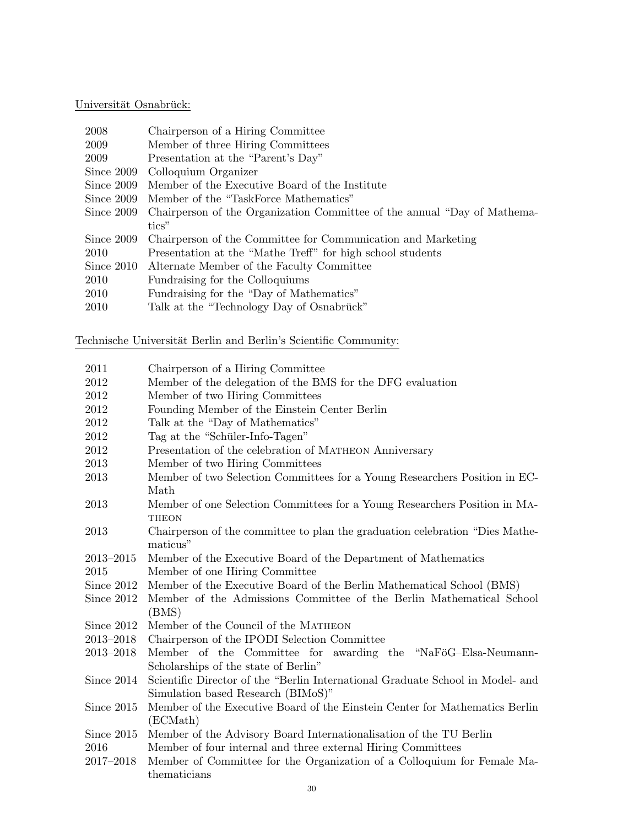# Universität Osnabrück:

| 2008       | Chairperson of a Hiring Committee                                        |
|------------|--------------------------------------------------------------------------|
| 2009       | Member of three Hiring Committees                                        |
| 2009       | Presentation at the "Parent's Day"                                       |
| Since 2009 | Colloquium Organizer                                                     |
| Since 2009 | Member of the Executive Board of the Institute                           |
| Since 2009 | Member of the "TaskForce Mathematics"                                    |
| Since 2009 | Chairperson of the Organization Committee of the annual "Day of Mathema- |
|            | tics"                                                                    |
| Since 2009 | Chairperson of the Committee for Communication and Marketing             |
| 2010       | Presentation at the "Mathe Treff" for high school students               |
| Since 2010 | Alternate Member of the Faculty Committee                                |
| 2010       | Fundraising for the Colloquiums                                          |
| 2010       | Fundraising for the "Day of Mathematics"                                 |
| 2010       | Talk at the "Technology Day of Osnabrück"                                |

Technische Universität Berlin and Berlin's Scientific Community:

| 2011          | Chairperson of a Hiring Committee                                              |
|---------------|--------------------------------------------------------------------------------|
| 2012          | Member of the delegation of the BMS for the DFG evaluation                     |
| 2012          | Member of two Hiring Committees                                                |
| 2012          | Founding Member of the Einstein Center Berlin                                  |
| 2012          | Talk at the "Day of Mathematics"                                               |
| 2012          | Tag at the "Schüler-Info-Tagen"                                                |
| 2012          | Presentation of the celebration of MATHEON Anniversary                         |
| 2013          | Member of two Hiring Committees                                                |
| 2013          | Member of two Selection Committees for a Young Researchers Position in EC-     |
|               | Math                                                                           |
| 2013          | Member of one Selection Committees for a Young Researchers Position in MA-     |
|               | <b>THEON</b>                                                                   |
| 2013          | Chairperson of the committee to plan the graduation celebration "Dies Mathe-   |
|               | maticus"                                                                       |
| 2013-2015     | Member of the Executive Board of the Department of Mathematics                 |
| 2015          | Member of one Hiring Committee                                                 |
| Since 2012    | Member of the Executive Board of the Berlin Mathematical School (BMS)          |
| Since 2012    | Member of the Admissions Committee of the Berlin Mathematical School           |
|               | (BMS)                                                                          |
| Since 2012    | Member of the Council of the MATHEON                                           |
| 2013-2018     | Chairperson of the IPODI Selection Committee                                   |
| 2013-2018     | Member of the Committee for awarding the "NaFöG-Elsa-Neumann-                  |
|               | Scholarships of the state of Berlin"                                           |
| Since 2014    | Scientific Director of the "Berlin International Graduate School in Model- and |
|               | Simulation based Research (BIMoS)"                                             |
| Since 2015    | Member of the Executive Board of the Einstein Center for Mathematics Berlin    |
|               | (ECMath)                                                                       |
| Since 2015    | Member of the Advisory Board Internationalisation of the TU Berlin             |
| 2016          | Member of four internal and three external Hiring Committees                   |
| $2017 - 2018$ | Member of Committee for the Organization of a Colloquium for Female Ma-        |
|               | thematicians                                                                   |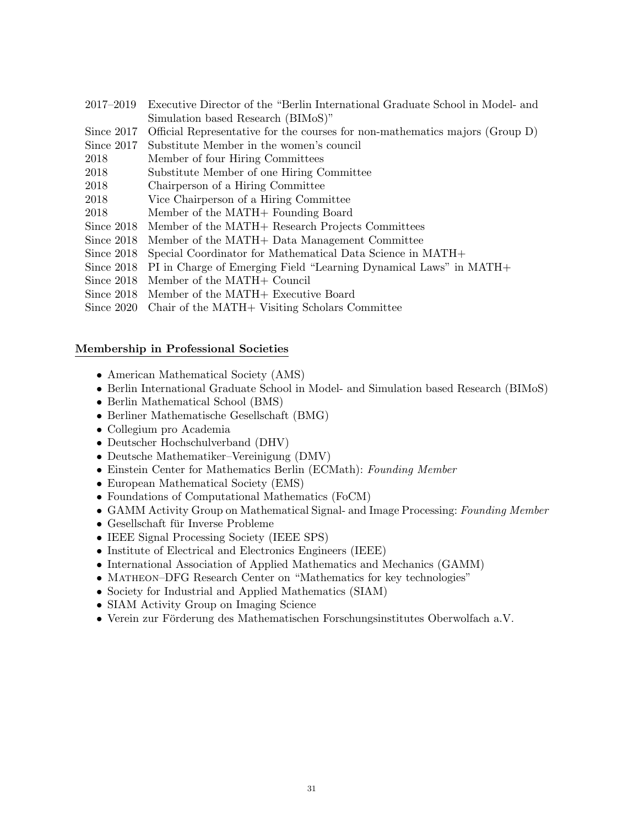- 2017–2019 Executive Director of the "Berlin International Graduate School in Model- and Simulation based Research (BIMoS)"
- Since 2017 Official Representative for the courses for non-mathematics majors (Group D)
- Since 2017 Substitute Member in the women's council
- 2018 Member of four Hiring Committees
- 2018 Substitute Member of one Hiring Committee
- 2018 Chairperson of a Hiring Committee
- 2018 Vice Chairperson of a Hiring Committee
- 2018 Member of the MATH+ Founding Board
- Since 2018 Member of the MATH+ Research Projects Committees
- Since 2018 Member of the MATH+ Data Management Committee
- Since 2018 Special Coordinator for Mathematical Data Science in MATH+
- Since 2018 PI in Charge of Emerging Field "Learning Dynamical Laws" in MATH+
- Since 2018 Member of the MATH+ Council
- Since 2018 Member of the MATH+ Executive Board
- Since 2020 Chair of the MATH+ Visiting Scholars Committee

#### Membership in Professional Societies

- American Mathematical Society (AMS)
- Berlin International Graduate School in Model- and Simulation based Research (BIMoS)
- Berlin Mathematical School (BMS)
- Berliner Mathematische Gesellschaft (BMG)
- Collegium pro Academia
- Deutscher Hochschulverband (DHV)
- Deutsche Mathematiker–Vereinigung (DMV)
- Einstein Center for Mathematics Berlin (ECMath): Founding Member
- European Mathematical Society (EMS)
- Foundations of Computational Mathematics (FoCM)
- GAMM Activity Group on Mathematical Signal- and Image Processing: Founding Member
- $\bullet$  Gesellschaft für Inverse Probleme
- IEEE Signal Processing Society (IEEE SPS)
- Institute of Electrical and Electronics Engineers (IEEE)
- International Association of Applied Mathematics and Mechanics (GAMM)
- MATHEON–DFG Research Center on "Mathematics for key technologies"
- Society for Industrial and Applied Mathematics (SIAM)
- SIAM Activity Group on Imaging Science
- Verein zur Förderung des Mathematischen Forschungsinstitutes Oberwolfach a.V.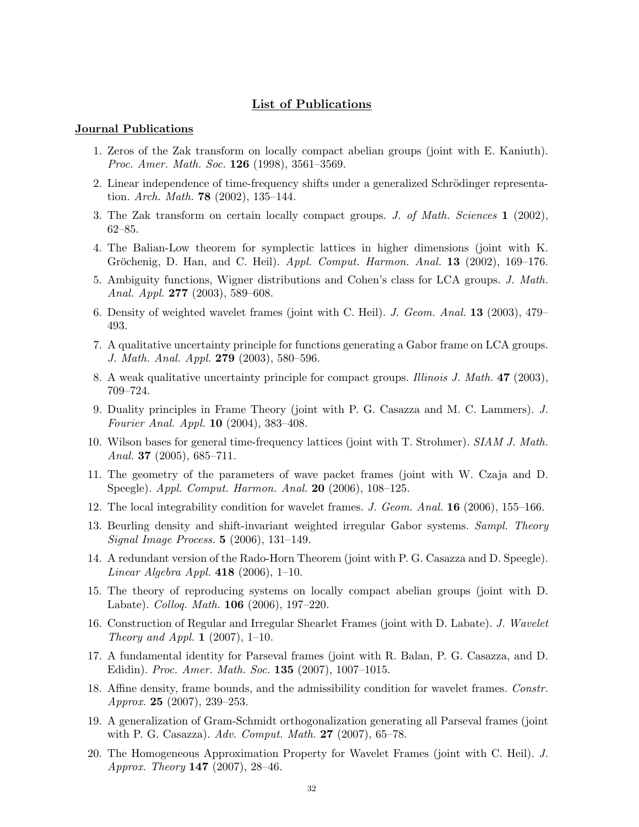#### List of Publications

#### Journal Publications

- 1. Zeros of the Zak transform on locally compact abelian groups (joint with E. Kaniuth). Proc. Amer. Math. Soc. 126 (1998), 3561–3569.
- 2. Linear independence of time-frequency shifts under a generalized Schrödinger representation. Arch. Math. **78** (2002), 135–144.
- 3. The Zak transform on certain locally compact groups. J. of Math. Sciences 1 (2002), 62–85.
- 4. The Balian-Low theorem for symplectic lattices in higher dimensions (joint with K. Gröchenig, D. Han, and C. Heil).  $Appl.$  Comput. Harmon. Anal. **13** (2002), 169–176.
- 5. Ambiguity functions, Wigner distributions and Cohen's class for LCA groups. J. Math. Anal. Appl. 277 (2003), 589–608.
- 6. Density of weighted wavelet frames (joint with C. Heil). J. Geom. Anal. 13 (2003), 479– 493.
- 7. A qualitative uncertainty principle for functions generating a Gabor frame on LCA groups. J. Math. Anal. Appl. 279 (2003), 580–596.
- 8. A weak qualitative uncertainty principle for compact groups. Illinois J. Math. 47 (2003), 709–724.
- 9. Duality principles in Frame Theory (joint with P. G. Casazza and M. C. Lammers). J. Fourier Anal. Appl. 10 (2004), 383–408.
- 10. Wilson bases for general time-frequency lattices (joint with T. Strohmer). SIAM J. Math. Anal. 37 (2005), 685–711.
- 11. The geometry of the parameters of wave packet frames (joint with W. Czaja and D. Speegle). Appl. Comput. Harmon. Anal. 20 (2006), 108–125.
- 12. The local integrability condition for wavelet frames. J. Geom. Anal. 16 (2006), 155–166.
- 13. Beurling density and shift-invariant weighted irregular Gabor systems. Sampl. Theory Signal Image Process. 5 (2006), 131–149.
- 14. A redundant version of the Rado-Horn Theorem (joint with P. G. Casazza and D. Speegle). *Linear Algebra Appl.* 418 (2006), 1–10.
- 15. The theory of reproducing systems on locally compact abelian groups (joint with D. Labate). Colloq. Math. 106 (2006), 197–220.
- 16. Construction of Regular and Irregular Shearlet Frames (joint with D. Labate). J. Wavelet *Theory and Appl.* **1** (2007), 1–10.
- 17. A fundamental identity for Parseval frames (joint with R. Balan, P. G. Casazza, and D. Edidin). Proc. Amer. Math. Soc. 135 (2007), 1007–1015.
- 18. Affine density, frame bounds, and the admissibility condition for wavelet frames. Constr. Approx. 25 (2007), 239–253.
- 19. A generalization of Gram-Schmidt orthogonalization generating all Parseval frames (joint with P. G. Casazza). Adv. Comput. Math.  $27$  (2007), 65–78.
- 20. The Homogeneous Approximation Property for Wavelet Frames (joint with C. Heil). J. Approx. Theory 147 (2007), 28–46.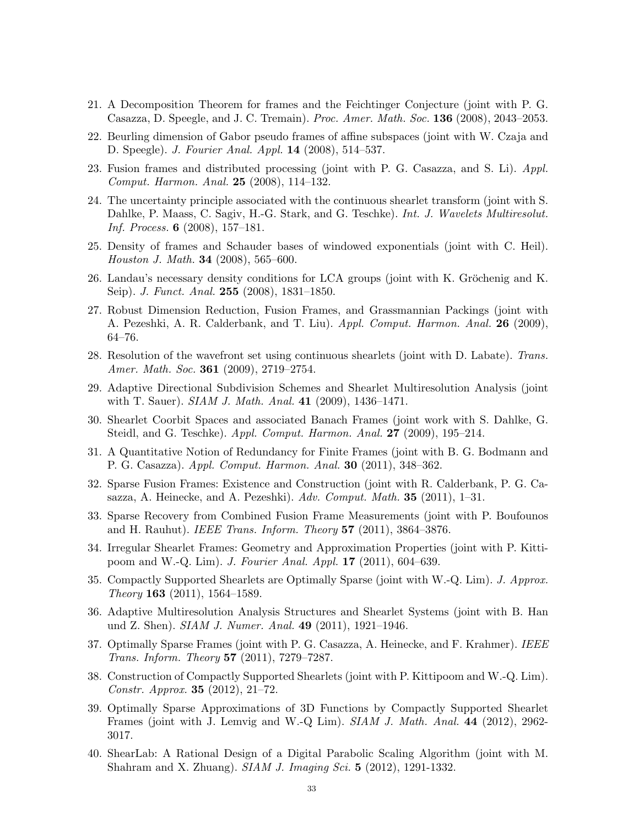- 21. A Decomposition Theorem for frames and the Feichtinger Conjecture (joint with P. G. Casazza, D. Speegle, and J. C. Tremain). Proc. Amer. Math. Soc. 136 (2008), 2043–2053.
- 22. Beurling dimension of Gabor pseudo frames of affine subspaces (joint with W. Czaja and D. Speegle). J. Fourier Anal. Appl. 14 (2008), 514–537.
- 23. Fusion frames and distributed processing (joint with P. G. Casazza, and S. Li). Appl. Comput. Harmon. Anal. 25 (2008), 114–132.
- 24. The uncertainty principle associated with the continuous shearlet transform (joint with S. Dahlke, P. Maass, C. Sagiv, H.-G. Stark, and G. Teschke). Int. J. Wavelets Multiresolut. Inf. Process. 6 (2008), 157–181.
- 25. Density of frames and Schauder bases of windowed exponentials (joint with C. Heil). Houston J. Math. 34 (2008), 565–600.
- 26. Landau's necessary density conditions for LCA groups (joint with K. Gröchenig and K. Seip). J. Funct. Anal. 255 (2008), 1831–1850.
- 27. Robust Dimension Reduction, Fusion Frames, and Grassmannian Packings (joint with A. Pezeshki, A. R. Calderbank, and T. Liu). Appl. Comput. Harmon. Anal. 26 (2009), 64–76.
- 28. Resolution of the wavefront set using continuous shearlets (joint with D. Labate). Trans. Amer. Math. Soc. **361** (2009), 2719–2754.
- 29. Adaptive Directional Subdivision Schemes and Shearlet Multiresolution Analysis (joint with T. Sauer). *SIAM J. Math. Anal.* **41** (2009), 1436–1471.
- 30. Shearlet Coorbit Spaces and associated Banach Frames (joint work with S. Dahlke, G. Steidl, and G. Teschke). Appl. Comput. Harmon. Anal. 27 (2009), 195–214.
- 31. A Quantitative Notion of Redundancy for Finite Frames (joint with B. G. Bodmann and P. G. Casazza). Appl. Comput. Harmon. Anal. 30 (2011), 348–362.
- 32. Sparse Fusion Frames: Existence and Construction (joint with R. Calderbank, P. G. Casazza, A. Heinecke, and A. Pezeshki). Adv. Comput. Math. 35 (2011), 1–31.
- 33. Sparse Recovery from Combined Fusion Frame Measurements (joint with P. Boufounos and H. Rauhut). IEEE Trans. Inform. Theory 57 (2011), 3864–3876.
- 34. Irregular Shearlet Frames: Geometry and Approximation Properties (joint with P. Kittipoom and W.-Q. Lim). J. Fourier Anal. Appl. 17 (2011), 604–639.
- 35. Compactly Supported Shearlets are Optimally Sparse (joint with W.-Q. Lim). J. Approx. Theory 163 (2011), 1564–1589.
- 36. Adaptive Multiresolution Analysis Structures and Shearlet Systems (joint with B. Han und Z. Shen). SIAM J. Numer. Anal. 49 (2011), 1921–1946.
- 37. Optimally Sparse Frames (joint with P. G. Casazza, A. Heinecke, and F. Krahmer). IEEE Trans. Inform. Theory 57 (2011), 7279–7287.
- 38. Construction of Compactly Supported Shearlets (joint with P. Kittipoom and W.-Q. Lim). Constr. Approx. 35 (2012), 21–72.
- 39. Optimally Sparse Approximations of 3D Functions by Compactly Supported Shearlet Frames (joint with J. Lemvig and W.-Q Lim). SIAM J. Math. Anal. 44 (2012), 2962- 3017.
- 40. ShearLab: A Rational Design of a Digital Parabolic Scaling Algorithm (joint with M. Shahram and X. Zhuang). SIAM J. Imaging Sci. 5 (2012), 1291-1332.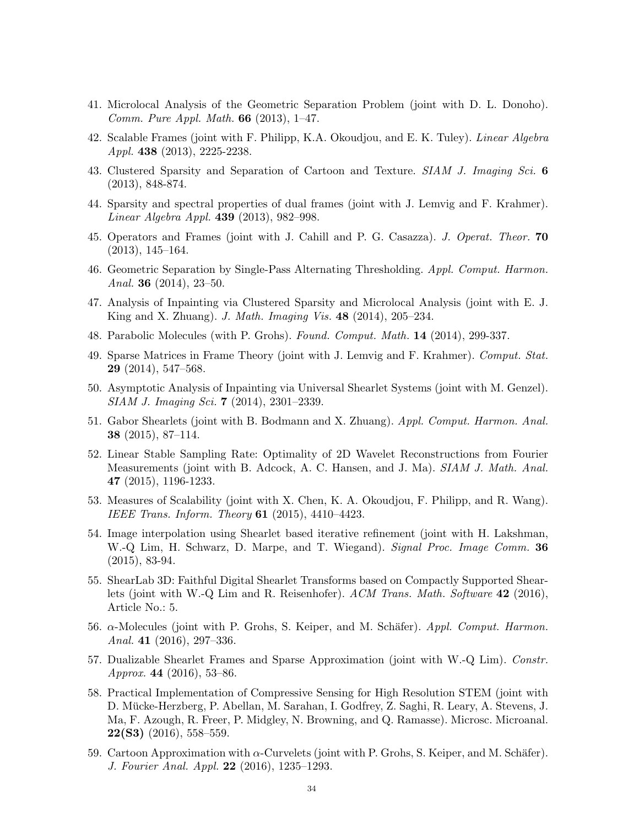- 41. Microlocal Analysis of the Geometric Separation Problem (joint with D. L. Donoho). Comm. Pure Appl. Math.  $66$  (2013), 1–47.
- 42. Scalable Frames (joint with F. Philipp, K.A. Okoudjou, and E. K. Tuley). Linear Algebra Appl. 438 (2013), 2225-2238.
- 43. Clustered Sparsity and Separation of Cartoon and Texture. SIAM J. Imaging Sci. 6 (2013), 848-874.
- 44. Sparsity and spectral properties of dual frames (joint with J. Lemvig and F. Krahmer). Linear Algebra Appl. 439 (2013), 982–998.
- 45. Operators and Frames (joint with J. Cahill and P. G. Casazza). J. Operat. Theor. 70 (2013), 145–164.
- 46. Geometric Separation by Single-Pass Alternating Thresholding. Appl. Comput. Harmon. Anal. 36 (2014), 23–50.
- 47. Analysis of Inpainting via Clustered Sparsity and Microlocal Analysis (joint with E. J. King and X. Zhuang). J. Math. Imaging Vis. 48 (2014), 205–234.
- 48. Parabolic Molecules (with P. Grohs). Found. Comput. Math. 14 (2014), 299-337.
- 49. Sparse Matrices in Frame Theory (joint with J. Lemvig and F. Krahmer). Comput. Stat. 29 (2014), 547–568.
- 50. Asymptotic Analysis of Inpainting via Universal Shearlet Systems (joint with M. Genzel). SIAM J. Imaging Sci. 7 (2014), 2301–2339.
- 51. Gabor Shearlets (joint with B. Bodmann and X. Zhuang). Appl. Comput. Harmon. Anal. 38 (2015), 87–114.
- 52. Linear Stable Sampling Rate: Optimality of 2D Wavelet Reconstructions from Fourier Measurements (joint with B. Adcock, A. C. Hansen, and J. Ma). SIAM J. Math. Anal. 47 (2015), 1196-1233.
- 53. Measures of Scalability (joint with X. Chen, K. A. Okoudjou, F. Philipp, and R. Wang). IEEE Trans. Inform. Theory  $61$  (2015), 4410-4423.
- 54. Image interpolation using Shearlet based iterative refinement (joint with H. Lakshman, W.-Q Lim, H. Schwarz, D. Marpe, and T. Wiegand). Signal Proc. Image Comm. 36 (2015), 83-94.
- 55. ShearLab 3D: Faithful Digital Shearlet Transforms based on Compactly Supported Shearlets (joint with W.-Q Lim and R. Reisenhofer). ACM Trans. Math. Software 42 (2016), Article No.: 5.
- 56. α-Molecules (joint with P. Grohs, S. Keiper, and M. Schäfer). Appl. Comput. Harmon. Anal. 41 (2016), 297–336.
- 57. Dualizable Shearlet Frames and Sparse Approximation (joint with W.-Q Lim). Constr. Approx. 44 (2016), 53–86.
- 58. Practical Implementation of Compressive Sensing for High Resolution STEM (joint with D. Mucke-Herzberg, P. Abellan, M. Sarahan, I. Godfrey, Z. Saghi, R. Leary, A. Stevens, J. ¨ Ma, F. Azough, R. Freer, P. Midgley, N. Browning, and Q. Ramasse). Microsc. Microanal.  $22(S3)$  (2016), 558–559.
- 59. Cartoon Approximation with  $\alpha$ -Curvelets (joint with P. Grohs, S. Keiper, and M. Schäfer). J. Fourier Anal. Appl. 22 (2016), 1235–1293.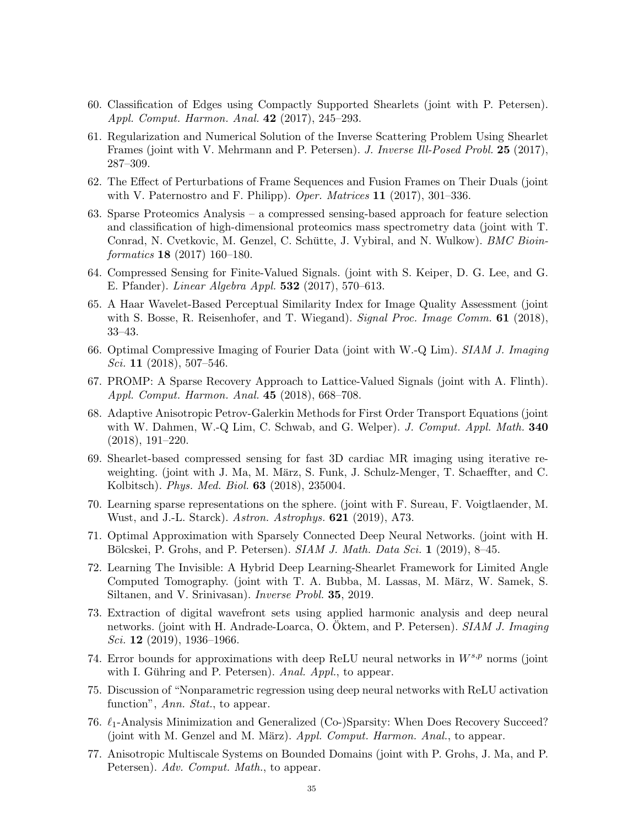- 60. Classification of Edges using Compactly Supported Shearlets (joint with P. Petersen). Appl. Comput. Harmon. Anal. 42 (2017), 245–293.
- 61. Regularization and Numerical Solution of the Inverse Scattering Problem Using Shearlet Frames (joint with V. Mehrmann and P. Petersen). J. Inverse Ill-Posed Probl. 25 (2017), 287–309.
- 62. The Effect of Perturbations of Frame Sequences and Fusion Frames on Their Duals (joint with V. Paternostro and F. Philipp). Oper. Matrices  $11$  (2017), 301–336.
- 63. Sparse Proteomics Analysis a compressed sensing-based approach for feature selection and classification of high-dimensional proteomics mass spectrometry data (joint with T. Conrad, N. Cvetkovic, M. Genzel, C. Schütte, J. Vybiral, and N. Wulkow). *BMC Bioin*formatics 18 (2017) 160–180.
- 64. Compressed Sensing for Finite-Valued Signals. (joint with S. Keiper, D. G. Lee, and G. E. Pfander). Linear Algebra Appl. 532 (2017), 570–613.
- 65. A Haar Wavelet-Based Perceptual Similarity Index for Image Quality Assessment (joint with S. Bosse, R. Reisenhofer, and T. Wiegand). Signal Proc. Image Comm.  $61$  (2018), 33–43.
- 66. Optimal Compressive Imaging of Fourier Data (joint with W.-Q Lim). SIAM J. Imaging Sci. 11 (2018), 507–546.
- 67. PROMP: A Sparse Recovery Approach to Lattice-Valued Signals (joint with A. Flinth). Appl. Comput. Harmon. Anal. 45 (2018), 668–708.
- 68. Adaptive Anisotropic Petrov-Galerkin Methods for First Order Transport Equations (joint with W. Dahmen, W.-Q Lim, C. Schwab, and G. Welper). J. Comput. Appl. Math. 340 (2018), 191–220.
- 69. Shearlet-based compressed sensing for fast 3D cardiac MR imaging using iterative reweighting. (joint with J. Ma, M. März, S. Funk, J. Schulz-Menger, T. Schaeffter, and C. Kolbitsch). Phys. Med. Biol. 63 (2018), 235004.
- 70. Learning sparse representations on the sphere. (joint with F. Sureau, F. Voigtlaender, M. Wust, and J.-L. Starck). Astron. Astrophys. 621 (2019), A73.
- 71. Optimal Approximation with Sparsely Connected Deep Neural Networks. (joint with H. Bölcskei, P. Grohs, and P. Petersen).  $SIAM J. Math. Data Sci. 1 (2019), 8-45.$
- 72. Learning The Invisible: A Hybrid Deep Learning-Shearlet Framework for Limited Angle Computed Tomography. (joint with T. A. Bubba, M. Lassas, M. März, W. Samek, S. Siltanen, and V. Srinivasan). Inverse Probl. 35, 2019.
- 73. Extraction of digital wavefront sets using applied harmonic analysis and deep neural networks. (joint with H. Andrade-Loarca, O. Öktem, and P. Petersen). *SIAM J. Imaging* Sci. 12 (2019), 1936–1966.
- 74. Error bounds for approximations with deep ReLU neural networks in  $W^{s,p}$  norms (joint with I. Gühring and P. Petersen). Anal. Appl., to appear.
- 75. Discussion of "Nonparametric regression using deep neural networks with ReLU activation function", Ann. Stat., to appear.
- 76.  $\ell_1$ -Analysis Minimization and Generalized (Co-)Sparsity: When Does Recovery Succeed? (joint with M. Genzel and M. März). Appl. Comput. Harmon. Anal., to appear.
- 77. Anisotropic Multiscale Systems on Bounded Domains (joint with P. Grohs, J. Ma, and P. Petersen). Adv. Comput. Math., to appear.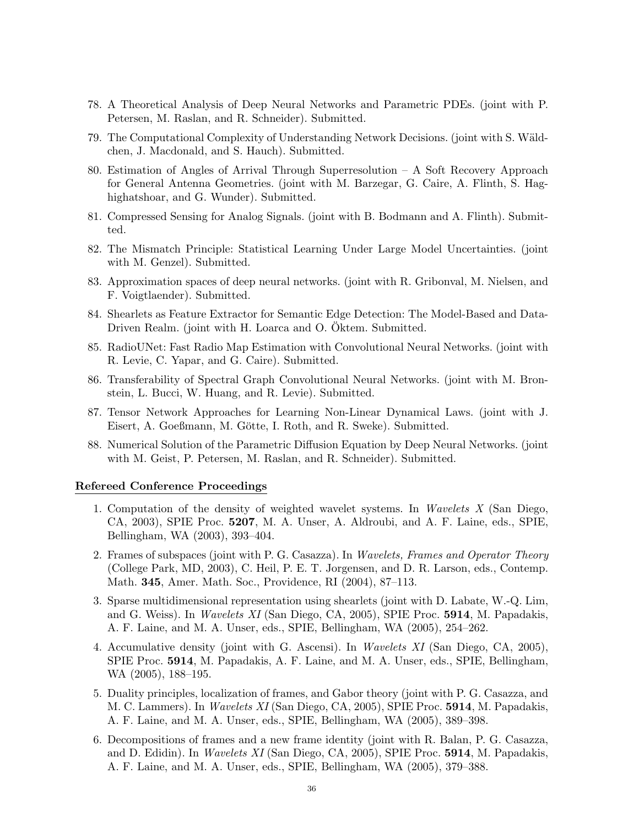- 78. A Theoretical Analysis of Deep Neural Networks and Parametric PDEs. (joint with P. Petersen, M. Raslan, and R. Schneider). Submitted.
- 79. The Computational Complexity of Understanding Network Decisions. (joint with S. Wäldchen, J. Macdonald, and S. Hauch). Submitted.
- 80. Estimation of Angles of Arrival Through Superresolution A Soft Recovery Approach for General Antenna Geometries. (joint with M. Barzegar, G. Caire, A. Flinth, S. Haghighatshoar, and G. Wunder). Submitted.
- 81. Compressed Sensing for Analog Signals. (joint with B. Bodmann and A. Flinth). Submitted.
- 82. The Mismatch Principle: Statistical Learning Under Large Model Uncertainties. (joint with M. Genzel). Submitted.
- 83. Approximation spaces of deep neural networks. (joint with R. Gribonval, M. Nielsen, and F. Voigtlaender). Submitted.
- 84. Shearlets as Feature Extractor for Semantic Edge Detection: The Model-Based and Data-Driven Realm. (joint with H. Loarca and O. Oktem. Submitted.
- 85. RadioUNet: Fast Radio Map Estimation with Convolutional Neural Networks. (joint with R. Levie, C. Yapar, and G. Caire). Submitted.
- 86. Transferability of Spectral Graph Convolutional Neural Networks. (joint with M. Bronstein, L. Bucci, W. Huang, and R. Levie). Submitted.
- 87. Tensor Network Approaches for Learning Non-Linear Dynamical Laws. (joint with J. Eisert, A. Goeßmann, M. Götte, I. Roth, and R. Sweke). Submitted.
- 88. Numerical Solution of the Parametric Diffusion Equation by Deep Neural Networks. (joint with M. Geist, P. Petersen, M. Raslan, and R. Schneider). Submitted.

#### Refereed Conference Proceedings

- 1. Computation of the density of weighted wavelet systems. In Wavelets X (San Diego, CA, 2003), SPIE Proc. 5207, M. A. Unser, A. Aldroubi, and A. F. Laine, eds., SPIE, Bellingham, WA (2003), 393–404.
- 2. Frames of subspaces (joint with P. G. Casazza). In Wavelets, Frames and Operator Theory (College Park, MD, 2003), C. Heil, P. E. T. Jorgensen, and D. R. Larson, eds., Contemp. Math. 345, Amer. Math. Soc., Providence, RI (2004), 87–113.
- 3. Sparse multidimensional representation using shearlets (joint with D. Labate, W.-Q. Lim, and G. Weiss). In Wavelets XI (San Diego, CA, 2005), SPIE Proc. 5914, M. Papadakis, A. F. Laine, and M. A. Unser, eds., SPIE, Bellingham, WA (2005), 254–262.
- 4. Accumulative density (joint with G. Ascensi). In Wavelets XI (San Diego, CA, 2005), SPIE Proc. 5914, M. Papadakis, A. F. Laine, and M. A. Unser, eds., SPIE, Bellingham, WA (2005), 188–195.
- 5. Duality principles, localization of frames, and Gabor theory (joint with P. G. Casazza, and M. C. Lammers). In Wavelets XI (San Diego, CA, 2005), SPIE Proc. 5914, M. Papadakis, A. F. Laine, and M. A. Unser, eds., SPIE, Bellingham, WA (2005), 389–398.
- 6. Decompositions of frames and a new frame identity (joint with R. Balan, P. G. Casazza, and D. Edidin). In Wavelets XI (San Diego, CA, 2005), SPIE Proc. 5914, M. Papadakis, A. F. Laine, and M. A. Unser, eds., SPIE, Bellingham, WA (2005), 379–388.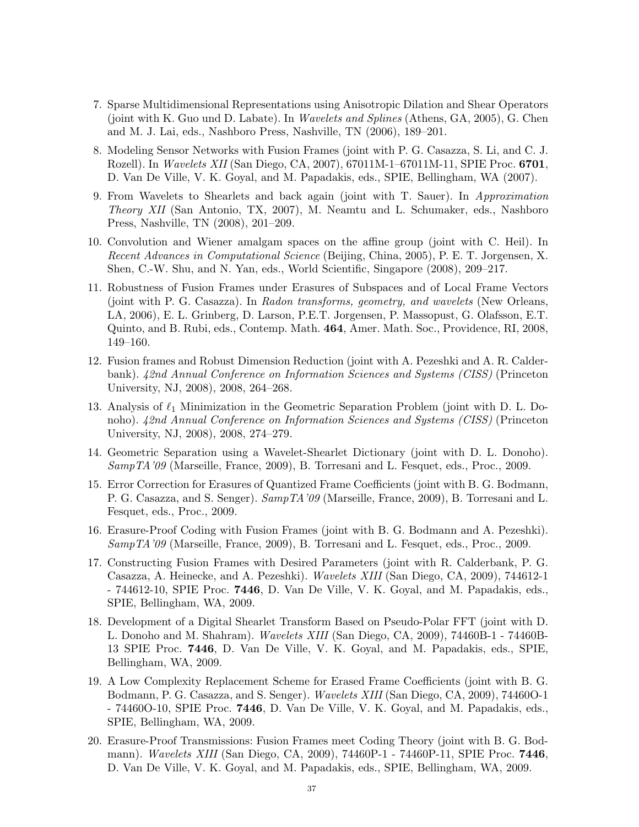- 7. Sparse Multidimensional Representations using Anisotropic Dilation and Shear Operators (joint with K. Guo und D. Labate). In Wavelets and Splines (Athens, GA, 2005), G. Chen and M. J. Lai, eds., Nashboro Press, Nashville, TN (2006), 189–201.
- 8. Modeling Sensor Networks with Fusion Frames (joint with P. G. Casazza, S. Li, and C. J. Rozell). In *Wavelets XII* (San Diego, CA, 2007), 67011M-1-67011M-11, SPIE Proc. **6701**, D. Van De Ville, V. K. Goyal, and M. Papadakis, eds., SPIE, Bellingham, WA (2007).
- 9. From Wavelets to Shearlets and back again (joint with T. Sauer). In Approximation Theory XII (San Antonio, TX, 2007), M. Neamtu and L. Schumaker, eds., Nashboro Press, Nashville, TN (2008), 201–209.
- 10. Convolution and Wiener amalgam spaces on the affine group (joint with C. Heil). In Recent Advances in Computational Science (Beijing, China, 2005), P. E. T. Jorgensen, X. Shen, C.-W. Shu, and N. Yan, eds., World Scientific, Singapore (2008), 209–217.
- 11. Robustness of Fusion Frames under Erasures of Subspaces and of Local Frame Vectors (joint with P. G. Casazza). In Radon transforms, geometry, and wavelets (New Orleans, LA, 2006), E. L. Grinberg, D. Larson, P.E.T. Jorgensen, P. Massopust, G. Olafsson, E.T. Quinto, and B. Rubi, eds., Contemp. Math. 464, Amer. Math. Soc., Providence, RI, 2008, 149–160.
- 12. Fusion frames and Robust Dimension Reduction (joint with A. Pezeshki and A. R. Calderbank). 42nd Annual Conference on Information Sciences and Systems (CISS) (Princeton University, NJ, 2008), 2008, 264–268.
- 13. Analysis of  $\ell_1$  Minimization in the Geometric Separation Problem (joint with D. L. Donoho). 42nd Annual Conference on Information Sciences and Systems (CISS) (Princeton University, NJ, 2008), 2008, 274–279.
- 14. Geometric Separation using a Wavelet-Shearlet Dictionary (joint with D. L. Donoho). SampTA'09 (Marseille, France, 2009), B. Torresani and L. Fesquet, eds., Proc., 2009.
- 15. Error Correction for Erasures of Quantized Frame Coefficients (joint with B. G. Bodmann, P. G. Casazza, and S. Senger). SampTA'09 (Marseille, France, 2009), B. Torresani and L. Fesquet, eds., Proc., 2009.
- 16. Erasure-Proof Coding with Fusion Frames (joint with B. G. Bodmann and A. Pezeshki). SampTA'09 (Marseille, France, 2009), B. Torresani and L. Fesquet, eds., Proc., 2009.
- 17. Constructing Fusion Frames with Desired Parameters (joint with R. Calderbank, P. G. Casazza, A. Heinecke, and A. Pezeshki). Wavelets XIII (San Diego, CA, 2009), 744612-1 - 744612-10, SPIE Proc. 7446, D. Van De Ville, V. K. Goyal, and M. Papadakis, eds., SPIE, Bellingham, WA, 2009.
- 18. Development of a Digital Shearlet Transform Based on Pseudo-Polar FFT (joint with D. L. Donoho and M. Shahram). Wavelets XIII (San Diego, CA, 2009), 74460B-1 - 74460B-13 SPIE Proc. 7446, D. Van De Ville, V. K. Goyal, and M. Papadakis, eds., SPIE, Bellingham, WA, 2009.
- 19. A Low Complexity Replacement Scheme for Erased Frame Coefficients (joint with B. G. Bodmann, P. G. Casazza, and S. Senger). Wavelets XIII (San Diego, CA, 2009), 74460O-1 - 74460O-10, SPIE Proc. 7446, D. Van De Ville, V. K. Goyal, and M. Papadakis, eds., SPIE, Bellingham, WA, 2009.
- 20. Erasure-Proof Transmissions: Fusion Frames meet Coding Theory (joint with B. G. Bodmann). Wavelets XIII (San Diego, CA, 2009), 74460P-1 - 74460P-11, SPIE Proc. **7446**, D. Van De Ville, V. K. Goyal, and M. Papadakis, eds., SPIE, Bellingham, WA, 2009.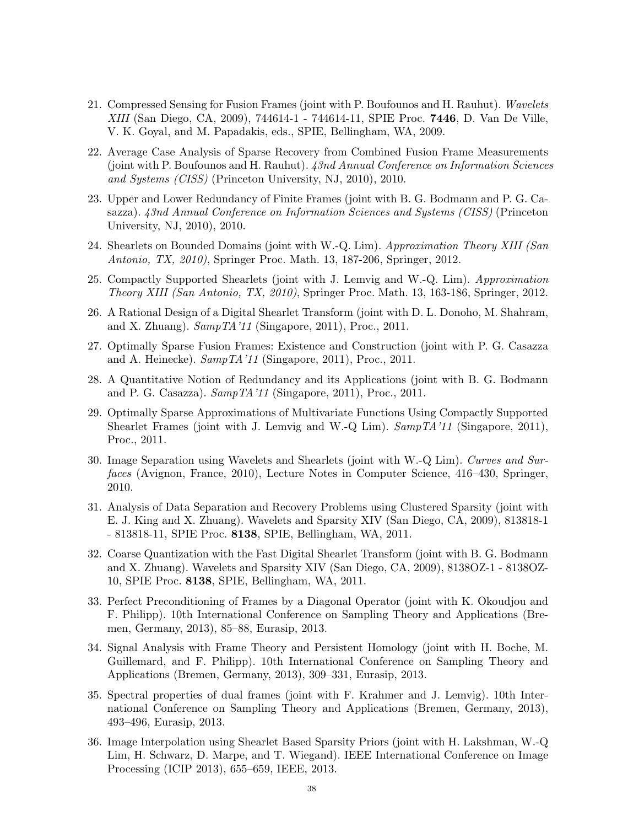- 21. Compressed Sensing for Fusion Frames (joint with P. Boufounos and H. Rauhut). Wavelets XIII (San Diego, CA, 2009), 744614-1 - 744614-11, SPIE Proc. 7446, D. Van De Ville, V. K. Goyal, and M. Papadakis, eds., SPIE, Bellingham, WA, 2009.
- 22. Average Case Analysis of Sparse Recovery from Combined Fusion Frame Measurements (joint with P. Boufounos and H. Rauhut). 43nd Annual Conference on Information Sciences and Systems (CISS) (Princeton University, NJ, 2010), 2010.
- 23. Upper and Lower Redundancy of Finite Frames (joint with B. G. Bodmann and P. G. Casazza). 43nd Annual Conference on Information Sciences and Systems (CISS) (Princeton University, NJ, 2010), 2010.
- 24. Shearlets on Bounded Domains (joint with W.-Q. Lim). Approximation Theory XIII (San Antonio, TX, 2010), Springer Proc. Math. 13, 187-206, Springer, 2012.
- 25. Compactly Supported Shearlets (joint with J. Lemvig and W.-Q. Lim). Approximation Theory XIII (San Antonio, TX, 2010), Springer Proc. Math. 13, 163-186, Springer, 2012.
- 26. A Rational Design of a Digital Shearlet Transform (joint with D. L. Donoho, M. Shahram, and X. Zhuang). SampTA'11 (Singapore, 2011), Proc., 2011.
- 27. Optimally Sparse Fusion Frames: Existence and Construction (joint with P. G. Casazza and A. Heinecke).  $SampTA'11$  (Singapore, 2011), Proc., 2011.
- 28. A Quantitative Notion of Redundancy and its Applications (joint with B. G. Bodmann and P. G. Casazza).  $SampTA'11$  (Singapore, 2011), Proc., 2011.
- 29. Optimally Sparse Approximations of Multivariate Functions Using Compactly Supported Shearlet Frames (joint with J. Lemvig and W.-Q Lim).  $SampTA'11$  (Singapore, 2011), Proc., 2011.
- 30. Image Separation using Wavelets and Shearlets (joint with W.-Q Lim). Curves and Surfaces (Avignon, France, 2010), Lecture Notes in Computer Science, 416–430, Springer, 2010.
- 31. Analysis of Data Separation and Recovery Problems using Clustered Sparsity (joint with E. J. King and X. Zhuang). Wavelets and Sparsity XIV (San Diego, CA, 2009), 813818-1 - 813818-11, SPIE Proc. 8138, SPIE, Bellingham, WA, 2011.
- 32. Coarse Quantization with the Fast Digital Shearlet Transform (joint with B. G. Bodmann and X. Zhuang). Wavelets and Sparsity XIV (San Diego, CA, 2009), 8138OZ-1 - 8138OZ-10, SPIE Proc. 8138, SPIE, Bellingham, WA, 2011.
- 33. Perfect Preconditioning of Frames by a Diagonal Operator (joint with K. Okoudjou and F. Philipp). 10th International Conference on Sampling Theory and Applications (Bremen, Germany, 2013), 85–88, Eurasip, 2013.
- 34. Signal Analysis with Frame Theory and Persistent Homology (joint with H. Boche, M. Guillemard, and F. Philipp). 10th International Conference on Sampling Theory and Applications (Bremen, Germany, 2013), 309–331, Eurasip, 2013.
- 35. Spectral properties of dual frames (joint with F. Krahmer and J. Lemvig). 10th International Conference on Sampling Theory and Applications (Bremen, Germany, 2013), 493–496, Eurasip, 2013.
- 36. Image Interpolation using Shearlet Based Sparsity Priors (joint with H. Lakshman, W.-Q Lim, H. Schwarz, D. Marpe, and T. Wiegand). IEEE International Conference on Image Processing (ICIP 2013), 655–659, IEEE, 2013.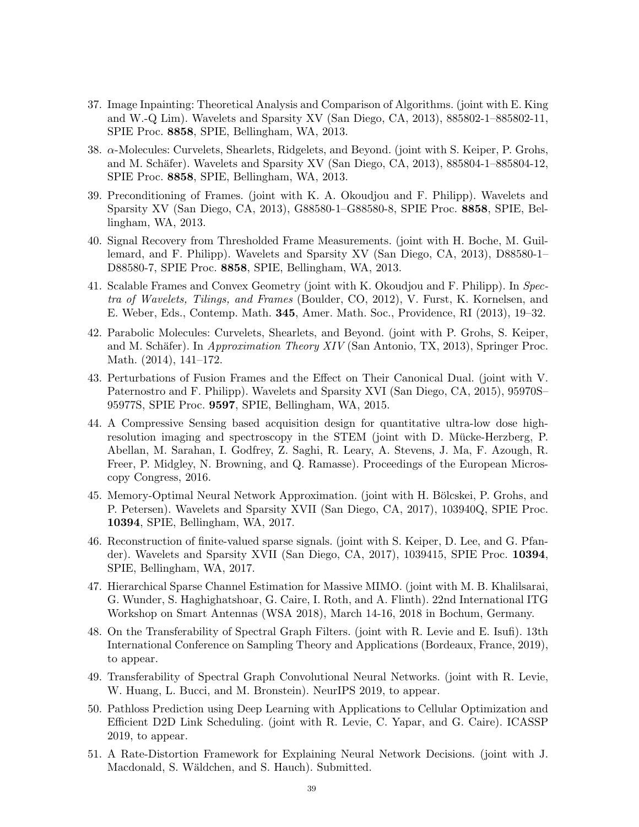- 37. Image Inpainting: Theoretical Analysis and Comparison of Algorithms. (joint with E. King and W.-Q Lim). Wavelets and Sparsity XV (San Diego, CA, 2013), 885802-1–885802-11, SPIE Proc. 8858, SPIE, Bellingham, WA, 2013.
- 38. α-Molecules: Curvelets, Shearlets, Ridgelets, and Beyond. (joint with S. Keiper, P. Grohs, and M. Schäfer). Wavelets and Sparsity XV (San Diego, CA, 2013), 885804-1–885804-12, SPIE Proc. 8858, SPIE, Bellingham, WA, 2013.
- 39. Preconditioning of Frames. (joint with K. A. Okoudjou and F. Philipp). Wavelets and Sparsity XV (San Diego, CA, 2013), G88580-1–G88580-8, SPIE Proc. 8858, SPIE, Bellingham, WA, 2013.
- 40. Signal Recovery from Thresholded Frame Measurements. (joint with H. Boche, M. Guillemard, and F. Philipp). Wavelets and Sparsity XV (San Diego, CA, 2013), D88580-1– D88580-7, SPIE Proc. 8858, SPIE, Bellingham, WA, 2013.
- 41. Scalable Frames and Convex Geometry (joint with K. Okoudjou and F. Philipp). In Spectra of Wavelets, Tilings, and Frames (Boulder, CO, 2012), V. Furst, K. Kornelsen, and E. Weber, Eds., Contemp. Math. 345, Amer. Math. Soc., Providence, RI (2013), 19–32.
- 42. Parabolic Molecules: Curvelets, Shearlets, and Beyond. (joint with P. Grohs, S. Keiper, and M. Schäfer). In *Approximation Theory XIV* (San Antonio, TX, 2013), Springer Proc. Math. (2014), 141–172.
- 43. Perturbations of Fusion Frames and the Effect on Their Canonical Dual. (joint with V. Paternostro and F. Philipp). Wavelets and Sparsity XVI (San Diego, CA, 2015), 95970S– 95977S, SPIE Proc. 9597, SPIE, Bellingham, WA, 2015.
- 44. A Compressive Sensing based acquisition design for quantitative ultra-low dose highresolution imaging and spectroscopy in the STEM (joint with D. Mücke-Herzberg, P. Abellan, M. Sarahan, I. Godfrey, Z. Saghi, R. Leary, A. Stevens, J. Ma, F. Azough, R. Freer, P. Midgley, N. Browning, and Q. Ramasse). Proceedings of the European Microscopy Congress, 2016.
- 45. Memory-Optimal Neural Network Approximation. (joint with H. Bölcskei, P. Grohs, and P. Petersen). Wavelets and Sparsity XVII (San Diego, CA, 2017), 103940Q, SPIE Proc. 10394, SPIE, Bellingham, WA, 2017.
- 46. Reconstruction of finite-valued sparse signals. (joint with S. Keiper, D. Lee, and G. Pfander). Wavelets and Sparsity XVII (San Diego, CA, 2017), 1039415, SPIE Proc. 10394, SPIE, Bellingham, WA, 2017.
- 47. Hierarchical Sparse Channel Estimation for Massive MIMO. (joint with M. B. Khalilsarai, G. Wunder, S. Haghighatshoar, G. Caire, I. Roth, and A. Flinth). 22nd International ITG Workshop on Smart Antennas (WSA 2018), March 14-16, 2018 in Bochum, Germany.
- 48. On the Transferability of Spectral Graph Filters. (joint with R. Levie and E. Isufi). 13th International Conference on Sampling Theory and Applications (Bordeaux, France, 2019), to appear.
- 49. Transferability of Spectral Graph Convolutional Neural Networks. (joint with R. Levie, W. Huang, L. Bucci, and M. Bronstein). NeurIPS 2019, to appear.
- 50. Pathloss Prediction using Deep Learning with Applications to Cellular Optimization and Efficient D2D Link Scheduling. (joint with R. Levie, C. Yapar, and G. Caire). ICASSP 2019, to appear.
- 51. A Rate-Distortion Framework for Explaining Neural Network Decisions. (joint with J. Macdonald, S. Wäldchen, and S. Hauch). Submitted.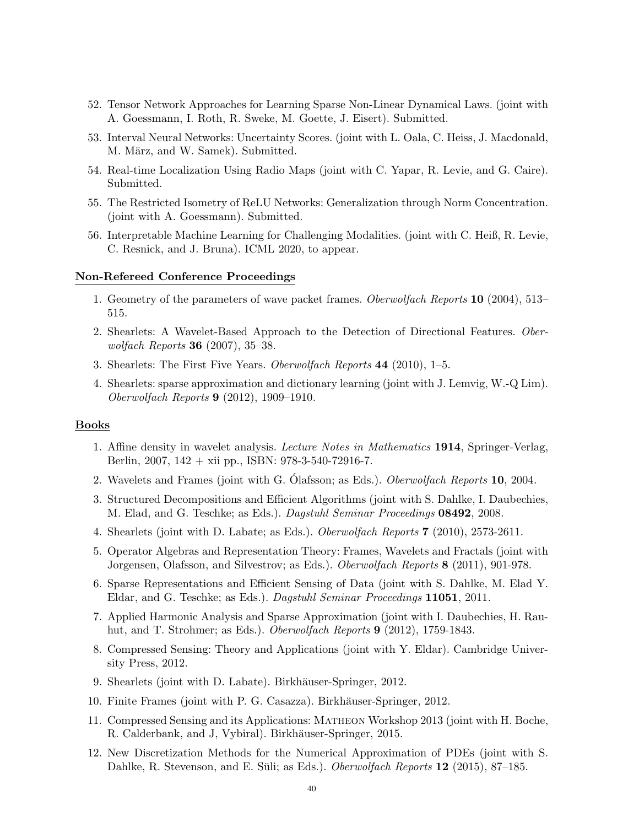- 52. Tensor Network Approaches for Learning Sparse Non-Linear Dynamical Laws. (joint with A. Goessmann, I. Roth, R. Sweke, M. Goette, J. Eisert). Submitted.
- 53. Interval Neural Networks: Uncertainty Scores. (joint with L. Oala, C. Heiss, J. Macdonald, M. März, and W. Samek). Submitted.
- 54. Real-time Localization Using Radio Maps (joint with C. Yapar, R. Levie, and G. Caire). Submitted.
- 55. The Restricted Isometry of ReLU Networks: Generalization through Norm Concentration. (joint with A. Goessmann). Submitted.
- 56. Interpretable Machine Learning for Challenging Modalities. (joint with C. Heiß, R. Levie, C. Resnick, and J. Bruna). ICML 2020, to appear.

#### Non-Refereed Conference Proceedings

- 1. Geometry of the parameters of wave packet frames. Oberwolfach Reports 10 (2004), 513– 515.
- 2. Shearlets: A Wavelet-Based Approach to the Detection of Directional Features. Oberwolfach Reports 36 (2007), 35–38.
- 3. Shearlets: The First Five Years. Oberwolfach Reports 44 (2010), 1–5.
- 4. Shearlets: sparse approximation and dictionary learning (joint with J. Lemvig, W.-Q Lim). Oberwolfach Reports 9 (2012), 1909–1910.

#### Books

- 1. Affine density in wavelet analysis. Lecture Notes in Mathematics 1914, Springer-Verlag, Berlin, 2007, 142 + xii pp., ISBN: 978-3-540-72916-7.
- 2. Wavelets and Frames (joint with G. Olafsson; as Eds.). *Oberwolfach Reports* 10, 2004.
- 3. Structured Decompositions and Efficient Algorithms (joint with S. Dahlke, I. Daubechies, M. Elad, and G. Teschke; as Eds.). Dagstuhl Seminar Proceedings 08492, 2008.
- 4. Shearlets (joint with D. Labate; as Eds.). Oberwolfach Reports 7 (2010), 2573-2611.
- 5. Operator Algebras and Representation Theory: Frames, Wavelets and Fractals (joint with Jorgensen, Olafsson, and Silvestrov; as Eds.). Oberwolfach Reports 8 (2011), 901-978.
- 6. Sparse Representations and Efficient Sensing of Data (joint with S. Dahlke, M. Elad Y. Eldar, and G. Teschke; as Eds.). Dagstuhl Seminar Proceedings 11051, 2011.
- 7. Applied Harmonic Analysis and Sparse Approximation (joint with I. Daubechies, H. Rauhut, and T. Strohmer; as Eds.). Oberwolfach Reports 9 (2012), 1759-1843.
- 8. Compressed Sensing: Theory and Applications (joint with Y. Eldar). Cambridge University Press, 2012.
- 9. Shearlets (joint with D. Labate). Birkhäuser-Springer, 2012.
- 10. Finite Frames (joint with P. G. Casazza). Birkhäuser-Springer, 2012.
- 11. Compressed Sensing and its Applications: Matheon Workshop 2013 (joint with H. Boche, R. Calderbank, and J, Vybiral). Birkhäuser-Springer, 2015.
- 12. New Discretization Methods for the Numerical Approximation of PDEs (joint with S. Dahlke, R. Stevenson, and E. Süli; as Eds.). *Oberwolfach Reports*  $12$  (2015), 87–185.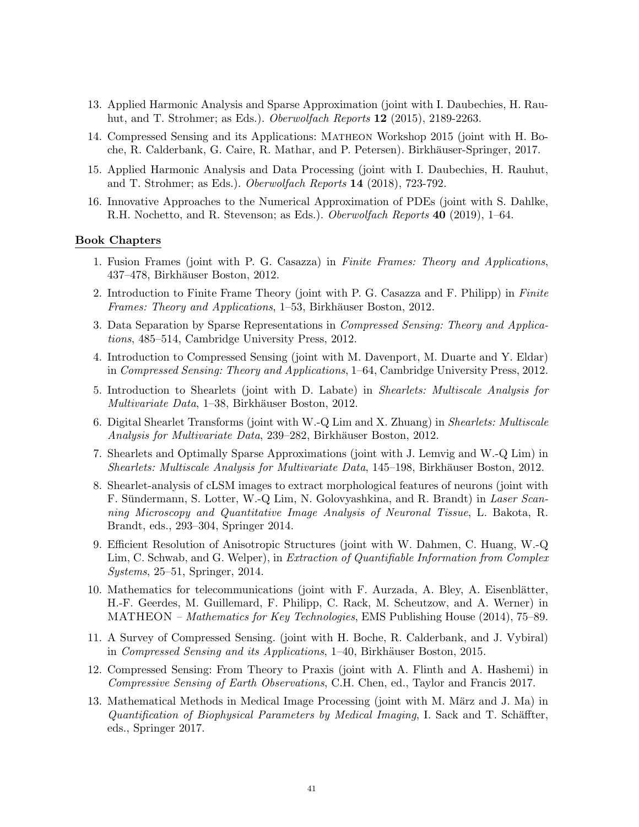- 13. Applied Harmonic Analysis and Sparse Approximation (joint with I. Daubechies, H. Rauhut, and T. Strohmer; as Eds.). *Oberwolfach Reports* **12** (2015), 2189-2263.
- 14. Compressed Sensing and its Applications: Matheon Workshop 2015 (joint with H. Boche, R. Calderbank, G. Caire, R. Mathar, and P. Petersen). Birkhäuser-Springer, 2017.
- 15. Applied Harmonic Analysis and Data Processing (joint with I. Daubechies, H. Rauhut, and T. Strohmer; as Eds.). Oberwolfach Reports 14 (2018), 723-792.
- 16. Innovative Approaches to the Numerical Approximation of PDEs (joint with S. Dahlke, R.H. Nochetto, and R. Stevenson; as Eds.). Oberwolfach Reports 40 (2019), 1–64.

#### Book Chapters

- 1. Fusion Frames (joint with P. G. Casazza) in Finite Frames: Theory and Applications, 437–478, Birkhäuser Boston, 2012.
- 2. Introduction to Finite Frame Theory (joint with P. G. Casazza and F. Philipp) in Finite Frames: Theory and Applications, 1–53, Birkhäuser Boston, 2012.
- 3. Data Separation by Sparse Representations in Compressed Sensing: Theory and Applications, 485–514, Cambridge University Press, 2012.
- 4. Introduction to Compressed Sensing (joint with M. Davenport, M. Duarte and Y. Eldar) in Compressed Sensing: Theory and Applications, 1–64, Cambridge University Press, 2012.
- 5. Introduction to Shearlets (joint with D. Labate) in Shearlets: Multiscale Analysis for Multivariate Data, 1–38, Birkhäuser Boston, 2012.
- 6. Digital Shearlet Transforms (joint with W.-Q Lim and X. Zhuang) in Shearlets: Multiscale Analysis for Multivariate Data, 239–282, Birkhäuser Boston, 2012.
- 7. Shearlets and Optimally Sparse Approximations (joint with J. Lemvig and W.-Q Lim) in Shearlets: Multiscale Analysis for Multivariate Data, 145–198, Birkhäuser Boston, 2012.
- 8. Shearlet-analysis of cLSM images to extract morphological features of neurons (joint with F. Sündermann, S. Lotter, W.-Q Lim, N. Golovyashkina, and R. Brandt) in Laser Scanning Microscopy and Quantitative Image Analysis of Neuronal Tissue, L. Bakota, R. Brandt, eds., 293–304, Springer 2014.
- 9. Efficient Resolution of Anisotropic Structures (joint with W. Dahmen, C. Huang, W.-Q Lim, C. Schwab, and G. Welper), in Extraction of Quantifiable Information from Complex Systems, 25–51, Springer, 2014.
- 10. Mathematics for telecommunications (joint with F. Aurzada, A. Bley, A. Eisenblätter, H.-F. Geerdes, M. Guillemard, F. Philipp, C. Rack, M. Scheutzow, and A. Werner) in MATHEON – Mathematics for Key Technologies, EMS Publishing House (2014), 75–89.
- 11. A Survey of Compressed Sensing. (joint with H. Boche, R. Calderbank, and J. Vybiral) in Compressed Sensing and its Applications,  $1-40$ , Birkhäuser Boston, 2015.
- 12. Compressed Sensing: From Theory to Praxis (joint with A. Flinth and A. Hashemi) in Compressive Sensing of Earth Observations, C.H. Chen, ed., Taylor and Francis 2017.
- 13. Mathematical Methods in Medical Image Processing (joint with M. März and J. Ma) in Quantification of Biophysical Parameters by Medical Imaging, I. Sack and T. Schäffter, eds., Springer 2017.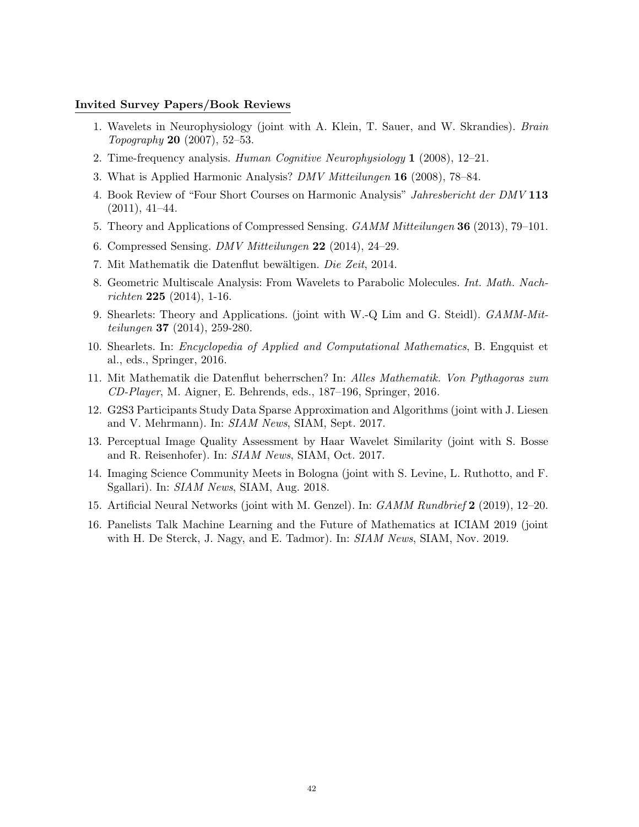#### Invited Survey Papers/Book Reviews

- 1. Wavelets in Neurophysiology (joint with A. Klein, T. Sauer, and W. Skrandies). Brain Topography 20 (2007), 52–53.
- 2. Time-frequency analysis. Human Cognitive Neurophysiology 1 (2008), 12–21.
- 3. What is Applied Harmonic Analysis? DMV Mitteilungen 16 (2008), 78–84.
- 4. Book Review of "Four Short Courses on Harmonic Analysis" Jahresbericht der DMV 113  $(2011), 41-44.$
- 5. Theory and Applications of Compressed Sensing. GAMM Mitteilungen 36 (2013), 79–101.
- 6. Compressed Sensing. DMV Mitteilungen 22 (2014), 24–29.
- 7. Mit Mathematik die Datenflut bewältigen. Die Zeit, 2014.
- 8. Geometric Multiscale Analysis: From Wavelets to Parabolic Molecules. Int. Math. Nachrichten  $225$  (2014), 1-16.
- 9. Shearlets: Theory and Applications. (joint with W.-Q Lim and G. Steidl). GAMM-Mitteilungen 37 (2014), 259-280.
- 10. Shearlets. In: Encyclopedia of Applied and Computational Mathematics, B. Engquist et al., eds., Springer, 2016.
- 11. Mit Mathematik die Datenflut beherrschen? In: Alles Mathematik. Von Pythagoras zum CD-Player, M. Aigner, E. Behrends, eds., 187–196, Springer, 2016.
- 12. G2S3 Participants Study Data Sparse Approximation and Algorithms (joint with J. Liesen and V. Mehrmann). In: SIAM News, SIAM, Sept. 2017.
- 13. Perceptual Image Quality Assessment by Haar Wavelet Similarity (joint with S. Bosse and R. Reisenhofer). In: SIAM News, SIAM, Oct. 2017.
- 14. Imaging Science Community Meets in Bologna (joint with S. Levine, L. Ruthotto, and F. Sgallari). In: SIAM News, SIAM, Aug. 2018.
- 15. Artificial Neural Networks (joint with M. Genzel). In: GAMM Rundbrief 2 (2019), 12–20.
- 16. Panelists Talk Machine Learning and the Future of Mathematics at ICIAM 2019 (joint with H. De Sterck, J. Nagy, and E. Tadmor). In: SIAM News, SIAM, Nov. 2019.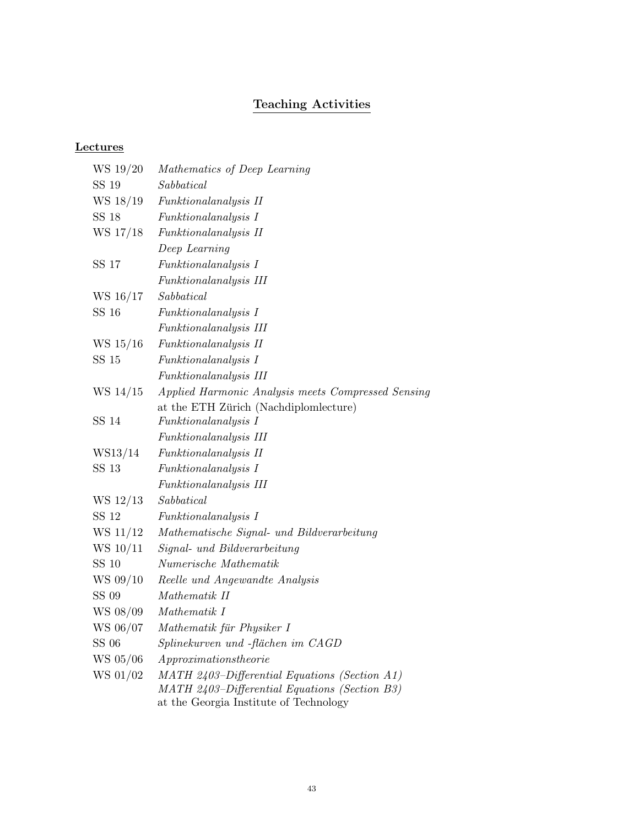# Teaching Activities

### **Lectures**

| WS 19/20     | Mathematics of Deep Learning                                                                                                             |
|--------------|------------------------------------------------------------------------------------------------------------------------------------------|
| SS 19        | Sabbatical                                                                                                                               |
| WS 18/19     | Funktionalanalysis II                                                                                                                    |
| SS 18        | <i>Funktionalanalysis I</i>                                                                                                              |
| WS 17/18     | <i>Funktionalanalysis II</i>                                                                                                             |
|              | Deep Learning                                                                                                                            |
| SS 17        | <i>Funktionalanalysis I</i>                                                                                                              |
|              | Funktionalanalysis III                                                                                                                   |
| WS 16/17     | Sabbatical                                                                                                                               |
| SS 16        | Funktionalanalysis I                                                                                                                     |
|              | Funktionalanalysis III                                                                                                                   |
| WS 15/16     | Funktionalanalysis II                                                                                                                    |
| SS 15        | <i>Funktionalanalysis I</i>                                                                                                              |
|              | Funktionalanalysis III                                                                                                                   |
| WS 14/15     | Applied Harmonic Analysis meets Compressed Sensing                                                                                       |
|              | at the ETH Zürich (Nachdiplomlecture)                                                                                                    |
| SS 14        | <i>Funktionalanalysis I</i>                                                                                                              |
|              | Funktionalanalysis III                                                                                                                   |
| WS13/14      | <i>Funktionalanalysis II</i>                                                                                                             |
| SS 13        | <i>Funktionalanalysis I</i>                                                                                                              |
|              | Funktionalanalysis III                                                                                                                   |
| WS 12/13     | Sabbatical                                                                                                                               |
| SS 12        | <i>Funktionalanalysis I</i>                                                                                                              |
| WS 11/12     | Mathematische Signal- und Bildverarbeitung                                                                                               |
| WS 10/11     | Signal- und Bildverarbeitung                                                                                                             |
| <b>SS 10</b> | Numerische Mathematik                                                                                                                    |
| WS 09/10     | Reelle und Angewandte Analysis                                                                                                           |
| SS 09        | Mathematik II                                                                                                                            |
| WS 08/09     | Mathematik I                                                                                                                             |
| WS 06/07     | Mathematik für Physiker I                                                                                                                |
| <b>SS 06</b> | Splinekurven und -flächen im CAGD                                                                                                        |
| WS 05/06     | $A$ pproximationstheorie                                                                                                                 |
| WS 01/02     | MATH 2403-Differential Equations (Section A1)<br>MATH 2403-Differential Equations (Section B3)<br>at the Georgia Institute of Technology |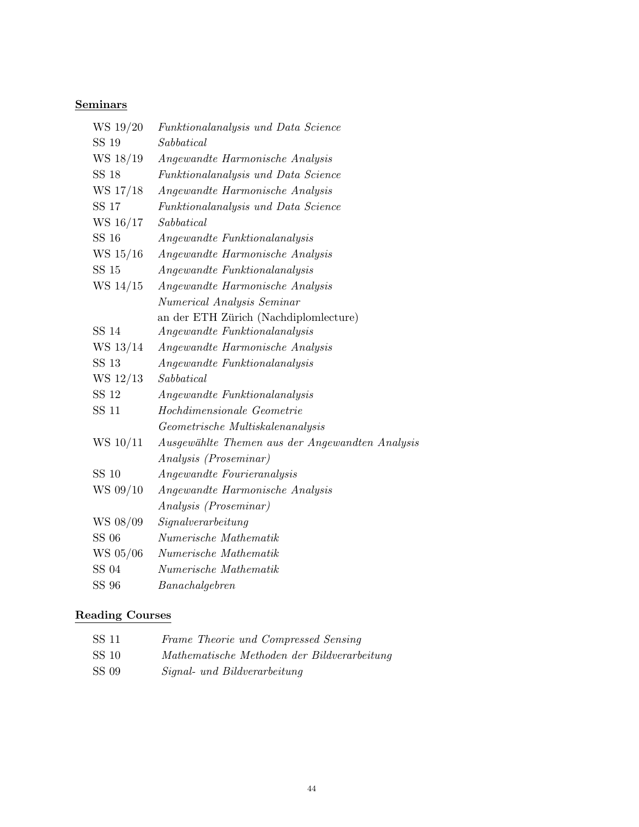# **Seminars**

| Funktionalanalysis und Data Science             |
|-------------------------------------------------|
| $\label{eq:subd} Sabbatical$                    |
| Angewandte Harmonische Analysis                 |
| Funktionalanalysis und Data Science             |
| Angewandte Harmonische Analysis                 |
| Funktionalanalysis und Data Science             |
| Sabbatical                                      |
| Angewandte Funktionalanalysis                   |
| Angewandte Harmonische Analysis                 |
| Angewandte Funktionalanalysis                   |
| Angewandte Harmonische Analysis                 |
| Numerical Analysis Seminar                      |
| an der ETH Zürich (Nachdiplomlecture)           |
| Angewandte Funktionalanalysis                   |
| Angewandte Harmonische Analysis                 |
| Angewandte Funktionalanalysis                   |
| Sabbatical                                      |
| Angewandte Funktionalanalysis                   |
| Hochdimensionale Geometrie                      |
| Geometrische Multiskalenanalysis                |
| Ausgewählte Themen aus der Angewandten Analysis |
| Analysis (Proseminar)                           |
| Angewandte Fourieranalysis                      |
| Angewandte Harmonische Analysis                 |
| Analysis (Proseminar)                           |
| Signal verarbeitung                             |
| Numerische Mathematik                           |
| Numerische Mathematik                           |
| Numerische Mathematik                           |
| Banachalgebren                                  |
|                                                 |

# Reading Courses

| SS 11 | Frame Theorie und Compressed Sensing        |
|-------|---------------------------------------------|
| SS 10 | Mathematische Methoden der Bildverarbeitung |
| SS 09 | Signal- und Bildverarbeitung                |